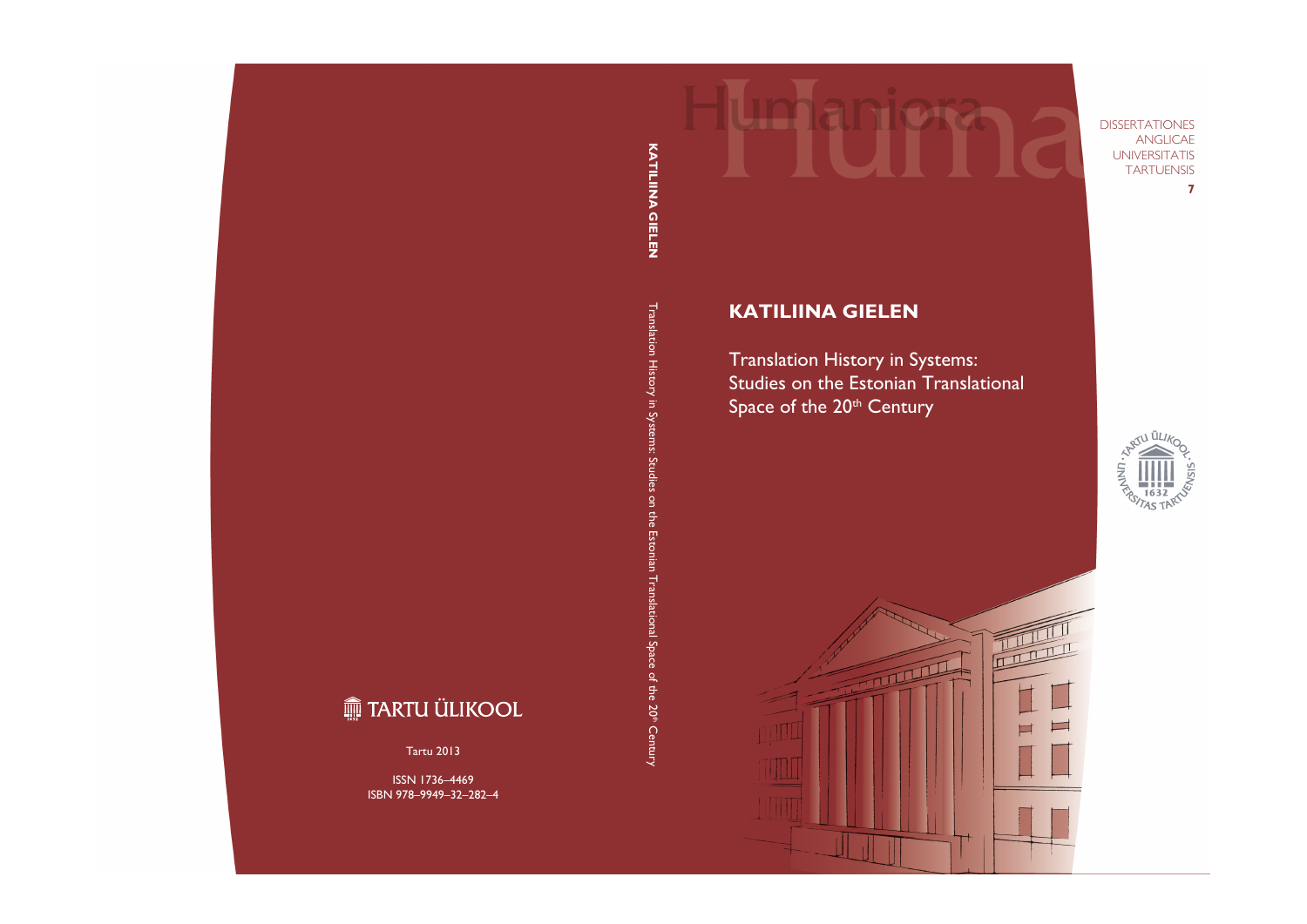DISSERTATIONES ANGLICAE UNIVERSITATIS **TARTUENSIS** 

**7**

# **KATILIINA GIELEN**

Translation History in Systems: Studies on the Estonian Translational Space of the 20<sup>th</sup> Century



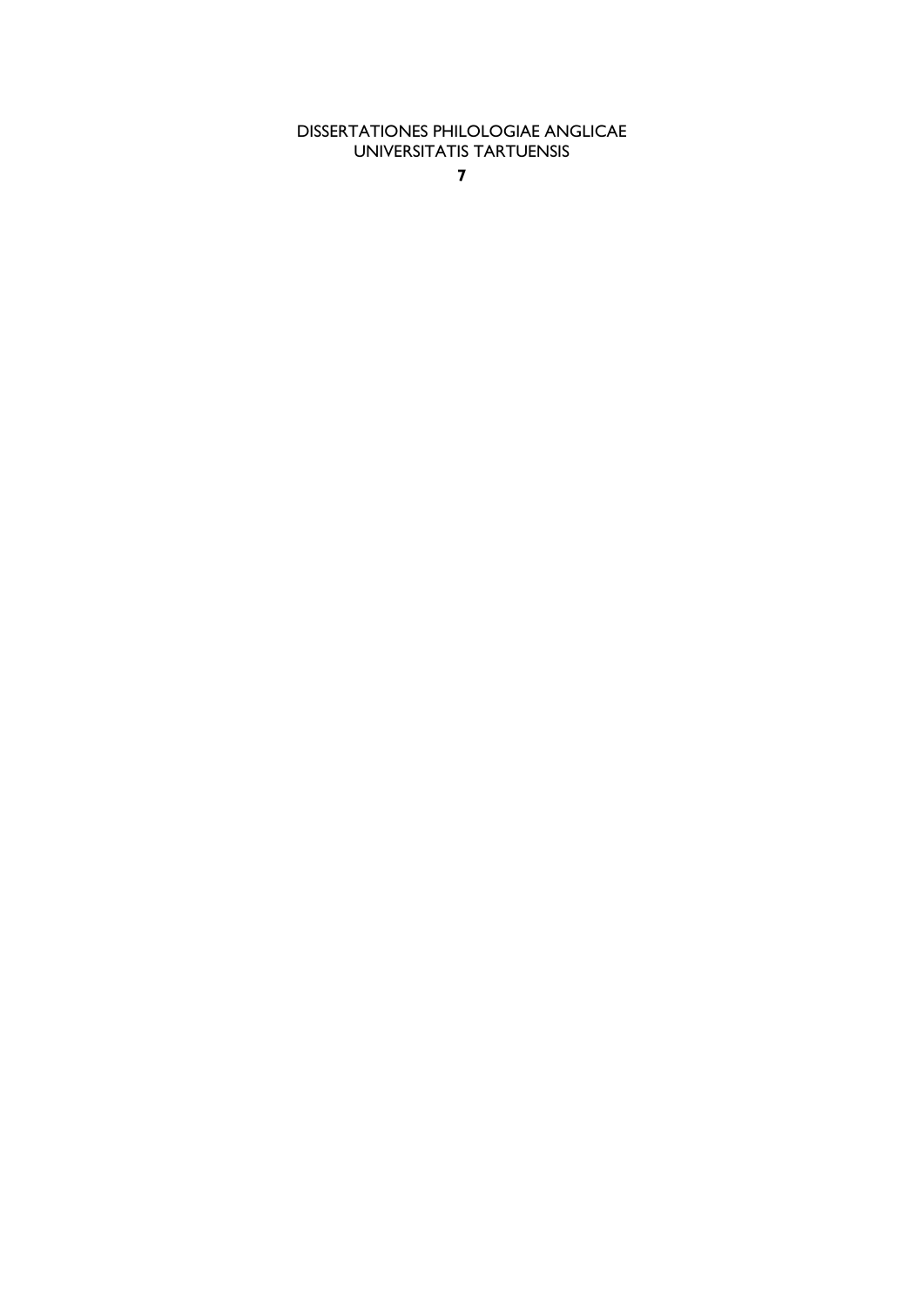DISSERTATIONES PHILOLOGIAE ANGLICAE UNIVERSITATIS TARTUENSIS

**7**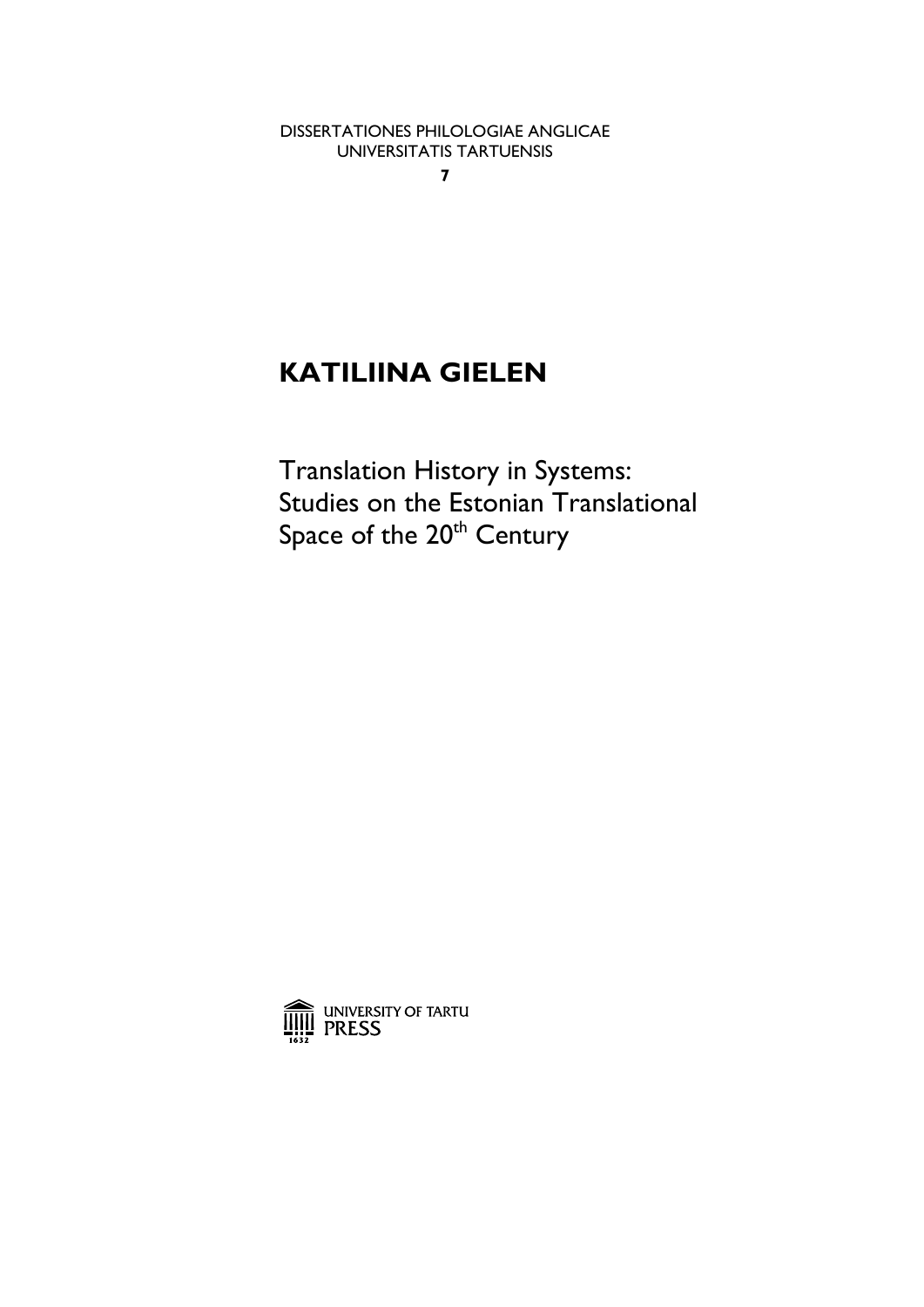DISSERTATIONES PHILOLOGIAE ANGLICAE UNIVERSITATIS TARTUENSIS

**7** 

# **KATILIINA GIELEN**

Translation History in Systems: Studies on the Estonian Translational Space of the 20<sup>th</sup> Century

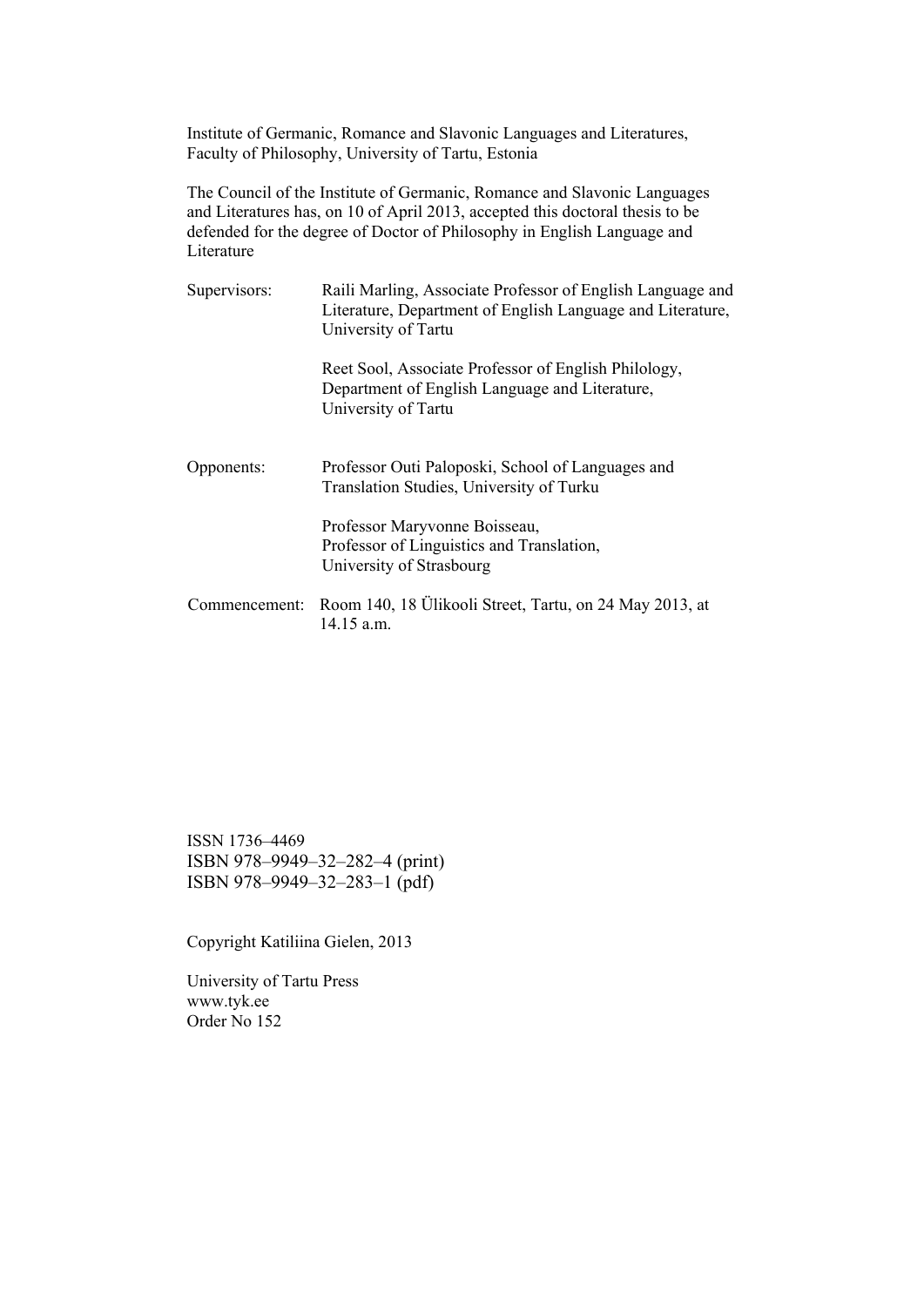Institute of Germanic, Romance and Slavonic Languages and Literatures, Faculty of Philosophy, University of Tartu, Estonia

The Council of the Institute of Germanic, Romance and Slavonic Languages and Literatures has, on 10 of April 2013, accepted this doctoral thesis to be defended for the degree of Doctor of Philosophy in English Language and Literature

| Supervisors:  | Raili Marling, Associate Professor of English Language and<br>Literature, Department of English Language and Literature,<br>University of Tartu |
|---------------|-------------------------------------------------------------------------------------------------------------------------------------------------|
|               | Reet Sool, Associate Professor of English Philology,<br>Department of English Language and Literature,<br>University of Tartu                   |
| Opponents:    | Professor Outi Paloposki, School of Languages and<br>Translation Studies, University of Turku                                                   |
|               | Professor Maryvonne Boisseau,<br>Professor of Linguistics and Translation,<br>University of Strasbourg                                          |
| Commencement: | Room 140, 18 Ülikooli Street, Tartu, on 24 May 2013, at<br>$14.15$ a.m.                                                                         |

ISSN 1736–4469 ISBN 978–9949–32–282–4 (print) ISBN 978–9949–32–283–1 (pdf)

Copyright Katiliina Gielen, 2013

University of Tartu Press www.tyk.ee Order No 152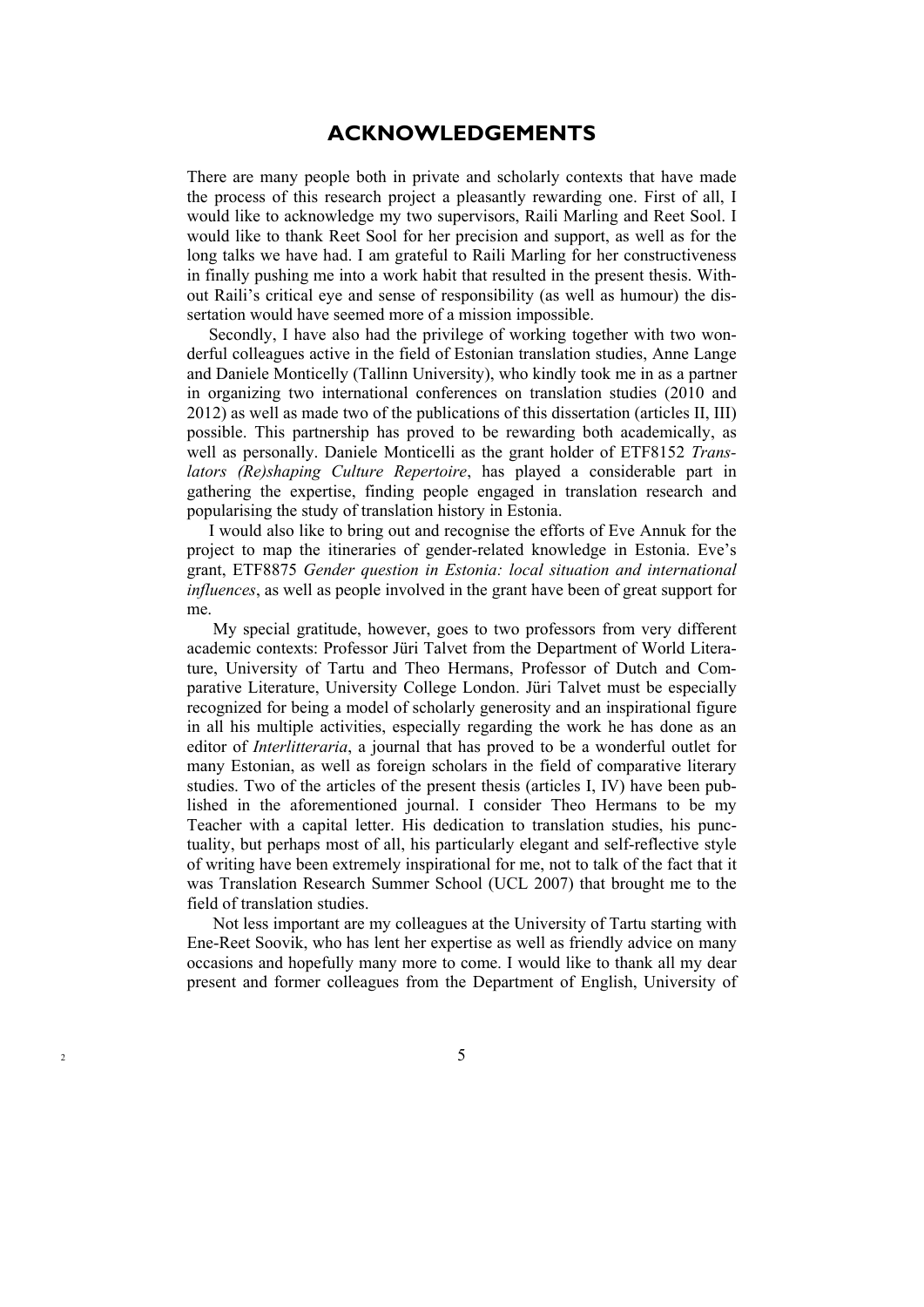### **ACKNOWLEDGEMENTS**

There are many people both in private and scholarly contexts that have made the process of this research project a pleasantly rewarding one. First of all, I would like to acknowledge my two supervisors, Raili Marling and Reet Sool. I would like to thank Reet Sool for her precision and support, as well as for the long talks we have had. I am grateful to Raili Marling for her constructiveness in finally pushing me into a work habit that resulted in the present thesis. Without Raili's critical eye and sense of responsibility (as well as humour) the dissertation would have seemed more of a mission impossible.

Secondly, I have also had the privilege of working together with two wonderful colleagues active in the field of Estonian translation studies, Anne Lange and Daniele Monticelly (Tallinn University), who kindly took me in as a partner in organizing two international conferences on translation studies (2010 and 2012) as well as made two of the publications of this dissertation (articles II, III) possible. This partnership has proved to be rewarding both academically, as well as personally. Daniele Monticelli as the grant holder of ETF8152 *Translators (Re)shaping Culture Repertoire*, has played a considerable part in gathering the expertise, finding people engaged in translation research and popularising the study of translation history in Estonia.

I would also like to bring out and recognise the efforts of Eve Annuk for the project to map the itineraries of gender-related knowledge in Estonia. Eve's grant, ETF8875 *Gender question in Estonia: local situation and international influences*, as well as people involved in the grant have been of great support for me.

 My special gratitude, however, goes to two professors from very different academic contexts: Professor Jüri Talvet from the Department of World Literature, University of Tartu and Theo Hermans, Professor of Dutch and Comparative Literature, University College London. Jüri Talvet must be especially recognized for being a model of scholarly generosity and an inspirational figure in all his multiple activities, especially regarding the work he has done as an editor of *Interlitteraria*, a journal that has proved to be a wonderful outlet for many Estonian, as well as foreign scholars in the field of comparative literary studies. Two of the articles of the present thesis (articles I, IV) have been published in the aforementioned journal. I consider Theo Hermans to be my Teacher with a capital letter. His dedication to translation studies, his punctuality, but perhaps most of all, his particularly elegant and self-reflective style of writing have been extremely inspirational for me, not to talk of the fact that it was Translation Research Summer School (UCL 2007) that brought me to the field of translation studies.

 Not less important are my colleagues at the University of Tartu starting with Ene-Reet Soovik, who has lent her expertise as well as friendly advice on many occasions and hopefully many more to come. I would like to thank all my dear present and former colleagues from the Department of English, University of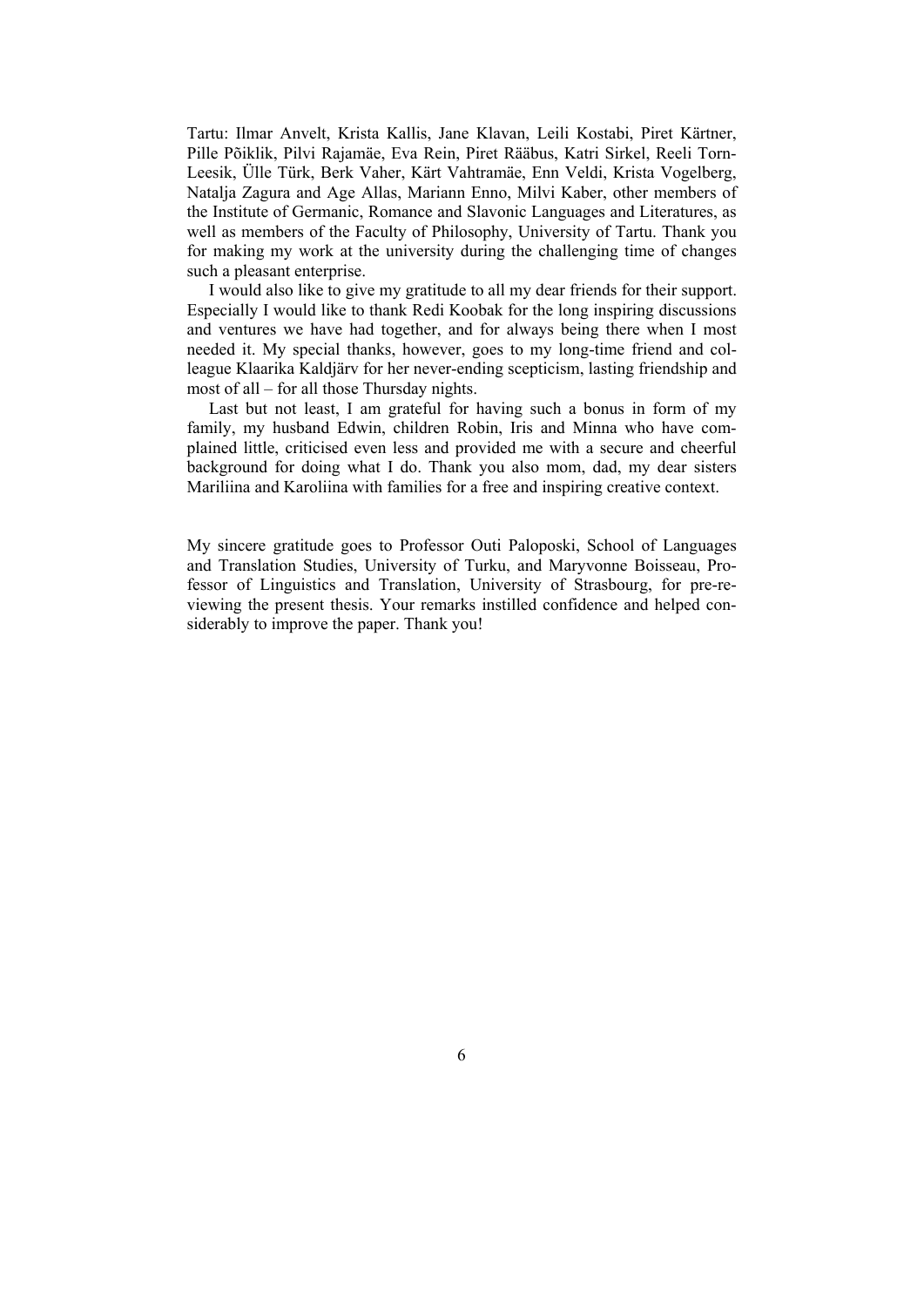Tartu: Ilmar Anvelt, Krista Kallis, Jane Klavan, Leili Kostabi, Piret Kärtner, Pille Põiklik, Pilvi Rajamäe, Eva Rein, Piret Rääbus, Katri Sirkel, Reeli Torn-Leesik, Ülle Türk, Berk Vaher, Kärt Vahtramäe, Enn Veldi, Krista Vogelberg, Natalja Zagura and Age Allas, Mariann Enno, Milvi Kaber, other members of the Institute of Germanic, Romance and Slavonic Languages and Literatures, as well as members of the Faculty of Philosophy, University of Tartu. Thank you for making my work at the university during the challenging time of changes such a pleasant enterprise.

I would also like to give my gratitude to all my dear friends for their support. Especially I would like to thank Redi Koobak for the long inspiring discussions and ventures we have had together, and for always being there when I most needed it. My special thanks, however, goes to my long-time friend and colleague Klaarika Kaldjärv for her never-ending scepticism, lasting friendship and most of all – for all those Thursday nights.

Last but not least, I am grateful for having such a bonus in form of my family, my husband Edwin, children Robin, Iris and Minna who have complained little, criticised even less and provided me with a secure and cheerful background for doing what I do. Thank you also mom, dad, my dear sisters Mariliina and Karoliina with families for a free and inspiring creative context.

My sincere gratitude goes to Professor Outi Paloposki, School of Languages and Translation Studies, University of Turku, and Maryvonne Boisseau, Professor of Linguistics and Translation, University of Strasbourg, for pre-reviewing the present thesis. Your remarks instilled confidence and helped considerably to improve the paper. Thank you!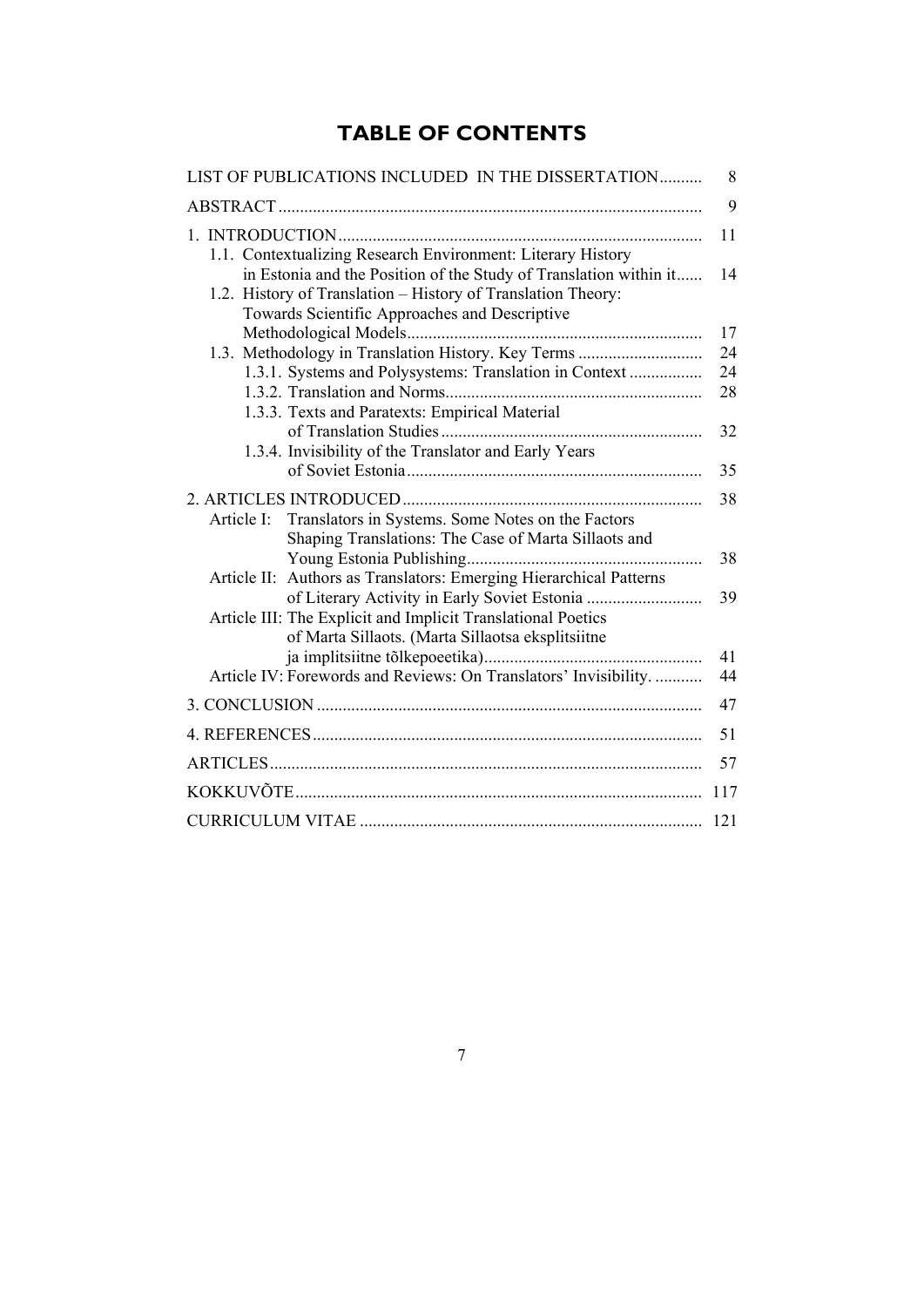## **TABLE OF CONTENTS**

| LIST OF PUBLICATIONS INCLUDED IN THE DISSERTATION                                                                                                                                                                                                 | 8        |
|---------------------------------------------------------------------------------------------------------------------------------------------------------------------------------------------------------------------------------------------------|----------|
|                                                                                                                                                                                                                                                   | 9        |
| 1.1. Contextualizing Research Environment: Literary History<br>in Estonia and the Position of the Study of Translation within it<br>1.2. History of Translation - History of Translation Theory:<br>Towards Scientific Approaches and Descriptive | 11<br>14 |
|                                                                                                                                                                                                                                                   | 17       |
| 1.3. Methodology in Translation History. Key Terms                                                                                                                                                                                                | 24       |
| 1.3.1. Systems and Polysystems: Translation in Context                                                                                                                                                                                            | 24<br>28 |
| 1.3.3. Texts and Paratexts: Empirical Material                                                                                                                                                                                                    |          |
| 1.3.4. Invisibility of the Translator and Early Years                                                                                                                                                                                             | 32       |
|                                                                                                                                                                                                                                                   | 35       |
|                                                                                                                                                                                                                                                   | 38       |
| Article I: Translators in Systems. Some Notes on the Factors<br>Shaping Translations: The Case of Marta Sillaots and                                                                                                                              | 38       |
| Article II: Authors as Translators: Emerging Hierarchical Patterns                                                                                                                                                                                | 39       |
| Article III: The Explicit and Implicit Translational Poetics<br>of Marta Sillaots. (Marta Sillaotsa eksplitsiitne                                                                                                                                 |          |
| Article IV: Forewords and Reviews: On Translators' Invisibility.                                                                                                                                                                                  | 41<br>44 |
|                                                                                                                                                                                                                                                   | 47       |
|                                                                                                                                                                                                                                                   | 51       |
|                                                                                                                                                                                                                                                   | 57       |
|                                                                                                                                                                                                                                                   | 117      |
|                                                                                                                                                                                                                                                   | 121      |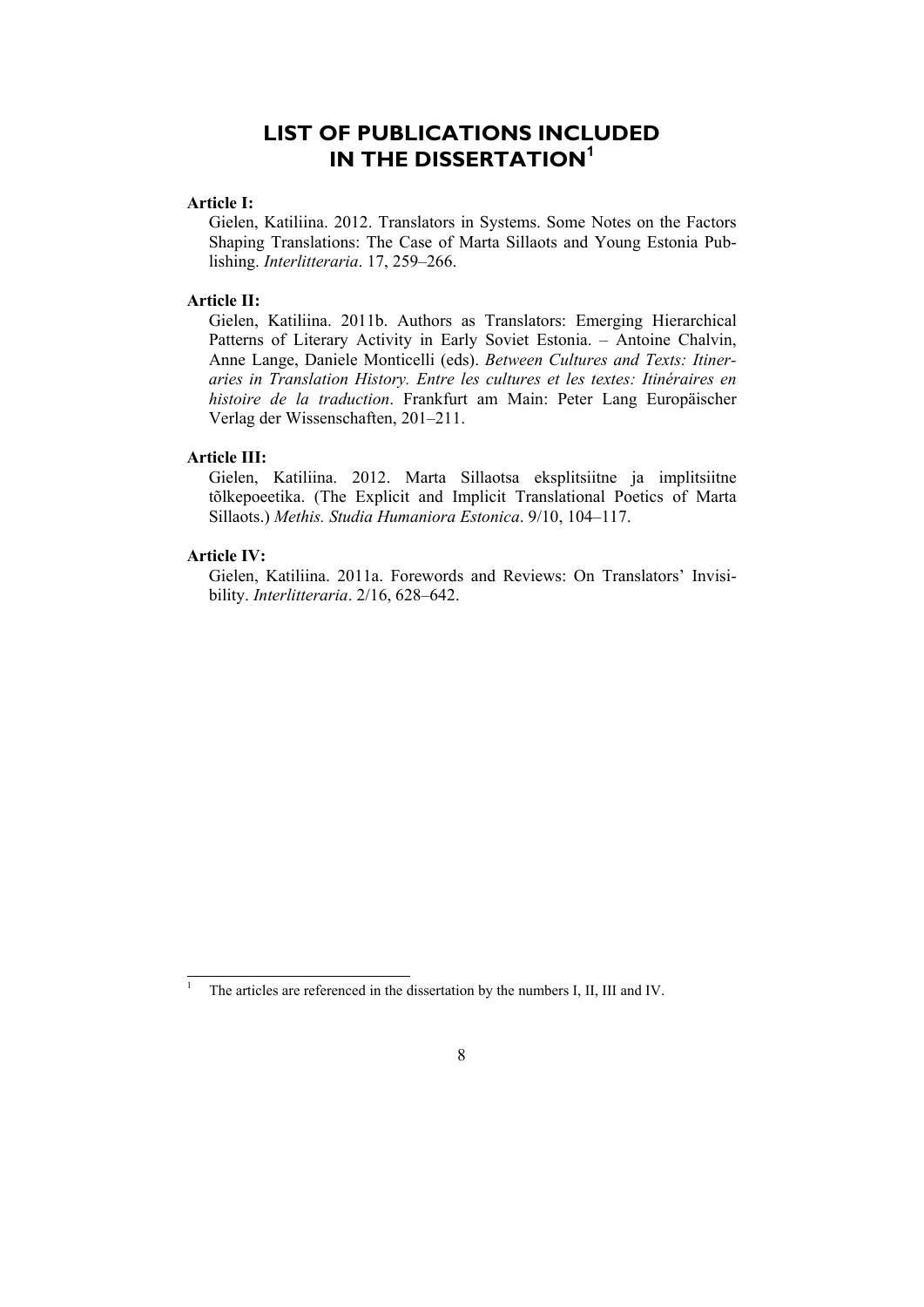### **LIST OF PUBLICATIONS INCLUDED IN THE DISSERTATION<sup>1</sup>**

#### **Article I:**

Gielen, Katiliina. 2012. Translators in Systems. Some Notes on the Factors Shaping Translations: The Case of Marta Sillaots and Young Estonia Publishing. *Interlitteraria*. 17, 259–266.

#### **Article II:**

Gielen, Katiliina. 2011b. Authors as Translators: Emerging Hierarchical Patterns of Literary Activity in Early Soviet Estonia. – Antoine Chalvin, Anne Lange, Daniele Monticelli (eds). *Between Cultures and Texts: Itineraries in Translation History. Entre les cultures et les textes: Itinéraires en histoire de la traduction*. Frankfurt am Main: Peter Lang Europäischer Verlag der Wissenschaften, 201–211.

#### **Article III:**

Gielen, Katiliina. 2012. Marta Sillaotsa eksplitsiitne ja implitsiitne tõlkepoeetika. (The Explicit and Implicit Translational Poetics of Marta Sillaots.) *Methis. Studia Humaniora Estonica*. 9/10, 104–117.

#### **Article IV:**

l

Gielen, Katiliina. 2011a. Forewords and Reviews: On Translators' Invisibility. *Interlitteraria*. 2/16, 628–642.

<sup>1</sup> The articles are referenced in the dissertation by the numbers I, II, III and IV.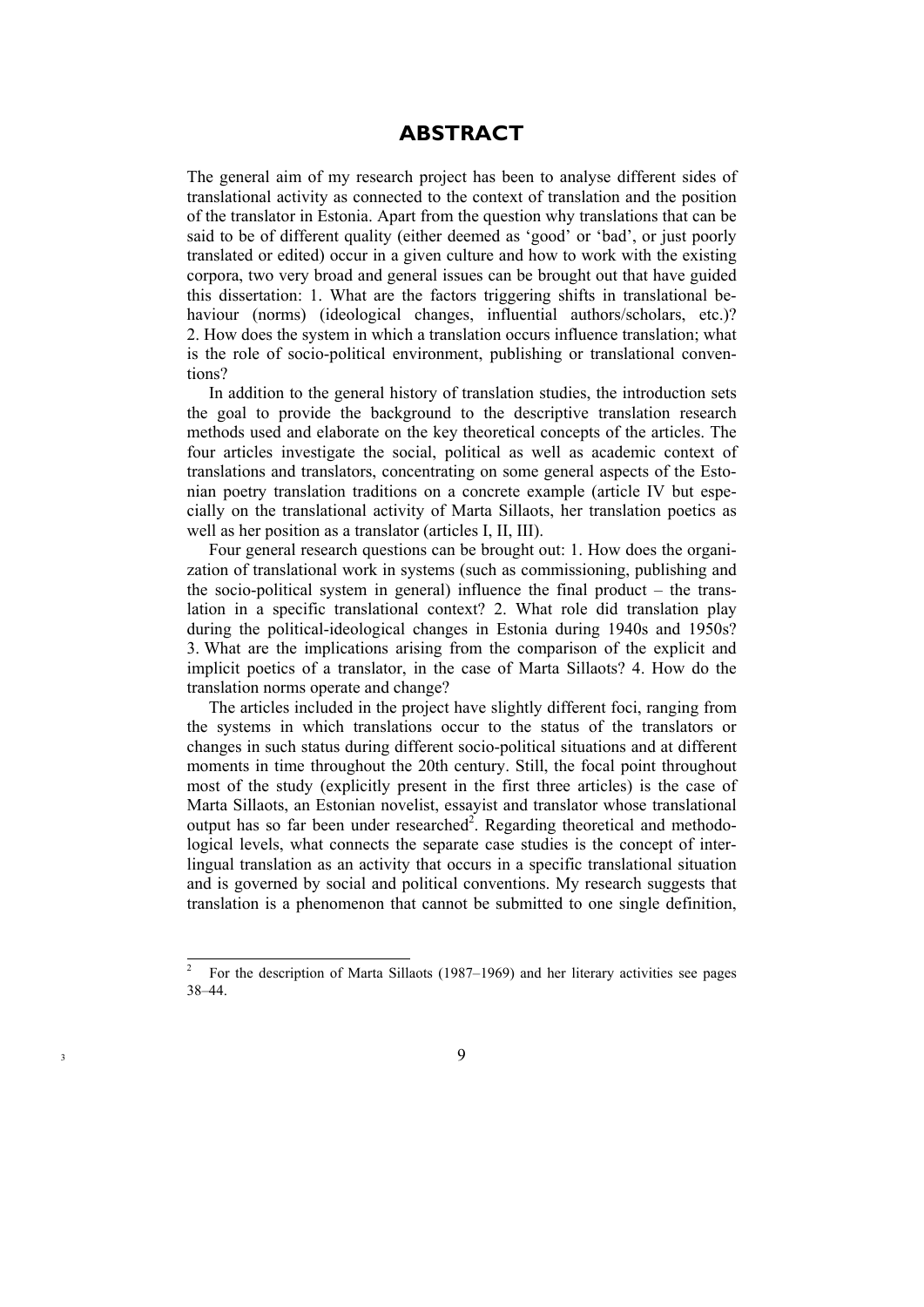### **ABSTRACT**

The general aim of my research project has been to analyse different sides of translational activity as connected to the context of translation and the position of the translator in Estonia. Apart from the question why translations that can be said to be of different quality (either deemed as 'good' or 'bad', or just poorly translated or edited) occur in a given culture and how to work with the existing corpora, two very broad and general issues can be brought out that have guided this dissertation: 1. What are the factors triggering shifts in translational behaviour (norms) (ideological changes, influential authors/scholars, etc.)? 2. How does the system in which a translation occurs influence translation; what is the role of socio-political environment, publishing or translational conventions?

In addition to the general history of translation studies, the introduction sets the goal to provide the background to the descriptive translation research methods used and elaborate on the key theoretical concepts of the articles. The four articles investigate the social, political as well as academic context of translations and translators, concentrating on some general aspects of the Estonian poetry translation traditions on a concrete example (article IV but especially on the translational activity of Marta Sillaots, her translation poetics as well as her position as a translator (articles I, II, III).

Four general research questions can be brought out: 1. How does the organization of translational work in systems (such as commissioning, publishing and the socio-political system in general) influence the final product – the translation in a specific translational context? 2. What role did translation play during the political-ideological changes in Estonia during 1940s and 1950s? 3. What are the implications arising from the comparison of the explicit and implicit poetics of a translator, in the case of Marta Sillaots? 4. How do the translation norms operate and change?

The articles included in the project have slightly different foci, ranging from the systems in which translations occur to the status of the translators or changes in such status during different socio-political situations and at different moments in time throughout the 20th century. Still, the focal point throughout most of the study (explicitly present in the first three articles) is the case of Marta Sillaots, an Estonian novelist, essayist and translator whose translational output has so far been under researched<sup>2</sup>. Regarding theoretical and methodological levels, what connects the separate case studies is the concept of interlingual translation as an activity that occurs in a specific translational situation and is governed by social and political conventions. My research suggests that translation is a phenomenon that cannot be submitted to one single definition,

<sup>2</sup> For the description of Marta Sillaots (1987–1969) and her literary activities see pages 38–44.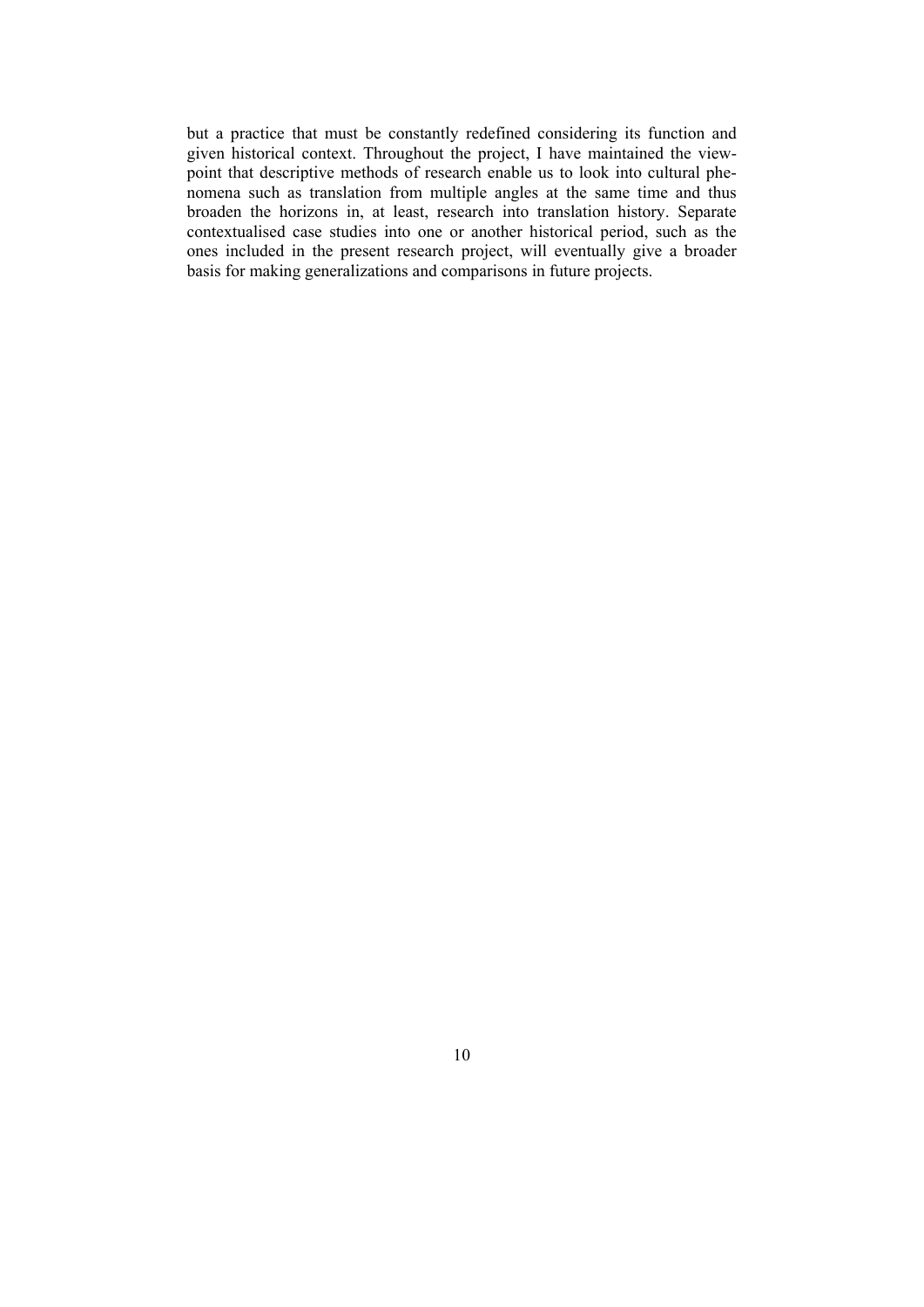but a practice that must be constantly redefined considering its function and given historical context. Throughout the project, I have maintained the viewpoint that descriptive methods of research enable us to look into cultural phenomena such as translation from multiple angles at the same time and thus broaden the horizons in, at least, research into translation history. Separate contextualised case studies into one or another historical period, such as the ones included in the present research project, will eventually give a broader basis for making generalizations and comparisons in future projects.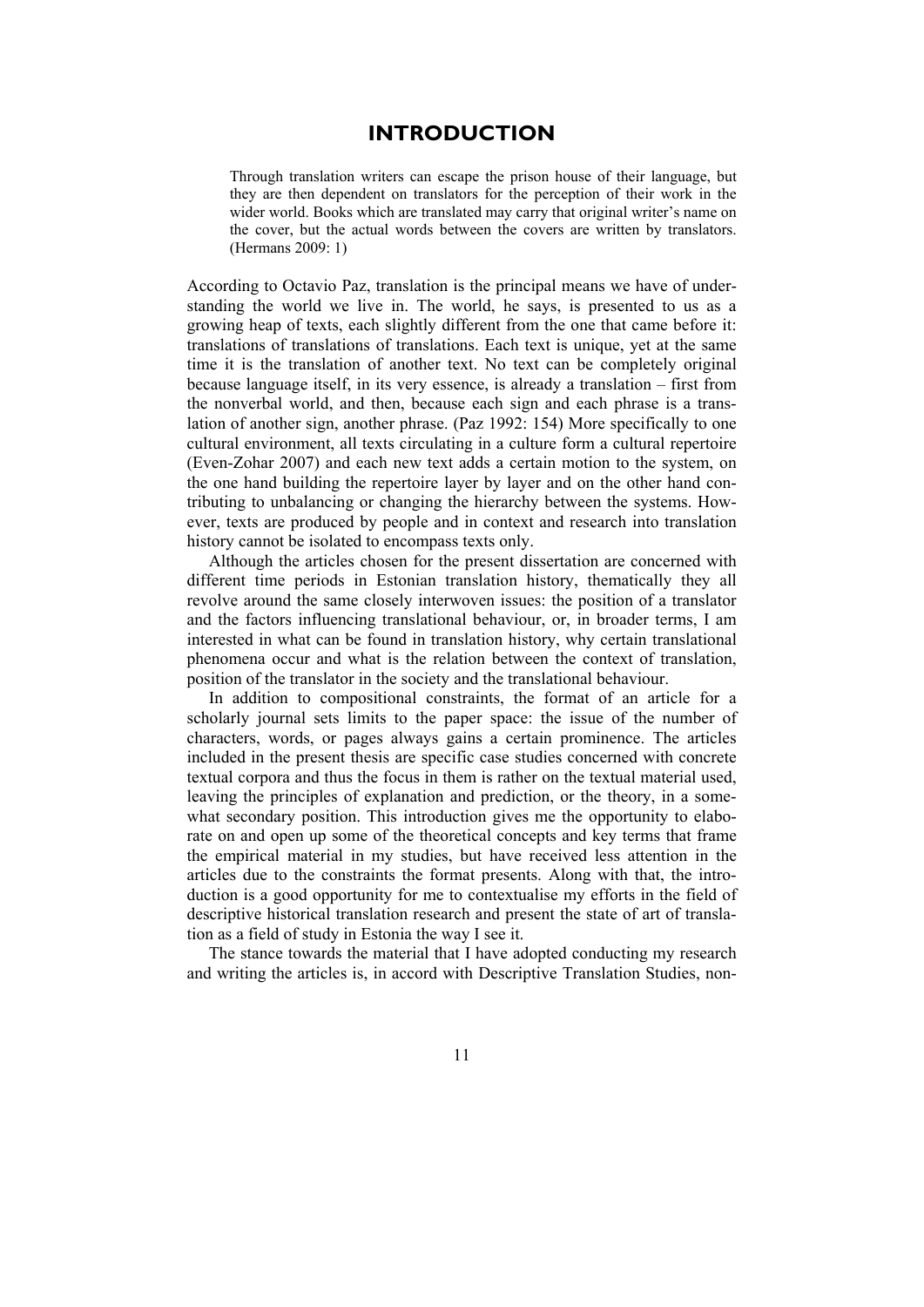### **INTRODUCTION**

Through translation writers can escape the prison house of their language, but they are then dependent on translators for the perception of their work in the wider world. Books which are translated may carry that original writer's name on the cover, but the actual words between the covers are written by translators. (Hermans 2009: 1)

According to Octavio Paz, translation is the principal means we have of understanding the world we live in. The world, he says, is presented to us as a growing heap of texts, each slightly different from the one that came before it: translations of translations of translations. Each text is unique, yet at the same time it is the translation of another text. No text can be completely original because language itself, in its very essence, is already a translation – first from the nonverbal world, and then, because each sign and each phrase is a translation of another sign, another phrase. (Paz 1992: 154) More specifically to one cultural environment, all texts circulating in a culture form a cultural repertoire (Even-Zohar 2007) and each new text adds a certain motion to the system, on the one hand building the repertoire layer by layer and on the other hand contributing to unbalancing or changing the hierarchy between the systems. However, texts are produced by people and in context and research into translation history cannot be isolated to encompass texts only.

Although the articles chosen for the present dissertation are concerned with different time periods in Estonian translation history, thematically they all revolve around the same closely interwoven issues: the position of a translator and the factors influencing translational behaviour, or, in broader terms, I am interested in what can be found in translation history, why certain translational phenomena occur and what is the relation between the context of translation, position of the translator in the society and the translational behaviour.

In addition to compositional constraints, the format of an article for a scholarly journal sets limits to the paper space: the issue of the number of characters, words, or pages always gains a certain prominence. The articles included in the present thesis are specific case studies concerned with concrete textual corpora and thus the focus in them is rather on the textual material used, leaving the principles of explanation and prediction, or the theory, in a somewhat secondary position. This introduction gives me the opportunity to elaborate on and open up some of the theoretical concepts and key terms that frame the empirical material in my studies, but have received less attention in the articles due to the constraints the format presents. Along with that, the introduction is a good opportunity for me to contextualise my efforts in the field of descriptive historical translation research and present the state of art of translation as a field of study in Estonia the way I see it.

The stance towards the material that I have adopted conducting my research and writing the articles is, in accord with Descriptive Translation Studies, non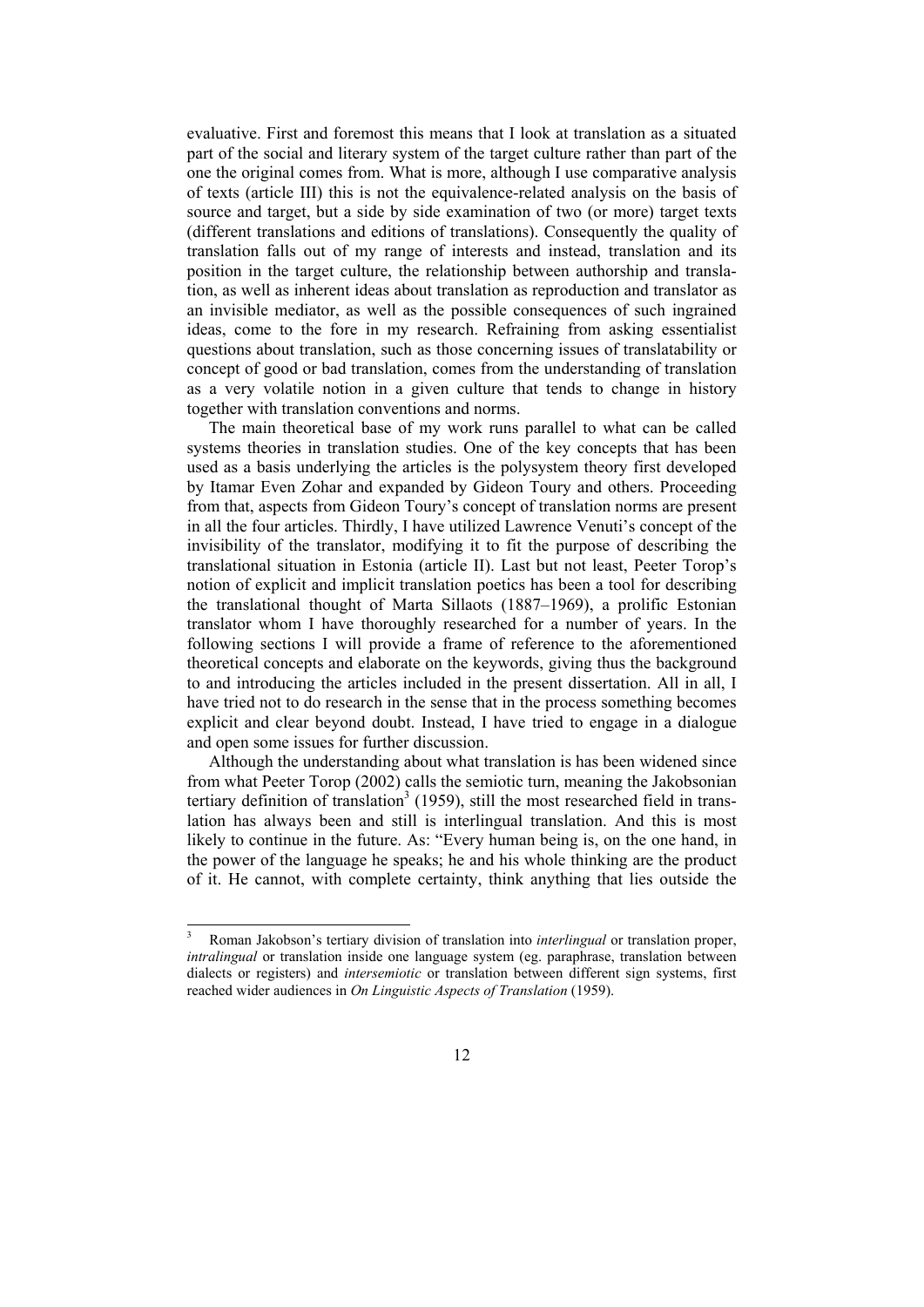evaluative. First and foremost this means that I look at translation as a situated part of the social and literary system of the target culture rather than part of the one the original comes from. What is more, although I use comparative analysis of texts (article III) this is not the equivalence-related analysis on the basis of source and target, but a side by side examination of two (or more) target texts (different translations and editions of translations). Consequently the quality of translation falls out of my range of interests and instead, translation and its position in the target culture, the relationship between authorship and translation, as well as inherent ideas about translation as reproduction and translator as an invisible mediator, as well as the possible consequences of such ingrained ideas, come to the fore in my research. Refraining from asking essentialist questions about translation, such as those concerning issues of translatability or concept of good or bad translation, comes from the understanding of translation as a very volatile notion in a given culture that tends to change in history together with translation conventions and norms.

The main theoretical base of my work runs parallel to what can be called systems theories in translation studies. One of the key concepts that has been used as a basis underlying the articles is the polysystem theory first developed by Itamar Even Zohar and expanded by Gideon Toury and others. Proceeding from that, aspects from Gideon Toury's concept of translation norms are present in all the four articles. Thirdly, I have utilized Lawrence Venuti's concept of the invisibility of the translator, modifying it to fit the purpose of describing the translational situation in Estonia (article II). Last but not least, Peeter Torop's notion of explicit and implicit translation poetics has been a tool for describing the translational thought of Marta Sillaots (1887–1969), a prolific Estonian translator whom I have thoroughly researched for a number of years. In the following sections I will provide a frame of reference to the aforementioned theoretical concepts and elaborate on the keywords, giving thus the background to and introducing the articles included in the present dissertation. All in all, I have tried not to do research in the sense that in the process something becomes explicit and clear beyond doubt. Instead, I have tried to engage in a dialogue and open some issues for further discussion.

Although the understanding about what translation is has been widened since from what Peeter Torop (2002) calls the semiotic turn, meaning the Jakobsonian tertiary definition of translation<sup>3</sup> (1959), still the most researched field in translation has always been and still is interlingual translation. And this is most likely to continue in the future. As: "Every human being is, on the one hand, in the power of the language he speaks; he and his whole thinking are the product of it. He cannot, with complete certainty, think anything that lies outside the

<sup>3</sup> Roman Jakobson's tertiary division of translation into *interlingual* or translation proper, *intralingual* or translation inside one language system (eg. paraphrase, translation between dialects or registers) and *intersemiotic* or translation between different sign systems, first reached wider audiences in *On Linguistic Aspects of Translation* (1959).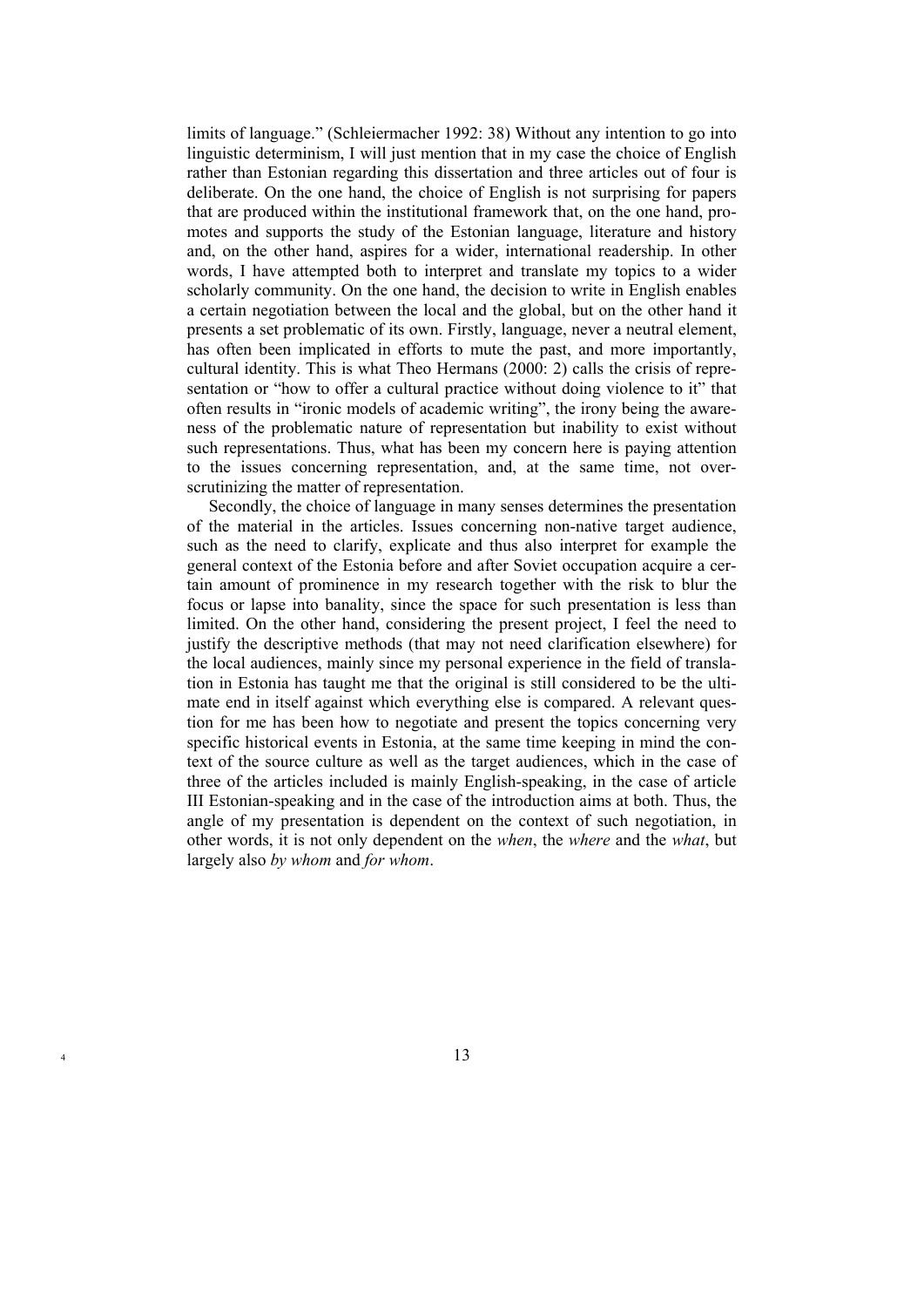limits of language." (Schleiermacher 1992: 38) Without any intention to go into linguistic determinism, I will just mention that in my case the choice of English rather than Estonian regarding this dissertation and three articles out of four is deliberate. On the one hand, the choice of English is not surprising for papers that are produced within the institutional framework that, on the one hand, promotes and supports the study of the Estonian language, literature and history and, on the other hand, aspires for a wider, international readership. In other words, I have attempted both to interpret and translate my topics to a wider scholarly community. On the one hand, the decision to write in English enables a certain negotiation between the local and the global, but on the other hand it presents a set problematic of its own. Firstly, language, never a neutral element, has often been implicated in efforts to mute the past, and more importantly, cultural identity. This is what Theo Hermans (2000: 2) calls the crisis of representation or "how to offer a cultural practice without doing violence to it" that often results in "ironic models of academic writing", the irony being the awareness of the problematic nature of representation but inability to exist without such representations. Thus, what has been my concern here is paying attention to the issues concerning representation, and, at the same time, not overscrutinizing the matter of representation.

Secondly, the choice of language in many senses determines the presentation of the material in the articles. Issues concerning non-native target audience, such as the need to clarify, explicate and thus also interpret for example the general context of the Estonia before and after Soviet occupation acquire a certain amount of prominence in my research together with the risk to blur the focus or lapse into banality, since the space for such presentation is less than limited. On the other hand, considering the present project, I feel the need to justify the descriptive methods (that may not need clarification elsewhere) for the local audiences, mainly since my personal experience in the field of translation in Estonia has taught me that the original is still considered to be the ultimate end in itself against which everything else is compared. A relevant question for me has been how to negotiate and present the topics concerning very specific historical events in Estonia, at the same time keeping in mind the context of the source culture as well as the target audiences, which in the case of three of the articles included is mainly English-speaking, in the case of article III Estonian-speaking and in the case of the introduction aims at both. Thus, the angle of my presentation is dependent on the context of such negotiation, in other words, it is not only dependent on the *when*, the *where* and the *what*, but largely also *by whom* and *for whom*.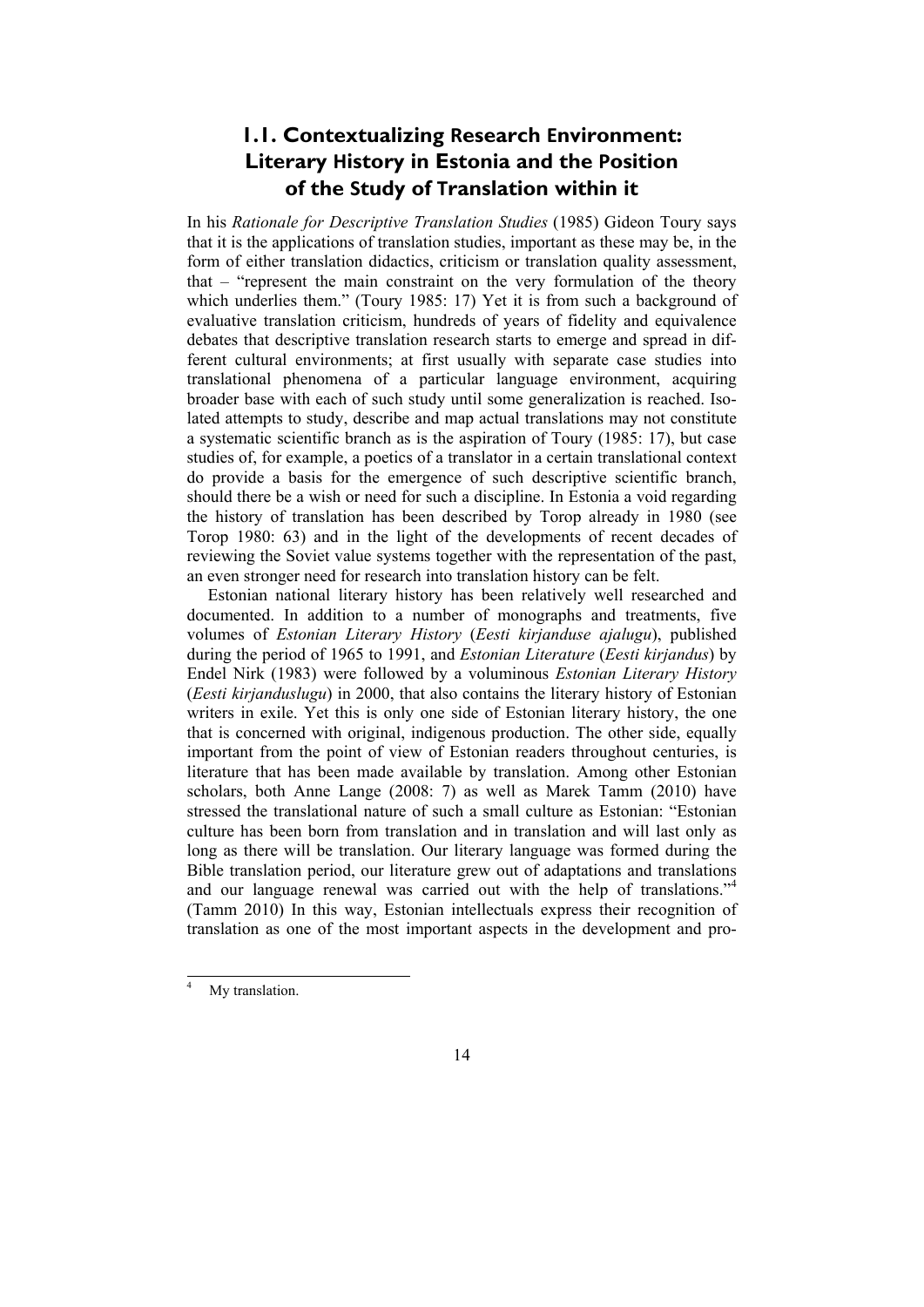### **1.1. Contextualizing Research Environment: Literary History in Estonia and the Position of the Study of Translation within it**

In his *Rationale for Descriptive Translation Studies* (1985) Gideon Toury says that it is the applications of translation studies, important as these may be, in the form of either translation didactics, criticism or translation quality assessment, that – "represent the main constraint on the very formulation of the theory which underlies them." (Toury 1985: 17) Yet it is from such a background of evaluative translation criticism, hundreds of years of fidelity and equivalence debates that descriptive translation research starts to emerge and spread in different cultural environments; at first usually with separate case studies into translational phenomena of a particular language environment, acquiring broader base with each of such study until some generalization is reached. Isolated attempts to study, describe and map actual translations may not constitute a systematic scientific branch as is the aspiration of Toury (1985: 17), but case studies of, for example, a poetics of a translator in a certain translational context do provide a basis for the emergence of such descriptive scientific branch, should there be a wish or need for such a discipline. In Estonia a void regarding the history of translation has been described by Torop already in 1980 (see Torop 1980: 63) and in the light of the developments of recent decades of reviewing the Soviet value systems together with the representation of the past, an even stronger need for research into translation history can be felt.

Estonian national literary history has been relatively well researched and documented. In addition to a number of monographs and treatments, five volumes of *Estonian Literary History* (*Eesti kirjanduse ajalugu*), published during the period of 1965 to 1991, and *Estonian Literature* (*Eesti kirjandus*) by Endel Nirk (1983) were followed by a voluminous *Estonian Literary History* (*Eesti kirjanduslugu*) in 2000, that also contains the literary history of Estonian writers in exile. Yet this is only one side of Estonian literary history, the one that is concerned with original, indigenous production. The other side, equally important from the point of view of Estonian readers throughout centuries, is literature that has been made available by translation. Among other Estonian scholars, both Anne Lange (2008: 7) as well as Marek Tamm (2010) have stressed the translational nature of such a small culture as Estonian: "Estonian culture has been born from translation and in translation and will last only as long as there will be translation. Our literary language was formed during the Bible translation period, our literature grew out of adaptations and translations and our language renewal was carried out with the help of translations."<sup>4</sup> (Tamm 2010) In this way, Estonian intellectuals express their recognition of translation as one of the most important aspects in the development and pro-

<sup>&</sup>lt;sup>4</sup> My translation.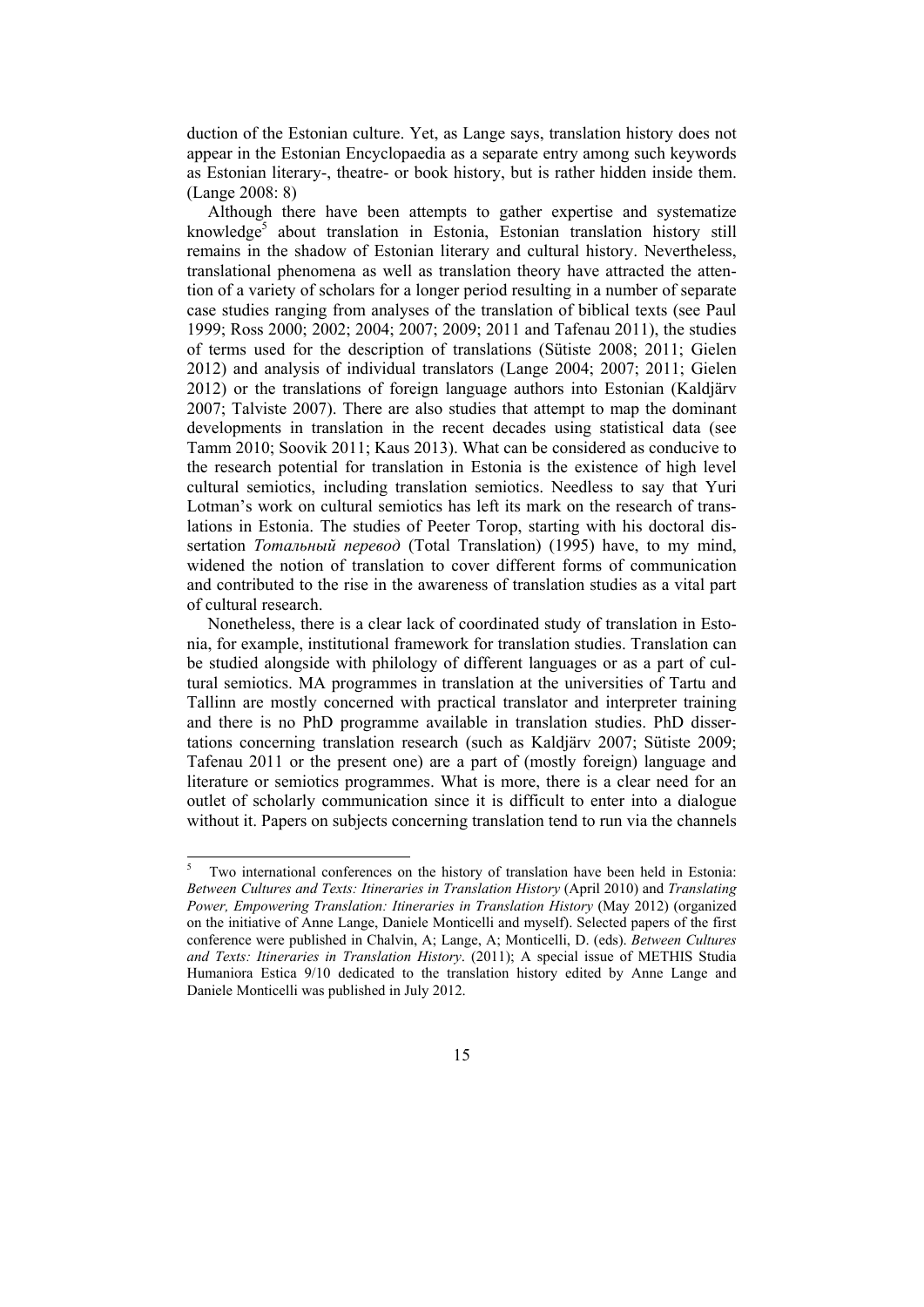duction of the Estonian culture. Yet, as Lange says, translation history does not appear in the Estonian Encyclopaedia as a separate entry among such keywords as Estonian literary-, theatre- or book history, but is rather hidden inside them. (Lange 2008: 8)

Although there have been attempts to gather expertise and systematize knowledge<sup>5</sup> about translation in Estonia, Estonian translation history still remains in the shadow of Estonian literary and cultural history. Nevertheless, translational phenomena as well as translation theory have attracted the attention of a variety of scholars for a longer period resulting in a number of separate case studies ranging from analyses of the translation of biblical texts (see Paul 1999; Ross 2000; 2002; 2004; 2007; 2009; 2011 and Tafenau 2011), the studies of terms used for the description of translations (Sütiste 2008; 2011; Gielen 2012) and analysis of individual translators (Lange 2004; 2007; 2011; Gielen 2012) or the translations of foreign language authors into Estonian (Kaldjärv 2007; Talviste 2007). There are also studies that attempt to map the dominant developments in translation in the recent decades using statistical data (see Tamm 2010; Soovik 2011; Kaus 2013). What can be considered as conducive to the research potential for translation in Estonia is the existence of high level cultural semiotics, including translation semiotics. Needless to say that Yuri Lotman's work on cultural semiotics has left its mark on the research of translations in Estonia. The studies of Peeter Torop, starting with his doctoral dissertation *Тотальный перевод* (Total Translation) (1995) have, to my mind, widened the notion of translation to cover different forms of communication and contributed to the rise in the awareness of translation studies as a vital part of cultural research.

Nonetheless, there is a clear lack of coordinated study of translation in Estonia, for example, institutional framework for translation studies. Translation can be studied alongside with philology of different languages or as a part of cultural semiotics. MA programmes in translation at the universities of Tartu and Tallinn are mostly concerned with practical translator and interpreter training and there is no PhD programme available in translation studies. PhD dissertations concerning translation research (such as Kaldjärv 2007; Sütiste 2009; Tafenau 2011 or the present one) are a part of (mostly foreign) language and literature or semiotics programmes. What is more, there is a clear need for an outlet of scholarly communication since it is difficult to enter into a dialogue without it. Papers on subjects concerning translation tend to run via the channels

l

<sup>5</sup> Two international conferences on the history of translation have been held in Estonia: *Between Cultures and Texts: Itineraries in Translation History* (April 2010) and *Translating Power, Empowering Translation: Itineraries in Translation History* (May 2012) (organized on the initiative of Anne Lange, Daniele Monticelli and myself). Selected papers of the first conference were published in Chalvin, A; Lange, A; Monticelli, D. (eds). *Between Cultures and Texts: Itineraries in Translation History*. (2011); A special issue of METHIS Studia Humaniora Estica 9/10 dedicated to the translation history edited by Anne Lange and Daniele Monticelli was published in July 2012.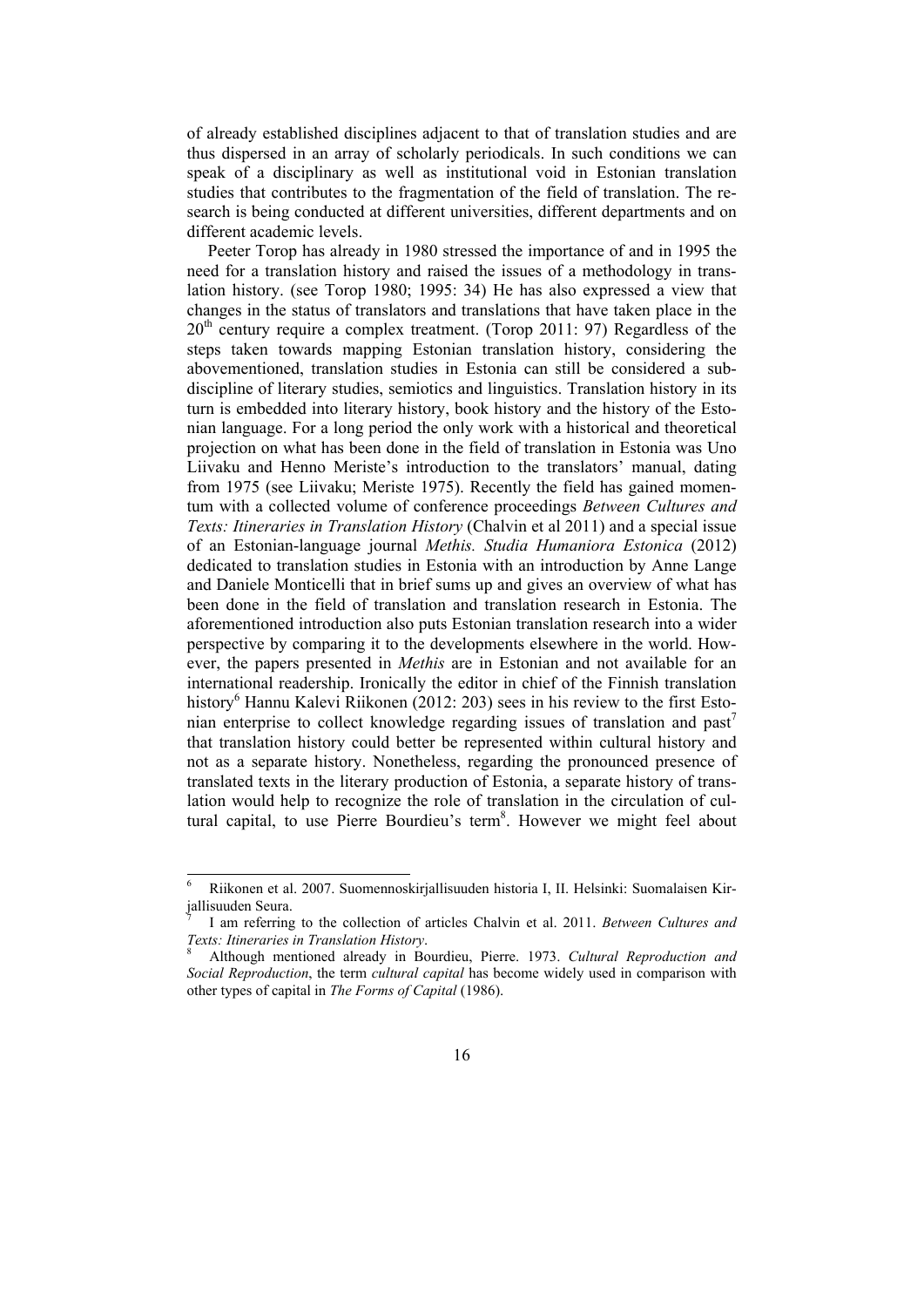of already established disciplines adjacent to that of translation studies and are thus dispersed in an array of scholarly periodicals. In such conditions we can speak of a disciplinary as well as institutional void in Estonian translation studies that contributes to the fragmentation of the field of translation. The research is being conducted at different universities, different departments and on different academic levels.

Peeter Torop has already in 1980 stressed the importance of and in 1995 the need for a translation history and raised the issues of a methodology in translation history. (see Torop 1980; 1995: 34) He has also expressed a view that changes in the status of translators and translations that have taken place in the  $20<sup>th</sup>$  century require a complex treatment. (Torop 2011: 97) Regardless of the steps taken towards mapping Estonian translation history, considering the abovementioned, translation studies in Estonia can still be considered a subdiscipline of literary studies, semiotics and linguistics. Translation history in its turn is embedded into literary history, book history and the history of the Estonian language. For a long period the only work with a historical and theoretical projection on what has been done in the field of translation in Estonia was Uno Liivaku and Henno Meriste's introduction to the translators' manual, dating from 1975 (see Liivaku; Meriste 1975). Recently the field has gained momentum with a collected volume of conference proceedings *Between Cultures and Texts: Itineraries in Translation History* (Chalvin et al 2011) and a special issue of an Estonian-language journal *Methis. Studia Humaniora Estonica* (2012) dedicated to translation studies in Estonia with an introduction by Anne Lange and Daniele Monticelli that in brief sums up and gives an overview of what has been done in the field of translation and translation research in Estonia. The aforementioned introduction also puts Estonian translation research into a wider perspective by comparing it to the developments elsewhere in the world. However, the papers presented in *Methis* are in Estonian and not available for an international readership. Ironically the editor in chief of the Finnish translation history<sup>6</sup> Hannu Kalevi Riikonen (2012: 203) sees in his review to the first Estonian enterprise to collect knowledge regarding issues of translation and past<sup>7</sup> that translation history could better be represented within cultural history and not as a separate history. Nonetheless, regarding the pronounced presence of translated texts in the literary production of Estonia, a separate history of translation would help to recognize the role of translation in the circulation of cultural capital, to use Pierre Bourdieu's term<sup>8</sup>. However we might feel about

l

<sup>6</sup> Riikonen et al. 2007. Suomennoskirjallisuuden historia I, II. Helsinki: Suomalaisen Kirjallisuuden Seura.

<sup>7</sup> I am referring to the collection of articles Chalvin et al. 2011. *Between Cultures and*  Texts: Itineraries in Translation History.

Although mentioned already in Bourdieu, Pierre. 1973. *Cultural Reproduction and Social Reproduction*, the term *cultural capital* has become widely used in comparison with other types of capital in *The Forms of Capital* (1986).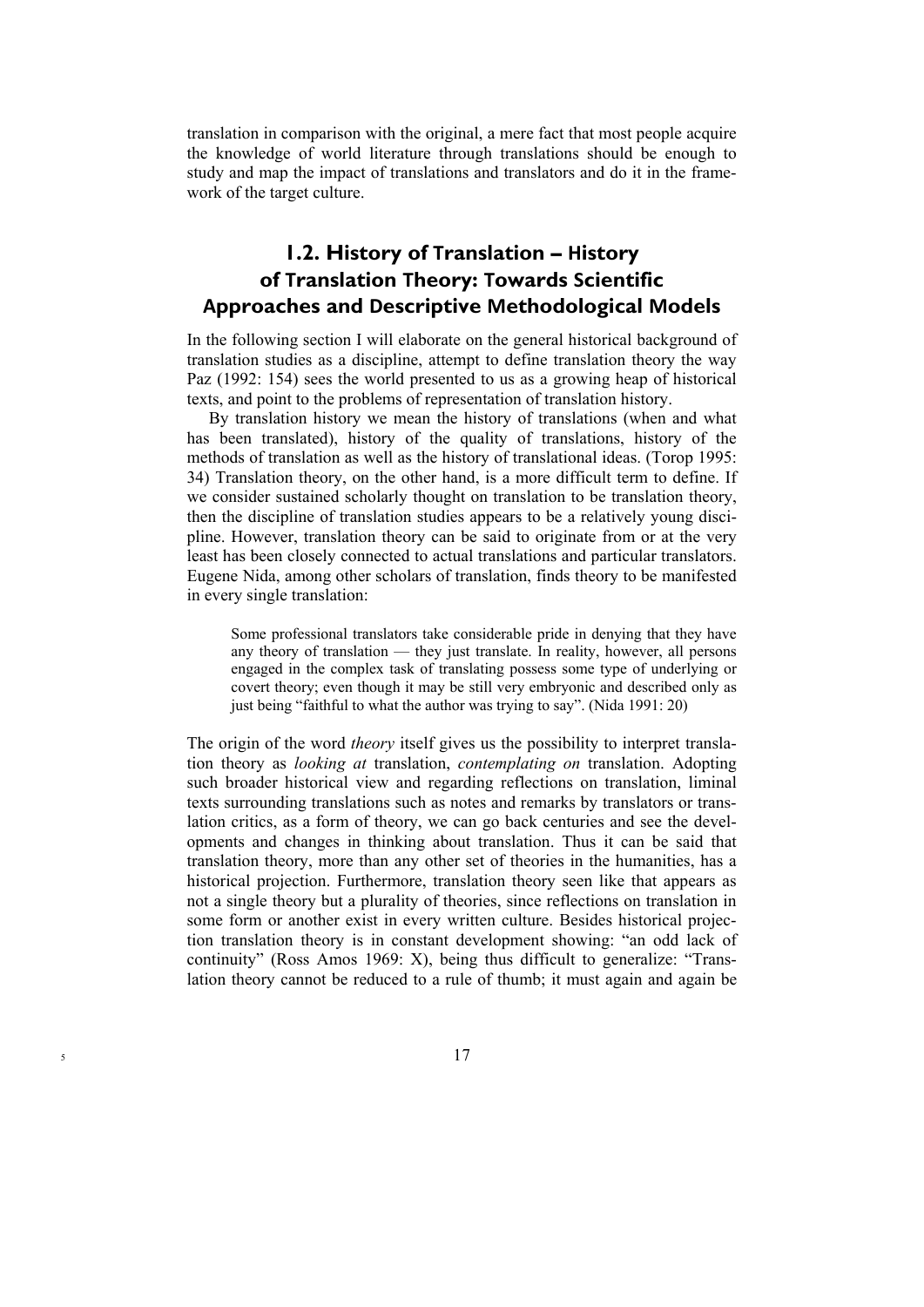translation in comparison with the original, a mere fact that most people acquire the knowledge of world literature through translations should be enough to study and map the impact of translations and translators and do it in the framework of the target culture.

### **1.2. History of Translation – History of Translation Theory: Towards Scientific Approaches and Descriptive Methodological Models**

In the following section I will elaborate on the general historical background of translation studies as a discipline, attempt to define translation theory the way Paz (1992: 154) sees the world presented to us as a growing heap of historical texts, and point to the problems of representation of translation history.

By translation history we mean the history of translations (when and what has been translated), history of the quality of translations, history of the methods of translation as well as the history of translational ideas. (Torop 1995: 34) Translation theory, on the other hand, is a more difficult term to define. If we consider sustained scholarly thought on translation to be translation theory, then the discipline of translation studies appears to be a relatively young discipline. However, translation theory can be said to originate from or at the very least has been closely connected to actual translations and particular translators. Eugene Nida, among other scholars of translation, finds theory to be manifested in every single translation:

Some professional translators take considerable pride in denying that they have any theory of translation — they just translate. In reality, however, all persons engaged in the complex task of translating possess some type of underlying or covert theory; even though it may be still very embryonic and described only as just being "faithful to what the author was trying to say". (Nida 1991: 20)

The origin of the word *theory* itself gives us the possibility to interpret translation theory as *looking at* translation, *contemplating on* translation. Adopting such broader historical view and regarding reflections on translation, liminal texts surrounding translations such as notes and remarks by translators or translation critics, as a form of theory, we can go back centuries and see the developments and changes in thinking about translation. Thus it can be said that translation theory, more than any other set of theories in the humanities, has a historical projection. Furthermore, translation theory seen like that appears as not a single theory but a plurality of theories, since reflections on translation in some form or another exist in every written culture. Besides historical projection translation theory is in constant development showing: "an odd lack of continuity" (Ross Amos 1969: X), being thus difficult to generalize: "Translation theory cannot be reduced to a rule of thumb; it must again and again be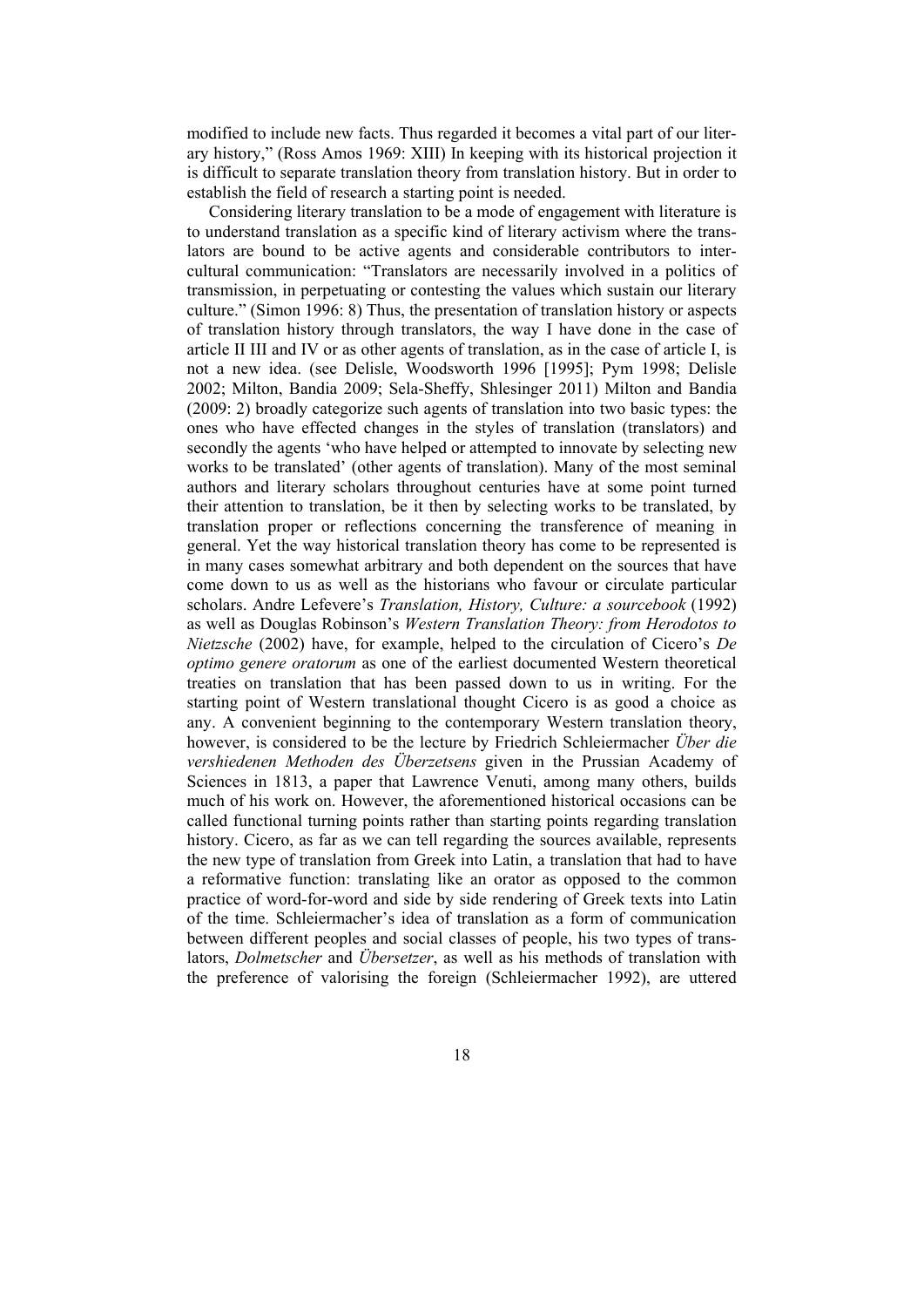modified to include new facts. Thus regarded it becomes a vital part of our literary history," (Ross Amos 1969: XIII) In keeping with its historical projection it is difficult to separate translation theory from translation history. But in order to establish the field of research a starting point is needed.

Considering literary translation to be a mode of engagement with literature is to understand translation as a specific kind of literary activism where the translators are bound to be active agents and considerable contributors to intercultural communication: "Translators are necessarily involved in a politics of transmission, in perpetuating or contesting the values which sustain our literary culture." (Simon 1996: 8) Thus, the presentation of translation history or aspects of translation history through translators, the way I have done in the case of article II III and IV or as other agents of translation, as in the case of article I, is not a new idea. (see Delisle, Woodsworth 1996 [1995]; Pym 1998; Delisle 2002; Milton, Bandia 2009; Sela-Sheffy, Shlesinger 2011) Milton and Bandia (2009: 2) broadly categorize such agents of translation into two basic types: the ones who have effected changes in the styles of translation (translators) and secondly the agents 'who have helped or attempted to innovate by selecting new works to be translated' (other agents of translation). Many of the most seminal authors and literary scholars throughout centuries have at some point turned their attention to translation, be it then by selecting works to be translated, by translation proper or reflections concerning the transference of meaning in general. Yet the way historical translation theory has come to be represented is in many cases somewhat arbitrary and both dependent on the sources that have come down to us as well as the historians who favour or circulate particular scholars. Andre Lefevere's *Translation, History, Culture: a sourcebook* (1992) as well as Douglas Robinson's *Western Translation Theory: from Herodotos to Nietzsche* (2002) have, for example, helped to the circulation of Cicero's *De optimo genere oratorum* as one of the earliest documented Western theoretical treaties on translation that has been passed down to us in writing. For the starting point of Western translational thought Cicero is as good a choice as any. A convenient beginning to the contemporary Western translation theory, however, is considered to be the lecture by Friedrich Schleiermacher *Über die vershiedenen Methoden des Überzetsens* given in the Prussian Academy of Sciences in 1813, a paper that Lawrence Venuti, among many others, builds much of his work on. However, the aforementioned historical occasions can be called functional turning points rather than starting points regarding translation history. Cicero, as far as we can tell regarding the sources available, represents the new type of translation from Greek into Latin, a translation that had to have a reformative function: translating like an orator as opposed to the common practice of word-for-word and side by side rendering of Greek texts into Latin of the time. Schleiermacher's idea of translation as a form of communication between different peoples and social classes of people, his two types of translators, *Dolmetscher* and *Übersetzer*, as well as his methods of translation with the preference of valorising the foreign (Schleiermacher 1992), are uttered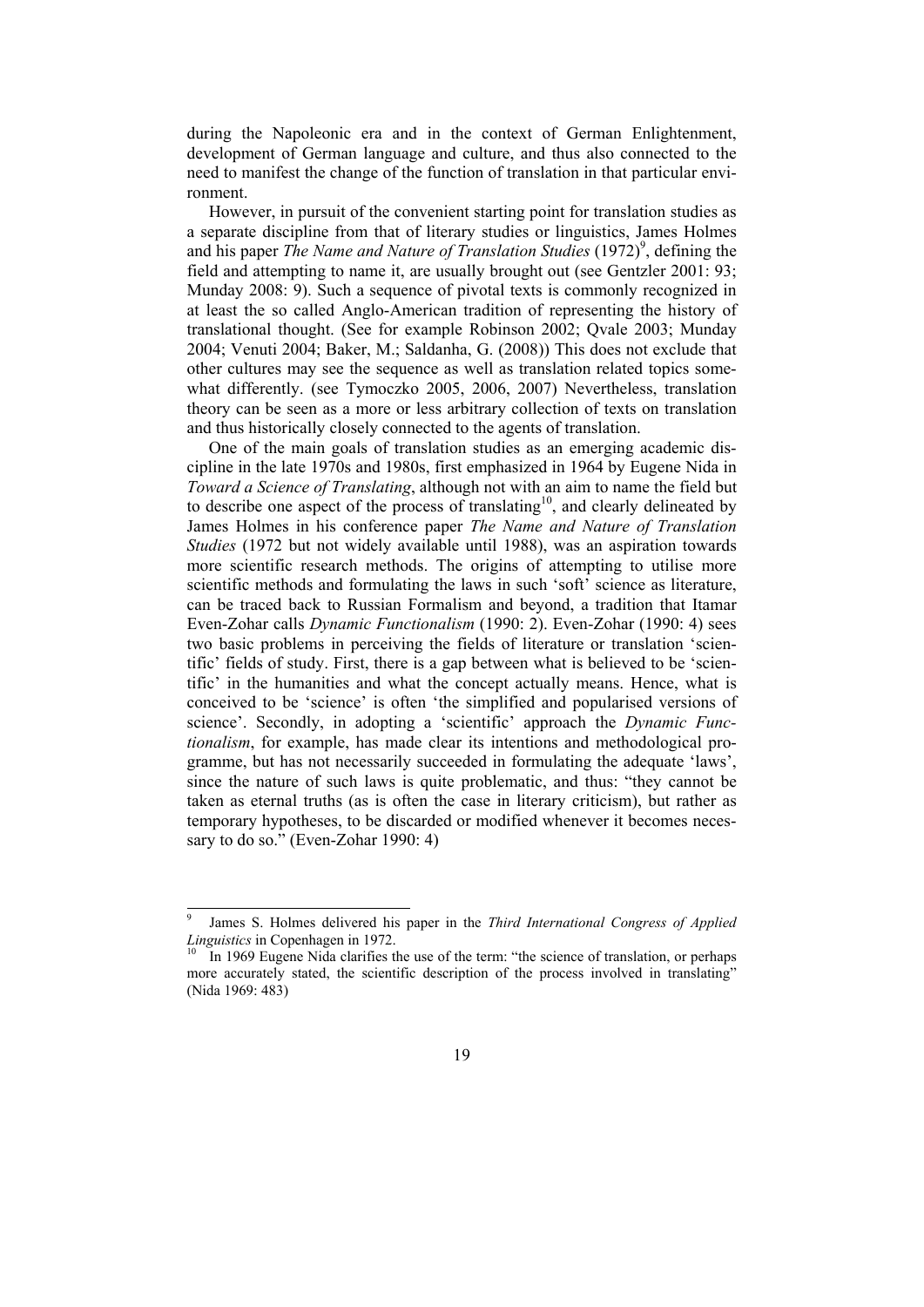during the Napoleonic era and in the context of German Enlightenment, development of German language and culture, and thus also connected to the need to manifest the change of the function of translation in that particular environment.

However, in pursuit of the convenient starting point for translation studies as a separate discipline from that of literary studies or linguistics, James Holmes and his paper *The Name and Nature of Translation Studies* (1972)<sup>9</sup>, defining the field and attempting to name it, are usually brought out (see Gentzler 2001: 93; Munday 2008: 9). Such a sequence of pivotal texts is commonly recognized in at least the so called Anglo-American tradition of representing the history of translational thought. (See for example Robinson 2002; Qvale 2003; Munday 2004; Venuti 2004; Baker, M.; Saldanha, G. (2008)) This does not exclude that other cultures may see the sequence as well as translation related topics somewhat differently. (see Tymoczko 2005, 2006, 2007) Nevertheless, translation theory can be seen as a more or less arbitrary collection of texts on translation and thus historically closely connected to the agents of translation.

One of the main goals of translation studies as an emerging academic discipline in the late 1970s and 1980s, first emphasized in 1964 by Eugene Nida in *Toward a Science of Translating*, although not with an aim to name the field but to describe one aspect of the process of translating<sup>10</sup>, and clearly delineated by James Holmes in his conference paper *The Name and Nature of Translation Studies* (1972 but not widely available until 1988), was an aspiration towards more scientific research methods. The origins of attempting to utilise more scientific methods and formulating the laws in such 'soft' science as literature, can be traced back to Russian Formalism and beyond, a tradition that Itamar Even-Zohar calls *Dynamic Functionalism* (1990: 2). Even-Zohar (1990: 4) sees two basic problems in perceiving the fields of literature or translation 'scientific' fields of study. First, there is a gap between what is believed to be 'scientific' in the humanities and what the concept actually means. Hence, what is conceived to be 'science' is often 'the simplified and popularised versions of science'. Secondly, in adopting a 'scientific' approach the *Dynamic Functionalism*, for example, has made clear its intentions and methodological programme, but has not necessarily succeeded in formulating the adequate 'laws', since the nature of such laws is quite problematic, and thus: "they cannot be taken as eternal truths (as is often the case in literary criticism), but rather as temporary hypotheses, to be discarded or modified whenever it becomes necessary to do so." (Even-Zohar 1990: 4)

j

<sup>9</sup> James S. Holmes delivered his paper in the *Third International Congress of Applied Linguistics* in Copenhagen in 1972.<br><sup>10</sup> In 1969 Eugene Nida clarifies the use of the term: "the science of translation, or perhaps

more accurately stated, the scientific description of the process involved in translating" (Nida 1969: 483)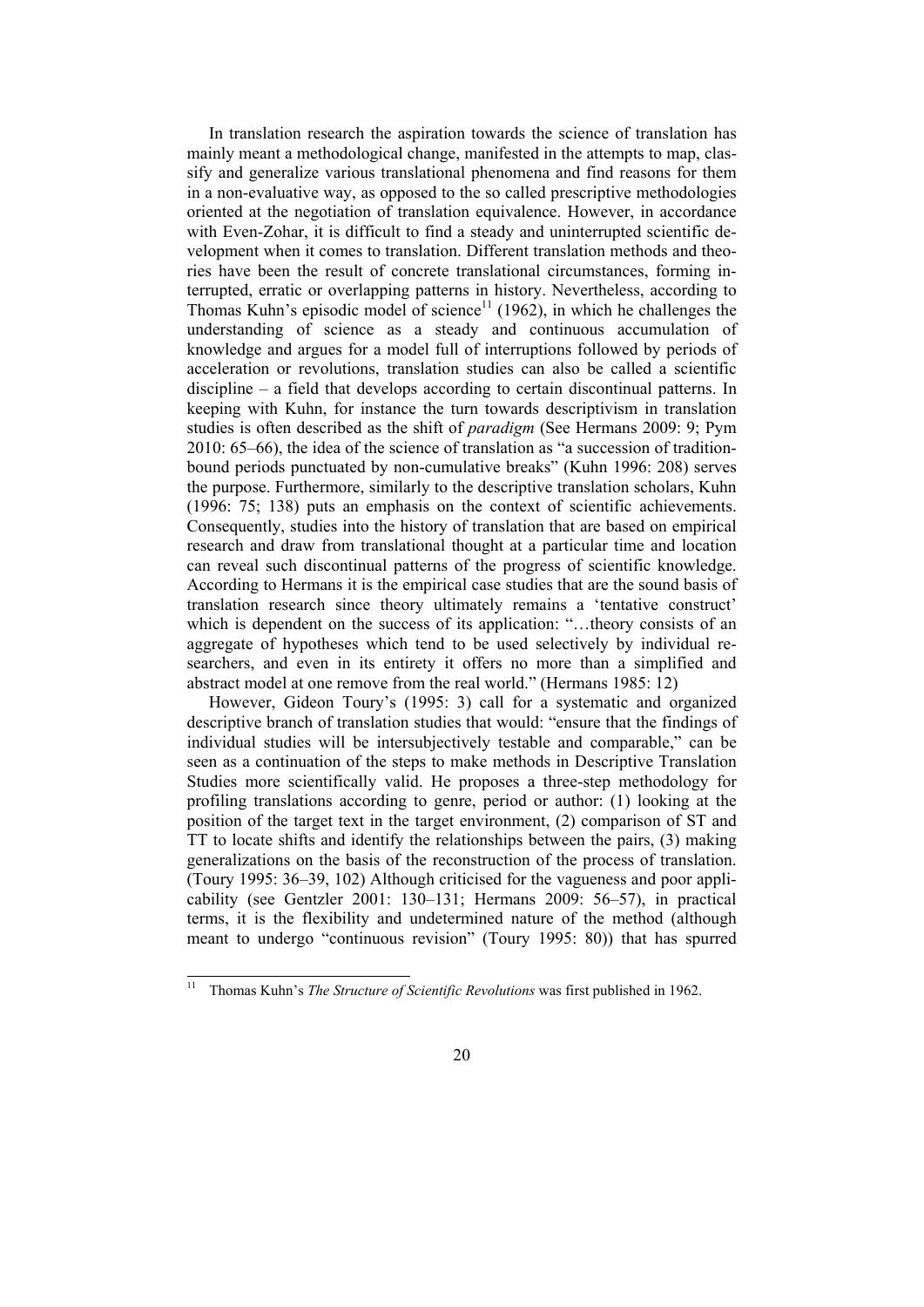In translation research the aspiration towards the science of translation has mainly meant a methodological change, manifested in the attempts to map, classify and generalize various translational phenomena and find reasons for them in a non-evaluative way, as opposed to the so called prescriptive methodologies oriented at the negotiation of translation equivalence. However, in accordance with Even-Zohar, it is difficult to find a steady and uninterrupted scientific development when it comes to translation. Different translation methods and theories have been the result of concrete translational circumstances, forming interrupted, erratic or overlapping patterns in history. Nevertheless, according to Thomas Kuhn's episodic model of science<sup>11</sup> (1962), in which he challenges the understanding of science as a steady and continuous accumulation of knowledge and argues for a model full of interruptions followed by periods of acceleration or revolutions, translation studies can also be called a scientific discipline – a field that develops according to certain discontinual patterns. In keeping with Kuhn, for instance the turn towards descriptivism in translation studies is often described as the shift of *paradigm* (See Hermans 2009: 9; Pym 2010: 65–66), the idea of the science of translation as "a succession of traditionbound periods punctuated by non-cumulative breaks" (Kuhn 1996: 208) serves the purpose. Furthermore, similarly to the descriptive translation scholars, Kuhn (1996: 75; 138) puts an emphasis on the context of scientific achievements. Consequently, studies into the history of translation that are based on empirical research and draw from translational thought at a particular time and location can reveal such discontinual patterns of the progress of scientific knowledge. According to Hermans it is the empirical case studies that are the sound basis of translation research since theory ultimately remains a 'tentative construct' which is dependent on the success of its application: "...theory consists of an aggregate of hypotheses which tend to be used selectively by individual researchers, and even in its entirety it offers no more than a simplified and abstract model at one remove from the real world." (Hermans 1985: 12)

However, Gideon Toury's (1995: 3) call for a systematic and organized descriptive branch of translation studies that would: "ensure that the findings of individual studies will be intersubjectively testable and comparable," can be seen as a continuation of the steps to make methods in Descriptive Translation Studies more scientifically valid. He proposes a three-step methodology for profiling translations according to genre, period or author: (1) looking at the position of the target text in the target environment, (2) comparison of ST and TT to locate shifts and identify the relationships between the pairs, (3) making generalizations on the basis of the reconstruction of the process of translation. (Toury 1995: 36–39, 102) Although criticised for the vagueness and poor applicability (see Gentzler 2001: 130–131; Hermans 2009: 56–57), in practical terms, it is the flexibility and undetermined nature of the method (although meant to undergo "continuous revision" (Toury 1995: 80)) that has spurred

l

<sup>11</sup> Thomas Kuhn's *The Structure of Scientific Revolutions* was first published in 1962.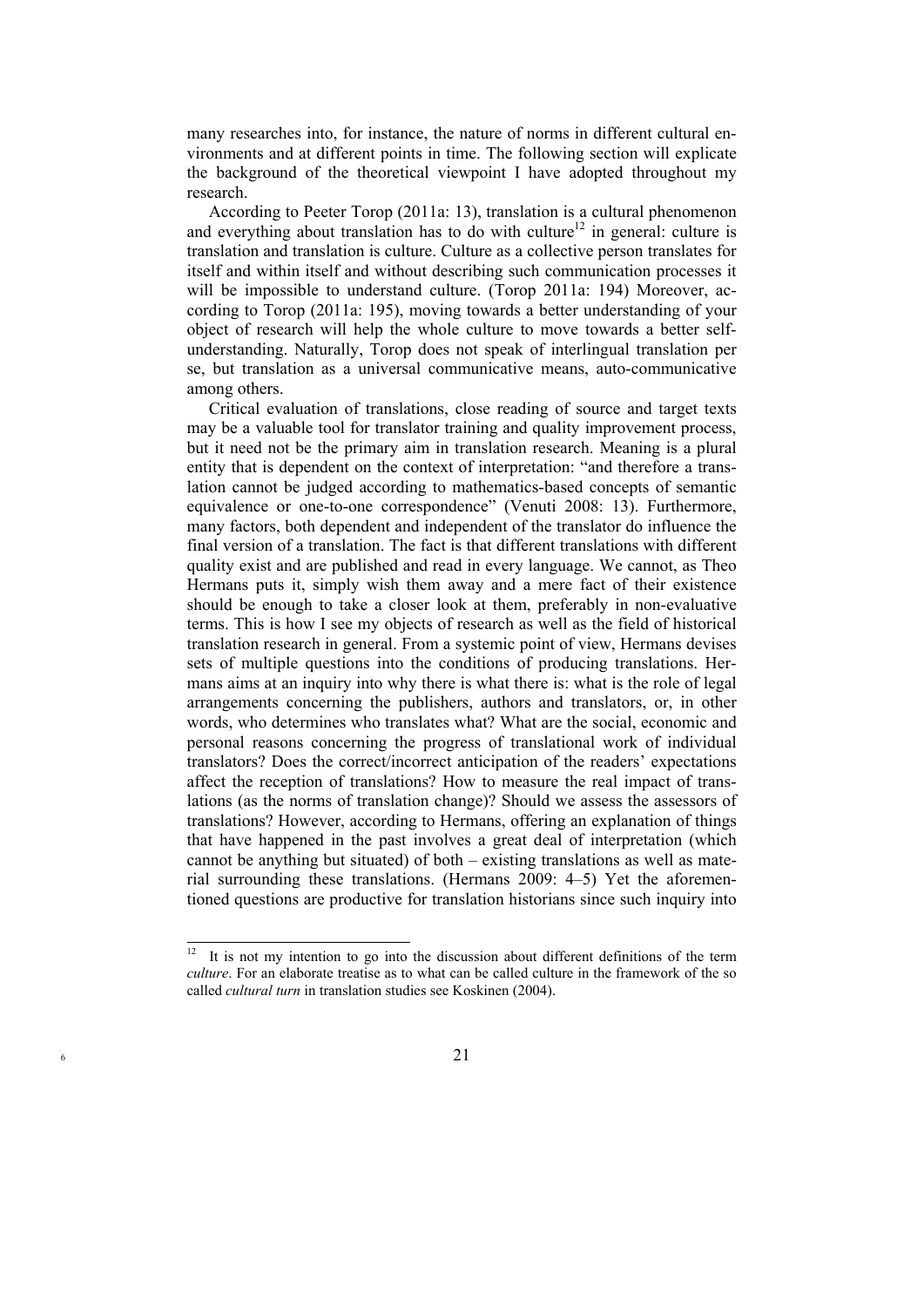many researches into, for instance, the nature of norms in different cultural environments and at different points in time. The following section will explicate the background of the theoretical viewpoint I have adopted throughout my research.

According to Peeter Torop (2011a: 13), translation is a cultural phenomenon and everything about translation has to do with culture<sup>12</sup> in general: culture is translation and translation is culture. Culture as a collective person translates for itself and within itself and without describing such communication processes it will be impossible to understand culture. (Torop 2011a: 194) Moreover, according to Torop (2011a: 195), moving towards a better understanding of your object of research will help the whole culture to move towards a better selfunderstanding. Naturally, Torop does not speak of interlingual translation per se, but translation as a universal communicative means, auto-communicative among others.

Critical evaluation of translations, close reading of source and target texts may be a valuable tool for translator training and quality improvement process, but it need not be the primary aim in translation research. Meaning is a plural entity that is dependent on the context of interpretation: "and therefore a translation cannot be judged according to mathematics-based concepts of semantic equivalence or one-to-one correspondence" (Venuti 2008: 13). Furthermore, many factors, both dependent and independent of the translator do influence the final version of a translation. The fact is that different translations with different quality exist and are published and read in every language. We cannot, as Theo Hermans puts it, simply wish them away and a mere fact of their existence should be enough to take a closer look at them, preferably in non-evaluative terms. This is how I see my objects of research as well as the field of historical translation research in general. From a systemic point of view, Hermans devises sets of multiple questions into the conditions of producing translations. Hermans aims at an inquiry into why there is what there is: what is the role of legal arrangements concerning the publishers, authors and translators, or, in other words, who determines who translates what? What are the social, economic and personal reasons concerning the progress of translational work of individual translators? Does the correct/incorrect anticipation of the readers' expectations affect the reception of translations? How to measure the real impact of translations (as the norms of translation change)? Should we assess the assessors of translations? However, according to Hermans, offering an explanation of things that have happened in the past involves a great deal of interpretation (which cannot be anything but situated) of both – existing translations as well as material surrounding these translations. (Hermans 2009: 4–5) Yet the aforementioned questions are productive for translation historians since such inquiry into

 $12\,$ 12 It is not my intention to go into the discussion about different definitions of the term *culture*. For an elaborate treatise as to what can be called culture in the framework of the so called *cultural turn* in translation studies see Koskinen (2004).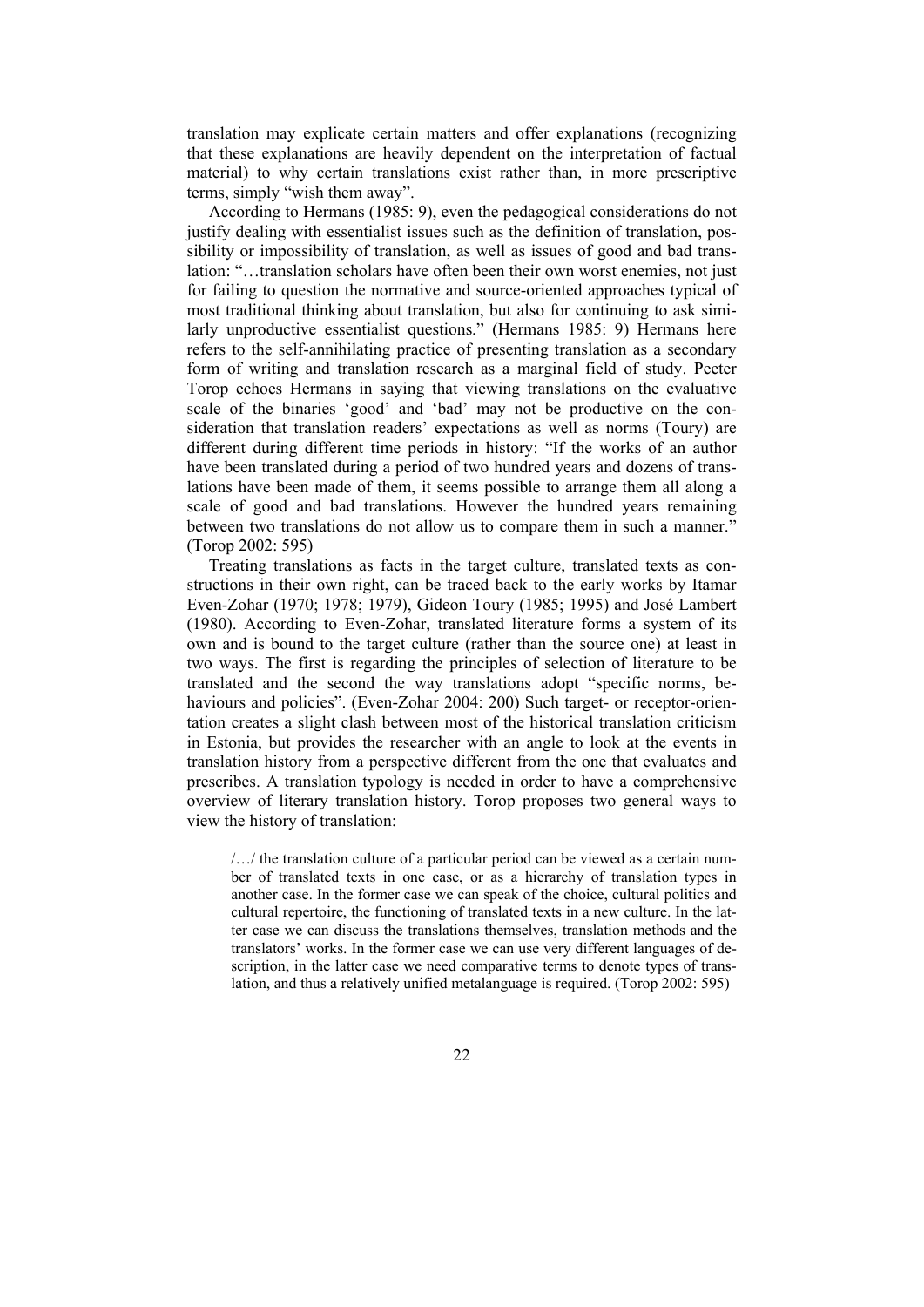translation may explicate certain matters and offer explanations (recognizing that these explanations are heavily dependent on the interpretation of factual material) to why certain translations exist rather than, in more prescriptive terms, simply "wish them away".

According to Hermans (1985: 9), even the pedagogical considerations do not justify dealing with essentialist issues such as the definition of translation, possibility or impossibility of translation, as well as issues of good and bad translation: "…translation scholars have often been their own worst enemies, not just for failing to question the normative and source-oriented approaches typical of most traditional thinking about translation, but also for continuing to ask similarly unproductive essentialist questions." (Hermans 1985: 9) Hermans here refers to the self-annihilating practice of presenting translation as a secondary form of writing and translation research as a marginal field of study. Peeter Torop echoes Hermans in saying that viewing translations on the evaluative scale of the binaries 'good' and 'bad' may not be productive on the consideration that translation readers' expectations as well as norms (Toury) are different during different time periods in history: "If the works of an author have been translated during a period of two hundred years and dozens of translations have been made of them, it seems possible to arrange them all along a scale of good and bad translations. However the hundred years remaining between two translations do not allow us to compare them in such a manner." (Torop 2002: 595)

Treating translations as facts in the target culture, translated texts as constructions in their own right, can be traced back to the early works by Itamar Even-Zohar (1970; 1978; 1979), Gideon Toury (1985; 1995) and José Lambert (1980). According to Even-Zohar, translated literature forms a system of its own and is bound to the target culture (rather than the source one) at least in two ways. The first is regarding the principles of selection of literature to be translated and the second the way translations adopt "specific norms, behaviours and policies". (Even-Zohar 2004: 200) Such target- or receptor-orientation creates a slight clash between most of the historical translation criticism in Estonia, but provides the researcher with an angle to look at the events in translation history from a perspective different from the one that evaluates and prescribes. A translation typology is needed in order to have a comprehensive overview of literary translation history. Torop proposes two general ways to view the history of translation:

/…/ the translation culture of a particular period can be viewed as a certain number of translated texts in one case, or as a hierarchy of translation types in another case. In the former case we can speak of the choice, cultural politics and cultural repertoire, the functioning of translated texts in a new culture. In the latter case we can discuss the translations themselves, translation methods and the translators' works. In the former case we can use very different languages of description, in the latter case we need comparative terms to denote types of translation, and thus a relatively unified metalanguage is required. (Torop 2002: 595)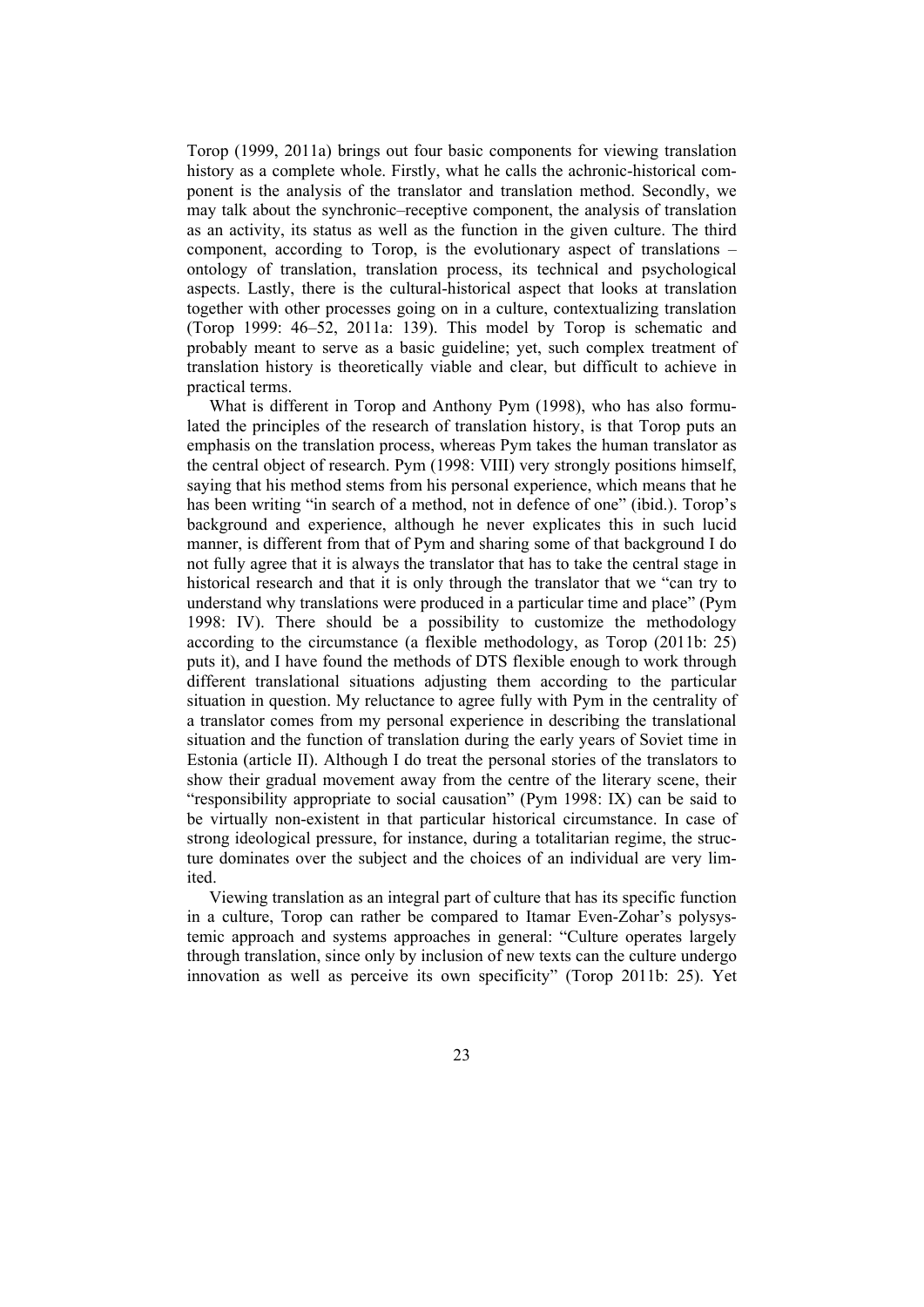Torop (1999, 2011a) brings out four basic components for viewing translation history as a complete whole. Firstly, what he calls the achronic-historical component is the analysis of the translator and translation method. Secondly, we may talk about the synchronic–receptive component, the analysis of translation as an activity, its status as well as the function in the given culture. The third component, according to Torop, is the evolutionary aspect of translations – ontology of translation, translation process, its technical and psychological aspects. Lastly, there is the cultural-historical aspect that looks at translation together with other processes going on in a culture, contextualizing translation (Torop 1999: 46–52, 2011a: 139). This model by Torop is schematic and probably meant to serve as a basic guideline; yet, such complex treatment of translation history is theoretically viable and clear, but difficult to achieve in practical terms.

What is different in Torop and Anthony Pym (1998), who has also formulated the principles of the research of translation history, is that Torop puts an emphasis on the translation process, whereas Pym takes the human translator as the central object of research. Pym (1998: VIII) very strongly positions himself, saying that his method stems from his personal experience, which means that he has been writing "in search of a method, not in defence of one" (ibid.). Torop's background and experience, although he never explicates this in such lucid manner, is different from that of Pym and sharing some of that background I do not fully agree that it is always the translator that has to take the central stage in historical research and that it is only through the translator that we "can try to understand why translations were produced in a particular time and place" (Pym 1998: IV). There should be a possibility to customize the methodology according to the circumstance (a flexible methodology, as Torop (2011b: 25) puts it), and I have found the methods of DTS flexible enough to work through different translational situations adjusting them according to the particular situation in question. My reluctance to agree fully with Pym in the centrality of a translator comes from my personal experience in describing the translational situation and the function of translation during the early years of Soviet time in Estonia (article II). Although I do treat the personal stories of the translators to show their gradual movement away from the centre of the literary scene, their "responsibility appropriate to social causation" (Pym 1998: IX) can be said to be virtually non-existent in that particular historical circumstance. In case of strong ideological pressure, for instance, during a totalitarian regime, the structure dominates over the subject and the choices of an individual are very limited.

Viewing translation as an integral part of culture that has its specific function in a culture, Torop can rather be compared to Itamar Even-Zohar's polysystemic approach and systems approaches in general: "Culture operates largely through translation, since only by inclusion of new texts can the culture undergo innovation as well as perceive its own specificity" (Torop 2011b: 25). Yet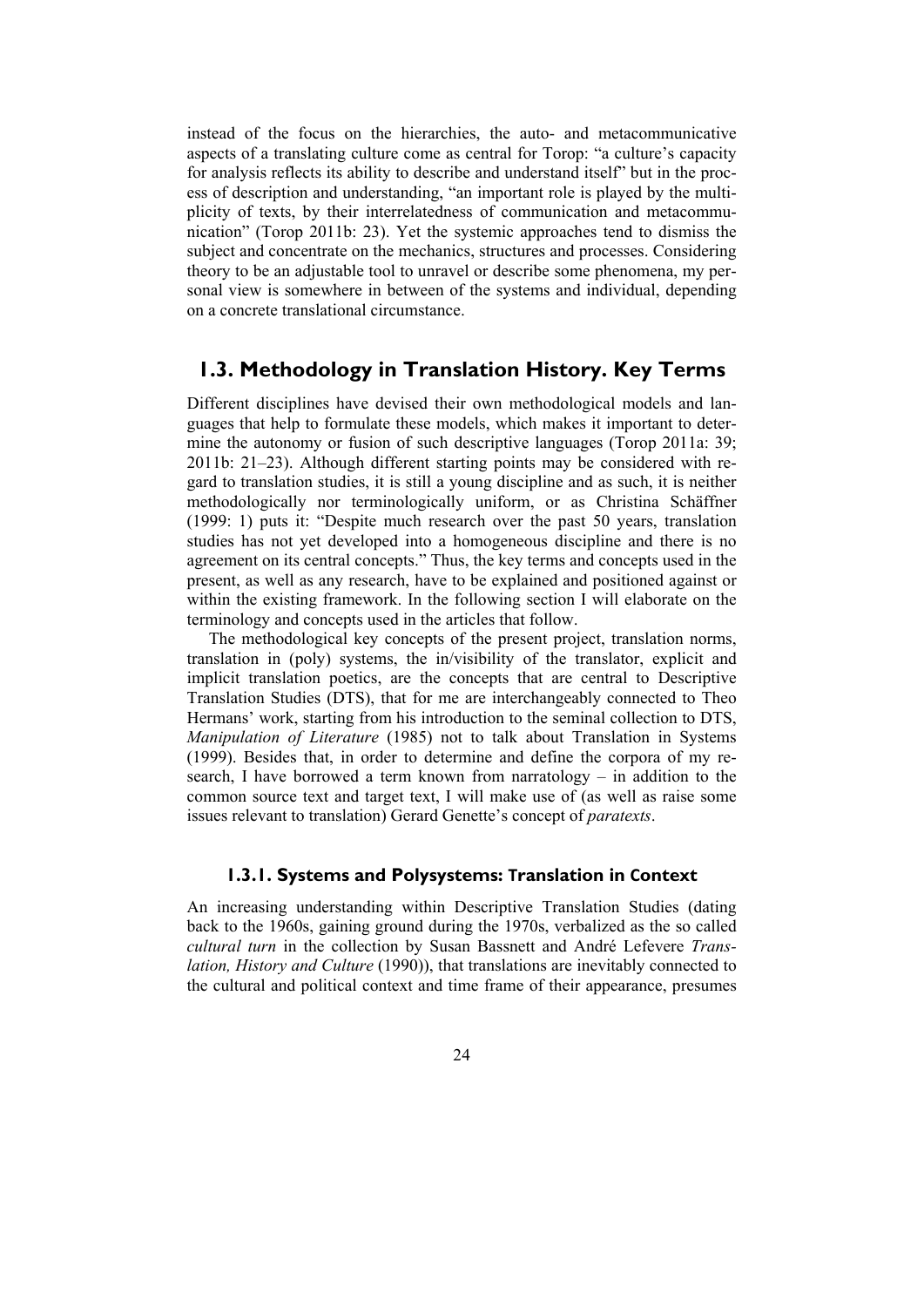instead of the focus on the hierarchies, the auto- and metacommunicative aspects of a translating culture come as central for Torop: "a culture's capacity for analysis reflects its ability to describe and understand itself" but in the process of description and understanding, "an important role is played by the multiplicity of texts, by their interrelatedness of communication and metacommunication" (Torop 2011b: 23). Yet the systemic approaches tend to dismiss the subject and concentrate on the mechanics, structures and processes. Considering theory to be an adjustable tool to unravel or describe some phenomena, my personal view is somewhere in between of the systems and individual, depending on a concrete translational circumstance.

### **1.3. Methodology in Translation History. Key Terms**

Different disciplines have devised their own methodological models and languages that help to formulate these models, which makes it important to determine the autonomy or fusion of such descriptive languages (Torop 2011a: 39; 2011b: 21–23). Although different starting points may be considered with regard to translation studies, it is still a young discipline and as such, it is neither methodologically nor terminologically uniform, or as Christina Schäffner (1999: 1) puts it: "Despite much research over the past 50 years, translation studies has not yet developed into a homogeneous discipline and there is no agreement on its central concepts." Thus, the key terms and concepts used in the present, as well as any research, have to be explained and positioned against or within the existing framework. In the following section I will elaborate on the terminology and concepts used in the articles that follow.

The methodological key concepts of the present project, translation norms, translation in (poly) systems, the in/visibility of the translator, explicit and implicit translation poetics, are the concepts that are central to Descriptive Translation Studies (DTS), that for me are interchangeably connected to Theo Hermans' work, starting from his introduction to the seminal collection to DTS, *Manipulation of Literature* (1985) not to talk about Translation in Systems (1999). Besides that, in order to determine and define the corpora of my research, I have borrowed a term known from narratology – in addition to the common source text and target text, I will make use of (as well as raise some issues relevant to translation) Gerard Genette's concept of *paratexts*.

#### **1.3.1. Systems and Polysystems: Translation in Context**

An increasing understanding within Descriptive Translation Studies (dating back to the 1960s, gaining ground during the 1970s, verbalized as the so called *cultural turn* in the collection by Susan Bassnett and André Lefevere *Translation, History and Culture* (1990)), that translations are inevitably connected to the cultural and political context and time frame of their appearance, presumes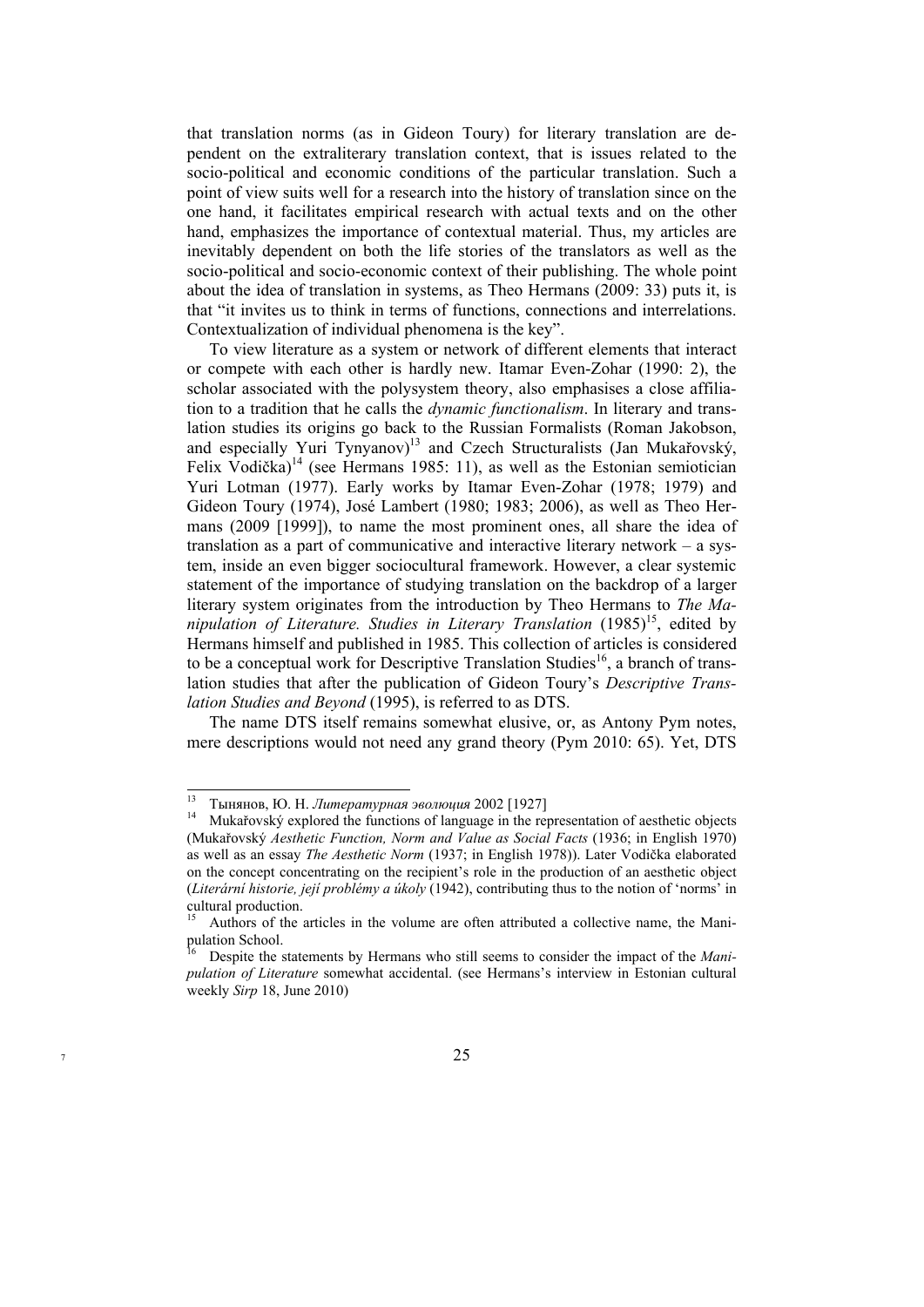that translation norms (as in Gideon Toury) for literary translation are dependent on the extraliterary translation context, that is issues related to the socio-political and economic conditions of the particular translation. Such a point of view suits well for a research into the history of translation since on the one hand, it facilitates empirical research with actual texts and on the other hand, emphasizes the importance of contextual material. Thus, my articles are inevitably dependent on both the life stories of the translators as well as the socio-political and socio-economic context of their publishing. The whole point about the idea of translation in systems, as Theo Hermans (2009: 33) puts it, is that "it invites us to think in terms of functions, connections and interrelations. Contextualization of individual phenomena is the key".

To view literature as a system or network of different elements that interact or compete with each other is hardly new. Itamar Even-Zohar (1990: 2), the scholar associated with the polysystem theory, also emphasises a close affiliation to a tradition that he calls the *dynamic functionalism*. In literary and translation studies its origins go back to the Russian Formalists (Roman Jakobson, and especially Yuri Tynyanov)<sup>13</sup> and Czech Structuralists (Jan Mukařovský, Felix Vodička)<sup>14</sup> (see Hermans 1985: 11), as well as the Estonian semiotician Yuri Lotman (1977). Early works by Itamar Even-Zohar (1978; 1979) and Gideon Toury (1974), José Lambert (1980; 1983; 2006), as well as Theo Hermans (2009 [1999]), to name the most prominent ones, all share the idea of translation as a part of communicative and interactive literary network – a system, inside an even bigger sociocultural framework. However, a clear systemic statement of the importance of studying translation on the backdrop of a larger literary system originates from the introduction by Theo Hermans to *The Ma*nipulation of Literature. Studies in Literary Translation (1985)<sup>15</sup>, edited by Hermans himself and published in 1985. This collection of articles is considered to be a conceptual work for Descriptive Translation Studies<sup>16</sup>, a branch of translation studies that after the publication of Gideon Toury's *Descriptive Translation Studies and Beyond* (1995), is referred to as DTS.

The name DTS itself remains somewhat elusive, or, as Antony Pym notes, mere descriptions would not need any grand theory (Pym 2010: 65). Yet, DTS

 $13$ 

<sup>&</sup>lt;sup>13</sup> Тынянов, Ю. Н. *Литературная* эволюция 2002 [1927]<br><sup>14</sup> Mukařovský explored the functions of language in the representation of aesthetic objects (Mukařovský *Aesthetic Function, Norm and Value as Social Facts* (1936; in English 1970) as well as an essay *The Aesthetic Norm* (1937; in English 1978)). Later Vodička elaborated on the concept concentrating on the recipient's role in the production of an aesthetic object (*Literární historie, její problémy a úkoly* (1942), contributing thus to the notion of 'norms' in cultural production.

<sup>15</sup> Authors of the articles in the volume are often attributed a collective name, the Manipulation School.

Despite the statements by Hermans who still seems to consider the impact of the *Manipulation of Literature* somewhat accidental. (see Hermans's interview in Estonian cultural weekly *Sirp* 18, June 2010)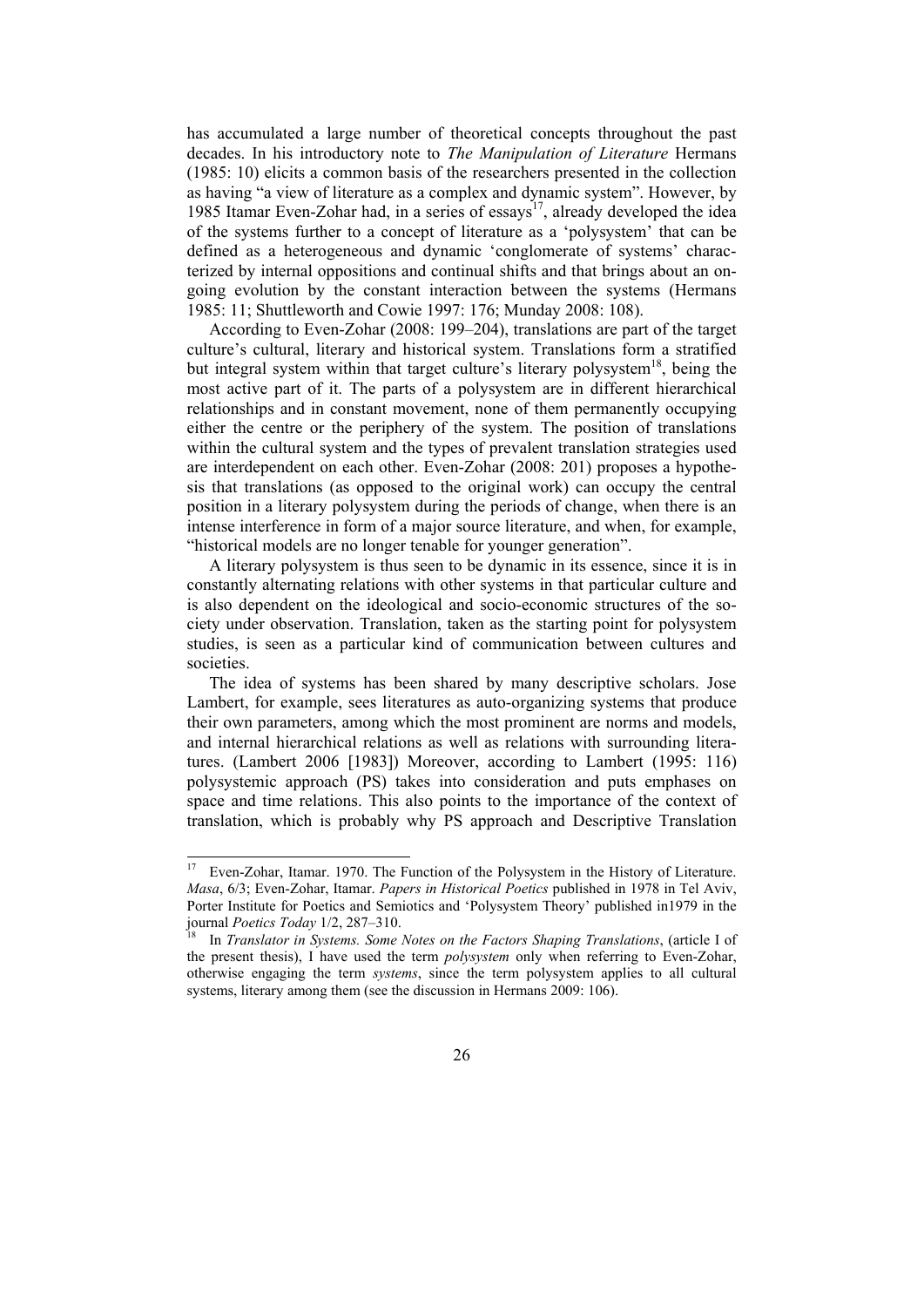has accumulated a large number of theoretical concepts throughout the past decades. In his introductory note to *The Manipulation of Literature* Hermans (1985: 10) elicits a common basis of the researchers presented in the collection as having "a view of literature as a complex and dynamic system". However, by 1985 Itamar Even-Zohar had, in a series of essays<sup>17</sup>, already developed the idea of the systems further to a concept of literature as a 'polysystem' that can be defined as a heterogeneous and dynamic 'conglomerate of systems' characterized by internal oppositions and continual shifts and that brings about an ongoing evolution by the constant interaction between the systems (Hermans 1985: 11; Shuttleworth and Cowie 1997: 176; Munday 2008: 108).

According to Even-Zohar (2008: 199–204), translations are part of the target culture's cultural, literary and historical system. Translations form a stratified but integral system within that target culture's literary polysystem<sup>18</sup>, being the most active part of it. The parts of a polysystem are in different hierarchical relationships and in constant movement, none of them permanently occupying either the centre or the periphery of the system. The position of translations within the cultural system and the types of prevalent translation strategies used are interdependent on each other. Even-Zohar (2008: 201) proposes a hypothesis that translations (as opposed to the original work) can occupy the central position in a literary polysystem during the periods of change, when there is an intense interference in form of a major source literature, and when, for example, "historical models are no longer tenable for younger generation".

A literary polysystem is thus seen to be dynamic in its essence, since it is in constantly alternating relations with other systems in that particular culture and is also dependent on the ideological and socio-economic structures of the society under observation. Translation, taken as the starting point for polysystem studies, is seen as a particular kind of communication between cultures and societies.

The idea of systems has been shared by many descriptive scholars. Jose Lambert, for example, sees literatures as auto-organizing systems that produce their own parameters, among which the most prominent are norms and models, and internal hierarchical relations as well as relations with surrounding literatures. (Lambert 2006 [1983]) Moreover, according to Lambert (1995: 116) polysystemic approach (PS) takes into consideration and puts emphases on space and time relations. This also points to the importance of the context of translation, which is probably why PS approach and Descriptive Translation

 $17\,$ 17 Even-Zohar, Itamar. 1970. The Function of the Polysystem in the History of Literature. *Masa*, 6/3; Even-Zohar, Itamar. *Papers in Historical Poetics* published in 1978 in Tel Aviv, Porter Institute for Poetics and Semiotics and 'Polysystem Theory' published in1979 in the journal *Poetics Today* 1/2, 287–310.

In *Translator in Systems. Some Notes on the Factors Shaping Translations*, (article I of the present thesis), I have used the term *polysystem* only when referring to Even-Zohar, otherwise engaging the term *systems*, since the term polysystem applies to all cultural systems, literary among them (see the discussion in Hermans 2009: 106).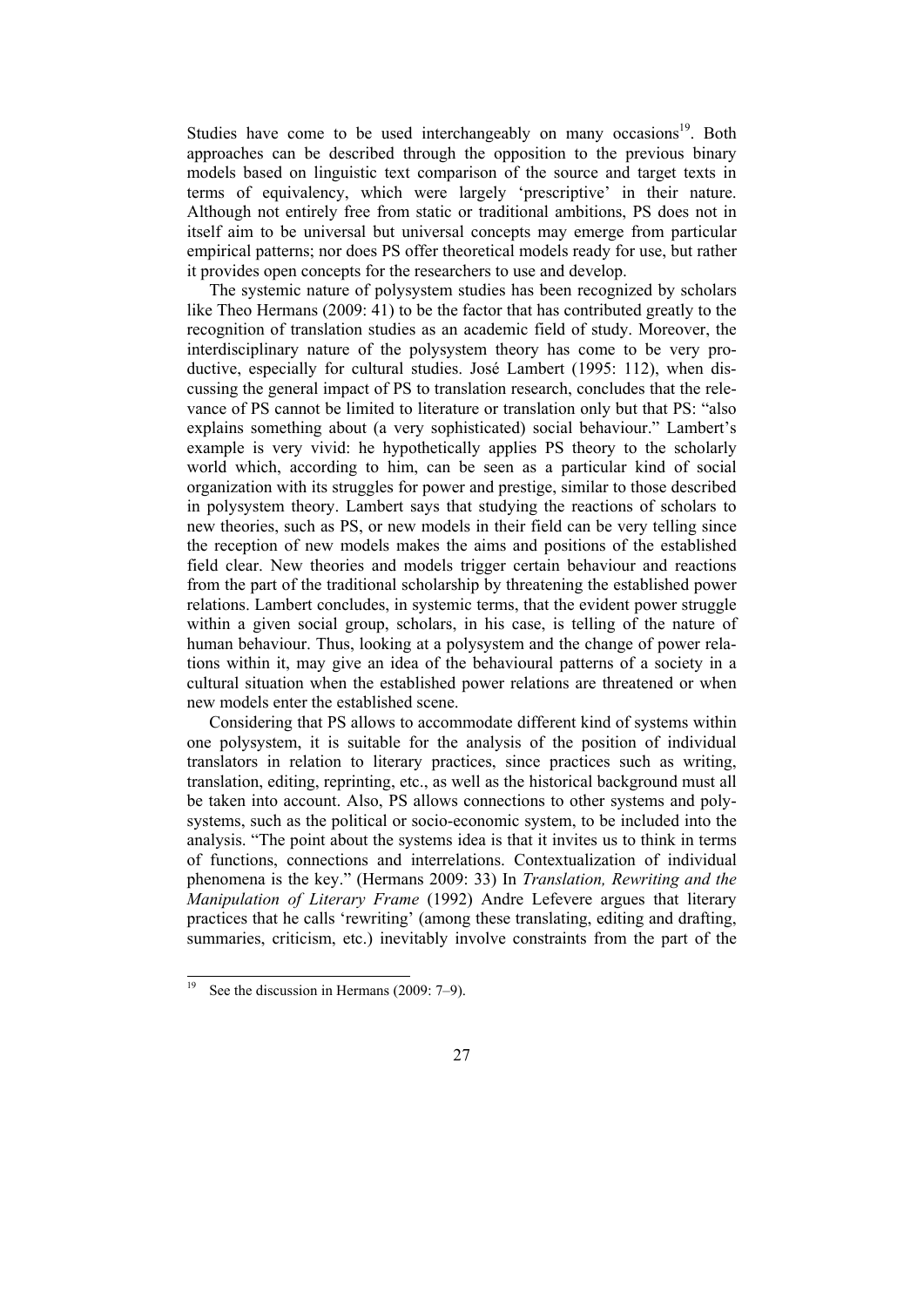Studies have come to be used interchangeably on many occasions<sup>19</sup>. Both approaches can be described through the opposition to the previous binary models based on linguistic text comparison of the source and target texts in terms of equivalency, which were largely 'prescriptive' in their nature. Although not entirely free from static or traditional ambitions, PS does not in itself aim to be universal but universal concepts may emerge from particular empirical patterns; nor does PS offer theoretical models ready for use, but rather it provides open concepts for the researchers to use and develop.

The systemic nature of polysystem studies has been recognized by scholars like Theo Hermans (2009: 41) to be the factor that has contributed greatly to the recognition of translation studies as an academic field of study. Moreover, the interdisciplinary nature of the polysystem theory has come to be very productive, especially for cultural studies. José Lambert (1995: 112), when discussing the general impact of PS to translation research, concludes that the relevance of PS cannot be limited to literature or translation only but that PS: "also explains something about (a very sophisticated) social behaviour." Lambert's example is very vivid: he hypothetically applies PS theory to the scholarly world which, according to him, can be seen as a particular kind of social organization with its struggles for power and prestige, similar to those described in polysystem theory. Lambert says that studying the reactions of scholars to new theories, such as PS, or new models in their field can be very telling since the reception of new models makes the aims and positions of the established field clear. New theories and models trigger certain behaviour and reactions from the part of the traditional scholarship by threatening the established power relations. Lambert concludes, in systemic terms, that the evident power struggle within a given social group, scholars, in his case, is telling of the nature of human behaviour. Thus, looking at a polysystem and the change of power relations within it, may give an idea of the behavioural patterns of a society in a cultural situation when the established power relations are threatened or when new models enter the established scene.

Considering that PS allows to accommodate different kind of systems within one polysystem, it is suitable for the analysis of the position of individual translators in relation to literary practices, since practices such as writing, translation, editing, reprinting, etc., as well as the historical background must all be taken into account. Also, PS allows connections to other systems and polysystems, such as the political or socio-economic system, to be included into the analysis. "The point about the systems idea is that it invites us to think in terms of functions, connections and interrelations. Contextualization of individual phenomena is the key." (Hermans 2009: 33) In *Translation, Rewriting and the Manipulation of Literary Frame* (1992) Andre Lefevere argues that literary practices that he calls 'rewriting' (among these translating, editing and drafting, summaries, criticism, etc.) inevitably involve constraints from the part of the

l

See the discussion in Hermans (2009: 7–9).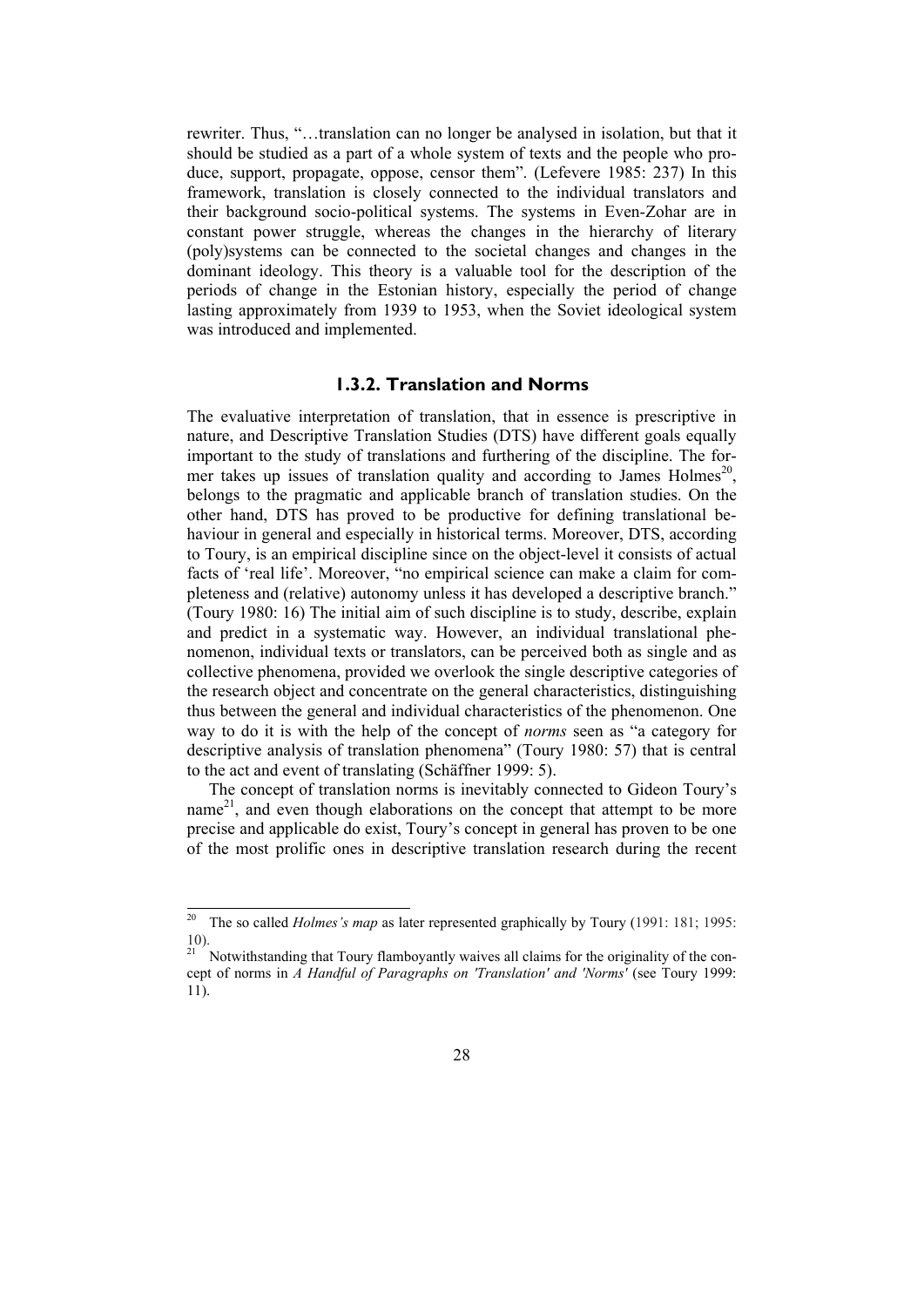rewriter. Thus, "…translation can no longer be analysed in isolation, but that it should be studied as a part of a whole system of texts and the people who produce, support, propagate, oppose, censor them". (Lefevere 1985: 237) In this framework, translation is closely connected to the individual translators and their background socio-political systems. The systems in Even-Zohar are in constant power struggle, whereas the changes in the hierarchy of literary (poly)systems can be connected to the societal changes and changes in the dominant ideology. This theory is a valuable tool for the description of the periods of change in the Estonian history, especially the period of change lasting approximately from 1939 to 1953, when the Soviet ideological system was introduced and implemented.

#### **1.3.2. Translation and Norms**

The evaluative interpretation of translation, that in essence is prescriptive in nature, and Descriptive Translation Studies (DTS) have different goals equally important to the study of translations and furthering of the discipline. The former takes up issues of translation quality and according to James Holmes<sup>20</sup>, belongs to the pragmatic and applicable branch of translation studies. On the other hand, DTS has proved to be productive for defining translational behaviour in general and especially in historical terms. Moreover, DTS, according to Toury, is an empirical discipline since on the object-level it consists of actual facts of 'real life'. Moreover, "no empirical science can make a claim for completeness and (relative) autonomy unless it has developed a descriptive branch." (Toury 1980: 16) The initial aim of such discipline is to study, describe, explain and predict in a systematic way. However, an individual translational phenomenon, individual texts or translators, can be perceived both as single and as collective phenomena, provided we overlook the single descriptive categories of the research object and concentrate on the general characteristics, distinguishing thus between the general and individual characteristics of the phenomenon. One way to do it is with the help of the concept of *norms* seen as "a category for descriptive analysis of translation phenomena" (Toury 1980: 57) that is central to the act and event of translating (Schäffner 1999: 5).

The concept of translation norms is inevitably connected to Gideon Toury's name<sup>21</sup>, and even though elaborations on the concept that attempt to be more precise and applicable do exist, Toury's concept in general has proven to be one of the most prolific ones in descriptive translation research during the recent

 $20\,$ 20 The so called *Holmes's map* as later represented graphically by Toury (1991: 181; 1995: 10).

 $21$ <sup>21</sup> Notwithstanding that Toury flamboyantly waives all claims for the originality of the concept of norms in *A Handful of Paragraphs on 'Translation' and 'Norms'* (see Toury 1999: 11).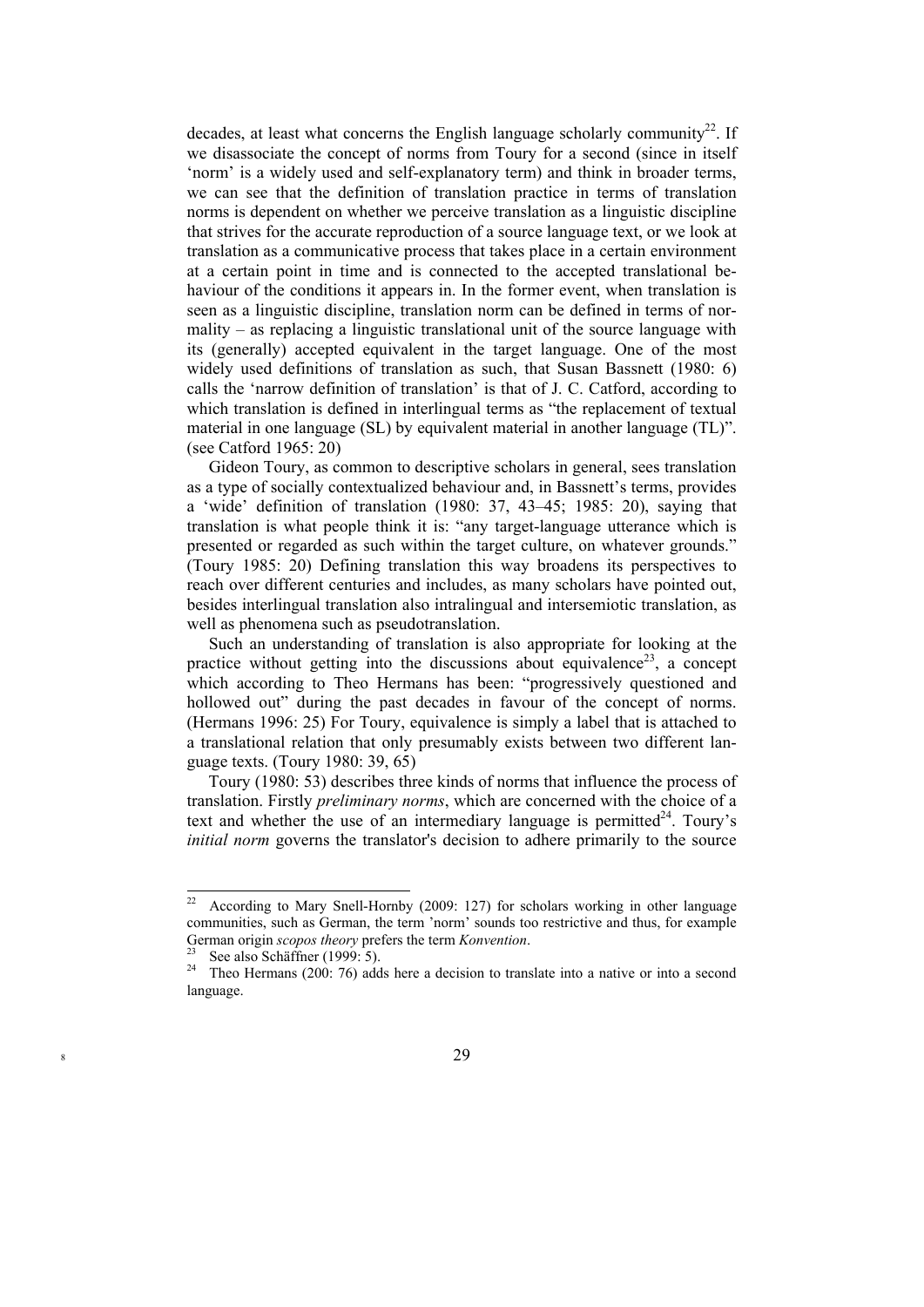decades, at least what concerns the English language scholarly community<sup>22</sup>. If we disassociate the concept of norms from Toury for a second (since in itself 'norm' is a widely used and self-explanatory term) and think in broader terms, we can see that the definition of translation practice in terms of translation norms is dependent on whether we perceive translation as a linguistic discipline that strives for the accurate reproduction of a source language text, or we look at translation as a communicative process that takes place in a certain environment at a certain point in time and is connected to the accepted translational behaviour of the conditions it appears in. In the former event, when translation is seen as a linguistic discipline, translation norm can be defined in terms of normality – as replacing a linguistic translational unit of the source language with its (generally) accepted equivalent in the target language. One of the most widely used definitions of translation as such, that Susan Bassnett (1980: 6) calls the 'narrow definition of translation' is that of J. C. Catford, according to which translation is defined in interlingual terms as "the replacement of textual material in one language (SL) by equivalent material in another language (TL)". (see Catford 1965: 20)

Gideon Toury, as common to descriptive scholars in general, sees translation as a type of socially contextualized behaviour and, in Bassnett's terms, provides a 'wide' definition of translation (1980: 37, 43–45; 1985: 20), saying that translation is what people think it is: "any target-language utterance which is presented or regarded as such within the target culture, on whatever grounds." (Toury 1985: 20) Defining translation this way broadens its perspectives to reach over different centuries and includes, as many scholars have pointed out, besides interlingual translation also intralingual and intersemiotic translation, as well as phenomena such as pseudotranslation.

Such an understanding of translation is also appropriate for looking at the practice without getting into the discussions about equivalence<sup>23</sup>, a concept which according to Theo Hermans has been: "progressively questioned and hollowed out" during the past decades in favour of the concept of norms. (Hermans 1996: 25) For Toury, equivalence is simply a label that is attached to a translational relation that only presumably exists between two different language texts. (Toury 1980: 39, 65)

Toury (1980: 53) describes three kinds of norms that influence the process of translation. Firstly *preliminary norms*, which are concerned with the choice of a text and whether the use of an intermediary language is permitted $24$ . Toury's *initial norm* governs the translator's decision to adhere primarily to the source

 $22$ According to Mary Snell-Hornby (2009: 127) for scholars working in other language communities, such as German, the term 'norm' sounds too restrictive and thus, for example German origin *scopos theory* prefers the term *Konvention*.<br><sup>23</sup> See also Schäffner (1999: 5).<br><sup>24</sup> Theo Hermans (200): 76) adds here a decision to treng

Theo Hermans (200: 76) adds here a decision to translate into a native or into a second language.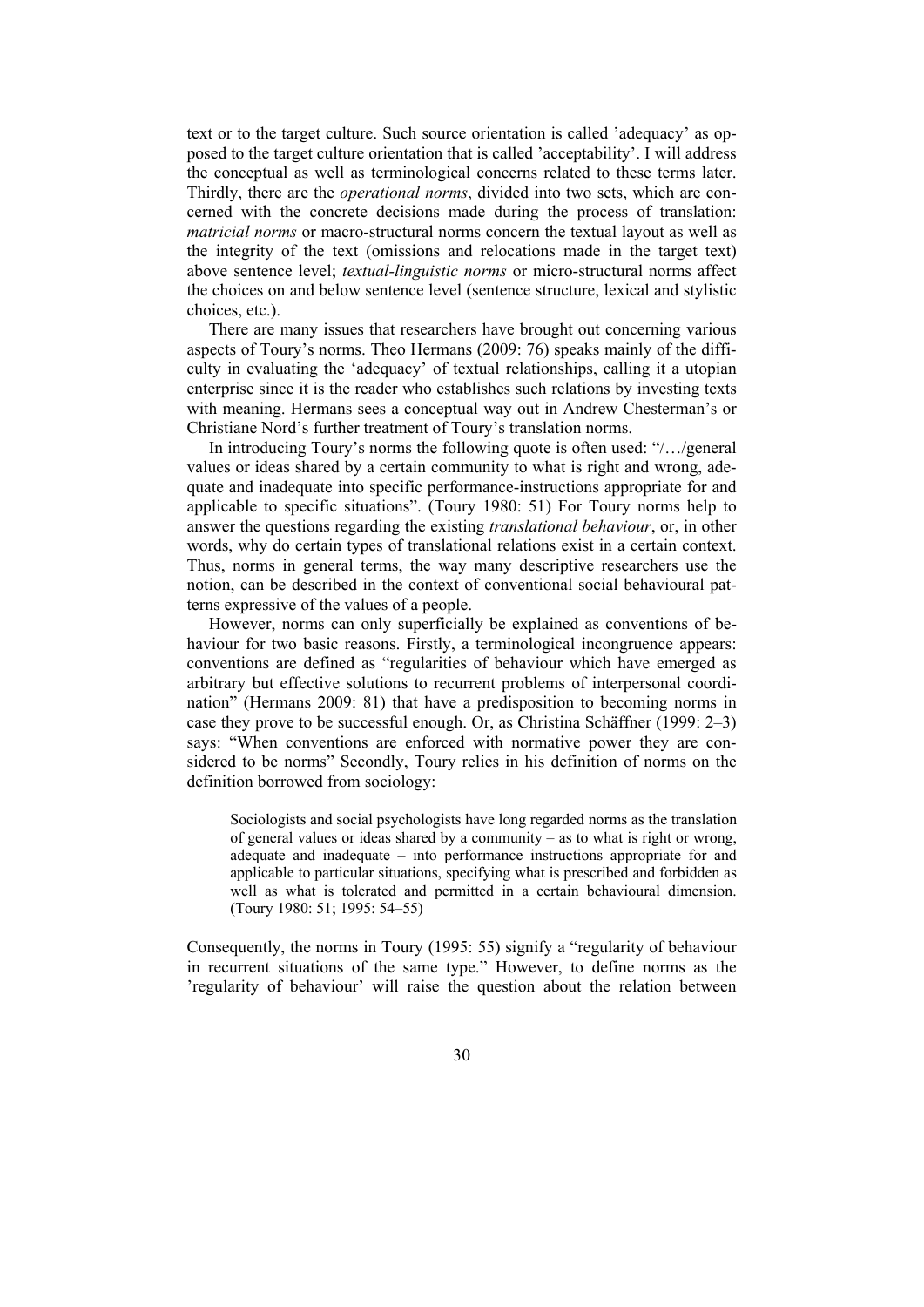text or to the target culture. Such source orientation is called 'adequacy' as opposed to the target culture orientation that is called 'acceptability'. I will address the conceptual as well as terminological concerns related to these terms later. Thirdly, there are the *operational norms*, divided into two sets, which are concerned with the concrete decisions made during the process of translation: *matricial norms* or macro-structural norms concern the textual layout as well as the integrity of the text (omissions and relocations made in the target text) above sentence level; *textual-linguistic norms* or micro-structural norms affect the choices on and below sentence level (sentence structure, lexical and stylistic choices, etc.).

There are many issues that researchers have brought out concerning various aspects of Toury's norms. Theo Hermans (2009: 76) speaks mainly of the difficulty in evaluating the 'adequacy' of textual relationships, calling it a utopian enterprise since it is the reader who establishes such relations by investing texts with meaning. Hermans sees a conceptual way out in Andrew Chesterman's or Christiane Nord's further treatment of Toury's translation norms.

In introducing Toury's norms the following quote is often used: "/…/general values or ideas shared by a certain community to what is right and wrong, adequate and inadequate into specific performance-instructions appropriate for and applicable to specific situations". (Toury 1980: 51) For Toury norms help to answer the questions regarding the existing *translational behaviour*, or, in other words, why do certain types of translational relations exist in a certain context. Thus, norms in general terms, the way many descriptive researchers use the notion, can be described in the context of conventional social behavioural patterns expressive of the values of a people.

However, norms can only superficially be explained as conventions of behaviour for two basic reasons. Firstly, a terminological incongruence appears: conventions are defined as "regularities of behaviour which have emerged as arbitrary but effective solutions to recurrent problems of interpersonal coordination" (Hermans 2009: 81) that have a predisposition to becoming norms in case they prove to be successful enough. Or, as Christina Schäffner (1999: 2–3) says: "When conventions are enforced with normative power they are considered to be norms" Secondly, Toury relies in his definition of norms on the definition borrowed from sociology:

Sociologists and social psychologists have long regarded norms as the translation of general values or ideas shared by a community – as to what is right or wrong, adequate and inadequate – into performance instructions appropriate for and applicable to particular situations, specifying what is prescribed and forbidden as well as what is tolerated and permitted in a certain behavioural dimension. (Toury 1980: 51; 1995: 54–55)

Consequently, the norms in Toury (1995: 55) signify a "regularity of behaviour in recurrent situations of the same type." However, to define norms as the 'regularity of behaviour' will raise the question about the relation between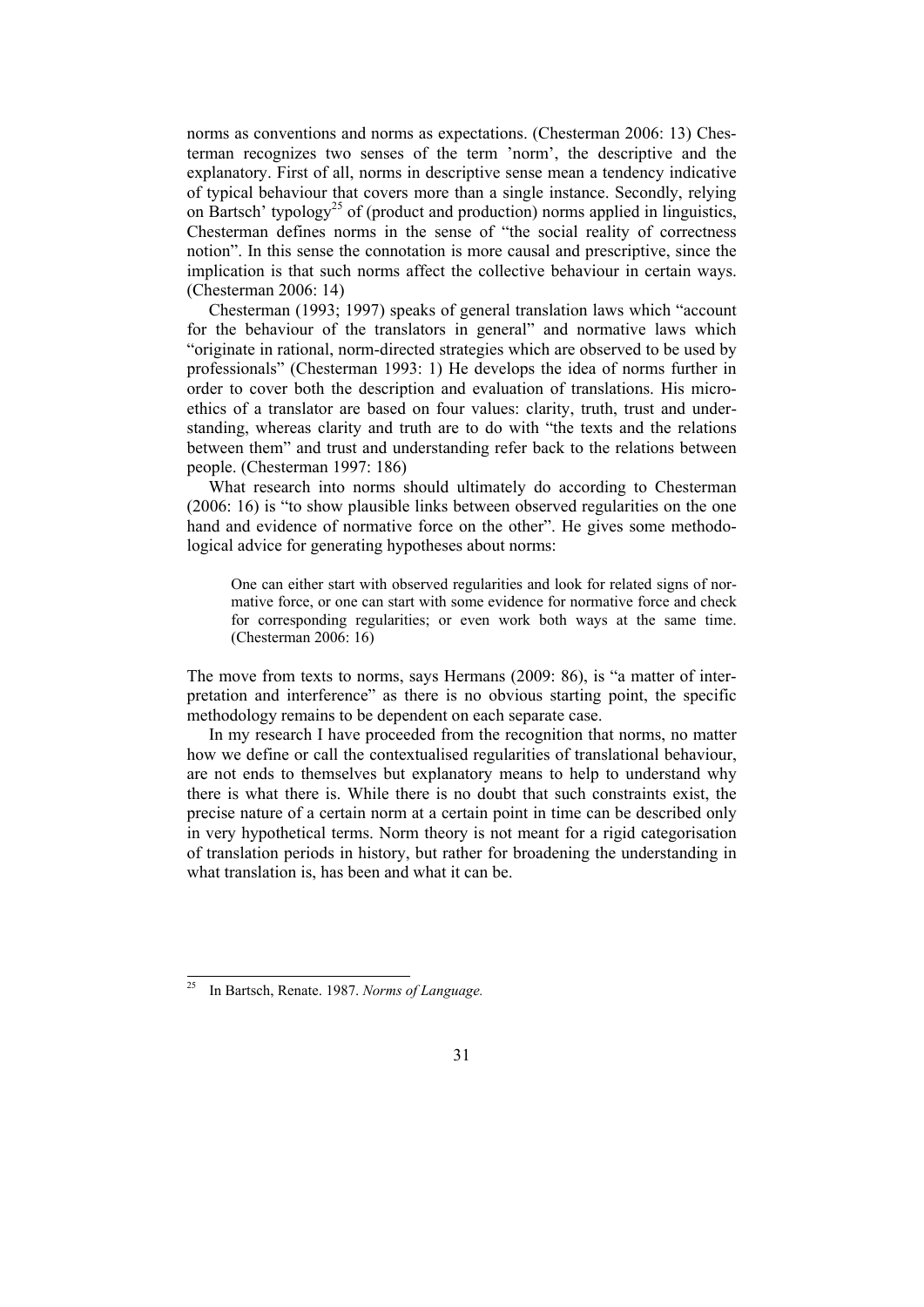norms as conventions and norms as expectations. (Chesterman 2006: 13) Chesterman recognizes two senses of the term 'norm', the descriptive and the explanatory. First of all, norms in descriptive sense mean a tendency indicative of typical behaviour that covers more than a single instance. Secondly, relying on Bartsch' typology<sup>25</sup> of (product and production) norms applied in linguistics, Chesterman defines norms in the sense of "the social reality of correctness" notion". In this sense the connotation is more causal and prescriptive, since the implication is that such norms affect the collective behaviour in certain ways. (Chesterman 2006: 14)

Chesterman (1993; 1997) speaks of general translation laws which "account for the behaviour of the translators in general" and normative laws which "originate in rational, norm-directed strategies which are observed to be used by professionals" (Chesterman 1993: 1) He develops the idea of norms further in order to cover both the description and evaluation of translations. His microethics of a translator are based on four values: clarity, truth, trust and understanding, whereas clarity and truth are to do with "the texts and the relations between them" and trust and understanding refer back to the relations between people. (Chesterman 1997: 186)

What research into norms should ultimately do according to Chesterman (2006: 16) is "to show plausible links between observed regularities on the one hand and evidence of normative force on the other". He gives some methodological advice for generating hypotheses about norms:

One can either start with observed regularities and look for related signs of normative force, or one can start with some evidence for normative force and check for corresponding regularities; or even work both ways at the same time. (Chesterman 2006: 16)

The move from texts to norms, says Hermans (2009: 86), is "a matter of interpretation and interference" as there is no obvious starting point, the specific methodology remains to be dependent on each separate case.

In my research I have proceeded from the recognition that norms, no matter how we define or call the contextualised regularities of translational behaviour, are not ends to themselves but explanatory means to help to understand why there is what there is. While there is no doubt that such constraints exist, the precise nature of a certain norm at a certain point in time can be described only in very hypothetical terms. Norm theory is not meant for a rigid categorisation of translation periods in history, but rather for broadening the understanding in what translation is, has been and what it can be.

l

In Bartsch, Renate. 1987. *Norms of Language.*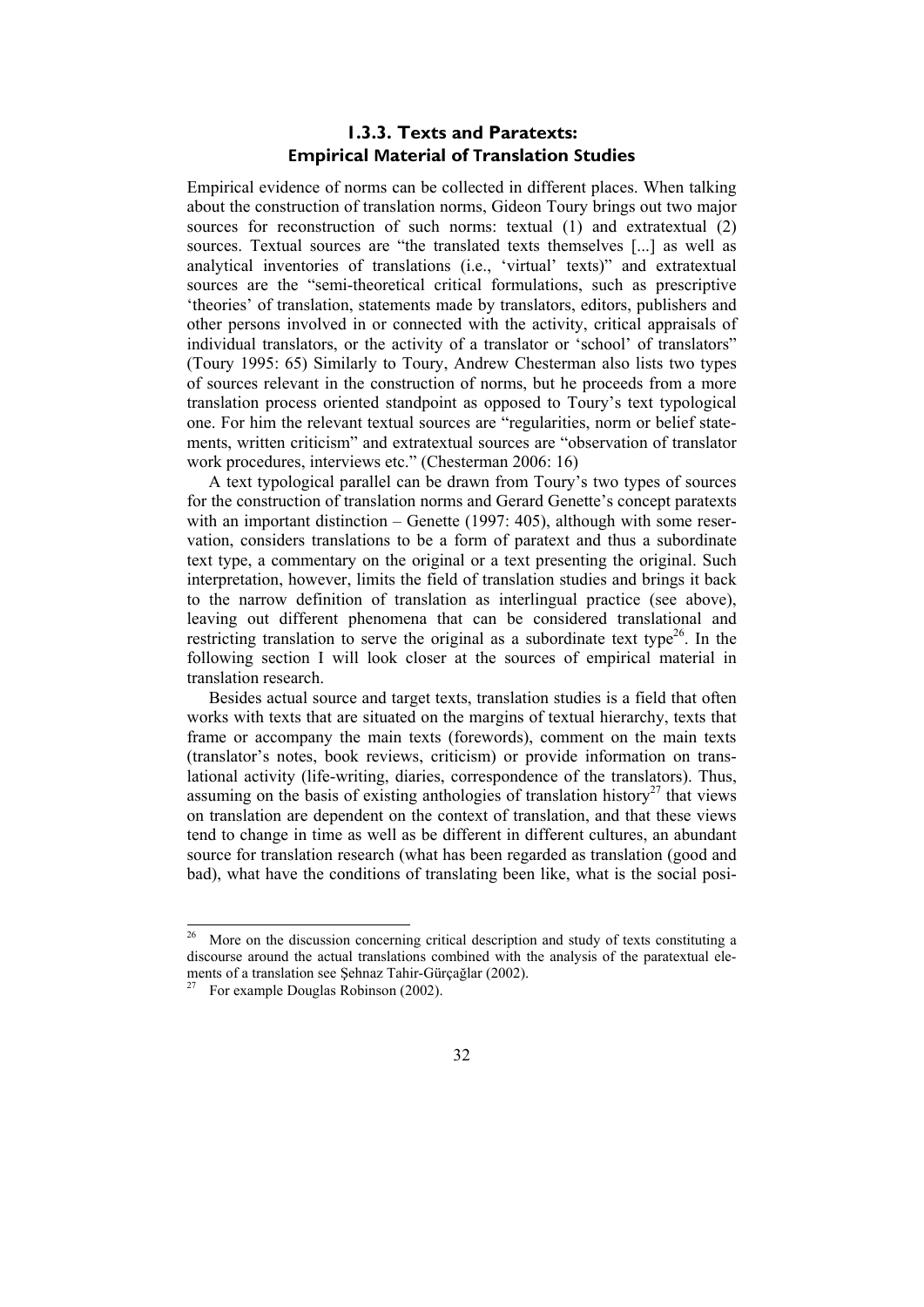### **1.3.3. Texts and Paratexts: Empirical Material of Translation Studies**

Empirical evidence of norms can be collected in different places. When talking about the construction of translation norms, Gideon Toury brings out two major sources for reconstruction of such norms: textual (1) and extratextual (2) sources. Textual sources are "the translated texts themselves [...] as well as analytical inventories of translations (i.e., 'virtual' texts)" and extratextual sources are the "semi-theoretical critical formulations, such as prescriptive 'theories' of translation, statements made by translators, editors, publishers and other persons involved in or connected with the activity, critical appraisals of individual translators, or the activity of a translator or 'school' of translators" (Toury 1995: 65) Similarly to Toury, Andrew Chesterman also lists two types of sources relevant in the construction of norms, but he proceeds from a more translation process oriented standpoint as opposed to Toury's text typological one. For him the relevant textual sources are "regularities, norm or belief statements, written criticism" and extratextual sources are "observation of translator work procedures, interviews etc." (Chesterman 2006: 16)

A text typological parallel can be drawn from Toury's two types of sources for the construction of translation norms and Gerard Genette's concept paratexts with an important distinction – Genette (1997: 405), although with some reservation, considers translations to be a form of paratext and thus a subordinate text type, a commentary on the original or a text presenting the original. Such interpretation, however, limits the field of translation studies and brings it back to the narrow definition of translation as interlingual practice (see above), leaving out different phenomena that can be considered translational and restricting translation to serve the original as a subordinate text type<sup>26</sup>. In the following section I will look closer at the sources of empirical material in translation research.

Besides actual source and target texts, translation studies is a field that often works with texts that are situated on the margins of textual hierarchy, texts that frame or accompany the main texts (forewords), comment on the main texts (translator's notes, book reviews, criticism) or provide information on translational activity (life-writing, diaries, correspondence of the translators). Thus, assuming on the basis of existing anthologies of translation history<sup>27</sup> that views on translation are dependent on the context of translation, and that these views tend to change in time as well as be different in different cultures, an abundant source for translation research (what has been regarded as translation (good and bad), what have the conditions of translating been like, what is the social posi-

 $26\,$ 26 More on the discussion concerning critical description and study of texts constituting a discourse around the actual translations combined with the analysis of the paratextual elements of a translation see Şehnaz Tahir-Gürçağlar (2002).<br><sup>27</sup> For example Douglas Robinson (2002).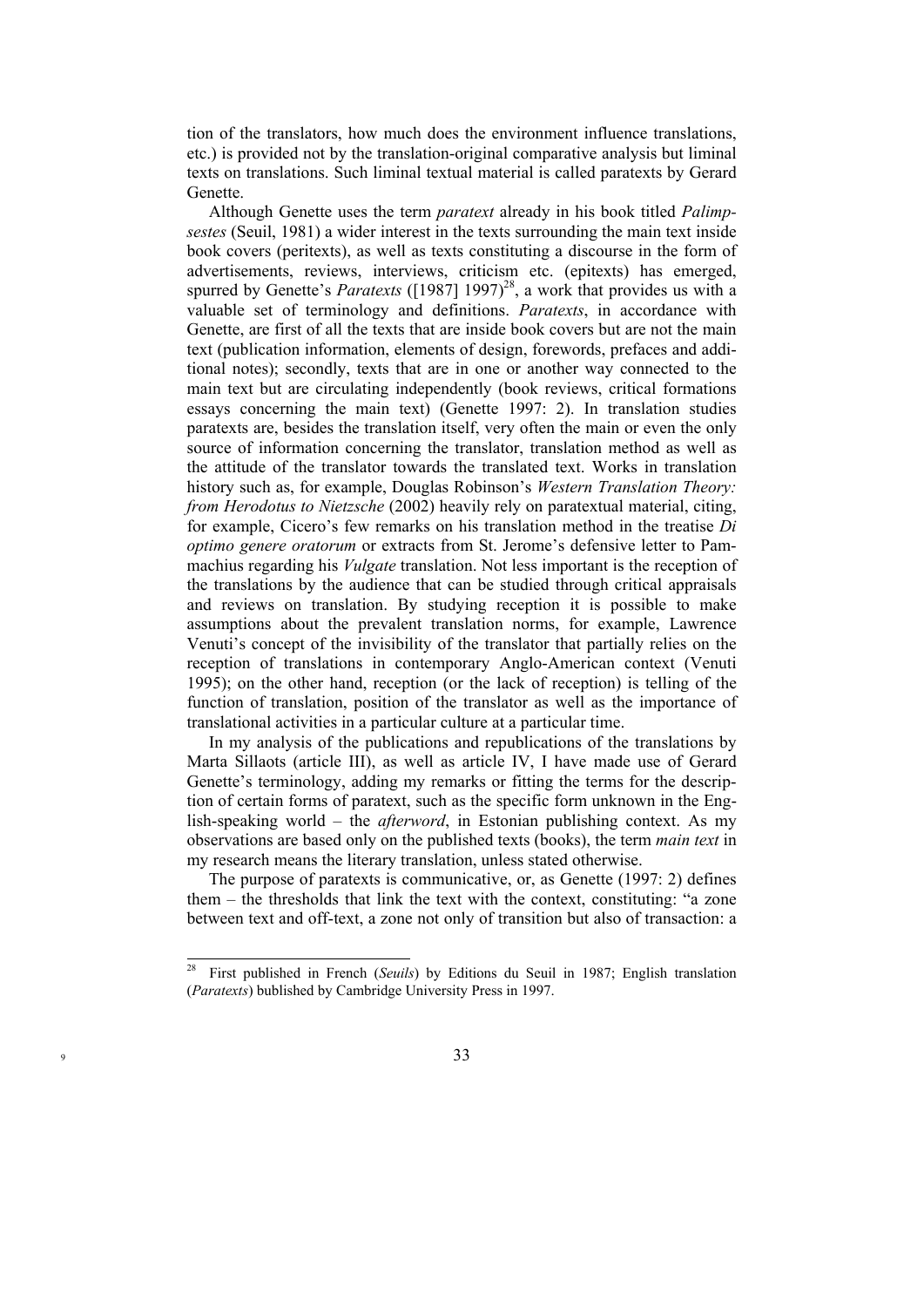tion of the translators, how much does the environment influence translations, etc.) is provided not by the translation-original comparative analysis but liminal texts on translations. Such liminal textual material is called paratexts by Gerard Genette.

Although Genette uses the term *paratext* already in his book titled *Palimpsestes* (Seuil, 1981) a wider interest in the texts surrounding the main text inside book covers (peritexts), as well as texts constituting a discourse in the form of advertisements, reviews, interviews, criticism etc. (epitexts) has emerged, spurred by Genette's *Paratexts* ( $[1987]$  1997)<sup>28</sup>, a work that provides us with a valuable set of terminology and definitions. *Paratexts*, in accordance with Genette, are first of all the texts that are inside book covers but are not the main text (publication information, elements of design, forewords, prefaces and additional notes); secondly, texts that are in one or another way connected to the main text but are circulating independently (book reviews, critical formations essays concerning the main text) (Genette 1997: 2). In translation studies paratexts are, besides the translation itself, very often the main or even the only source of information concerning the translator, translation method as well as the attitude of the translator towards the translated text. Works in translation history such as, for example, Douglas Robinson's *Western Translation Theory: from Herodotus to Nietzsche* (2002) heavily rely on paratextual material, citing, for example, Cicero's few remarks on his translation method in the treatise *Di optimo genere oratorum* or extracts from St. Jerome's defensive letter to Pammachius regarding his *Vulgate* translation. Not less important is the reception of the translations by the audience that can be studied through critical appraisals and reviews on translation. By studying reception it is possible to make assumptions about the prevalent translation norms, for example, Lawrence Venuti's concept of the invisibility of the translator that partially relies on the reception of translations in contemporary Anglo-American context (Venuti 1995); on the other hand, reception (or the lack of reception) is telling of the function of translation, position of the translator as well as the importance of translational activities in a particular culture at a particular time.

In my analysis of the publications and republications of the translations by Marta Sillaots (article III), as well as article IV, I have made use of Gerard Genette's terminology, adding my remarks or fitting the terms for the description of certain forms of paratext, such as the specific form unknown in the English-speaking world – the *afterword*, in Estonian publishing context. As my observations are based only on the published texts (books), the term *main text* in my research means the literary translation, unless stated otherwise.

The purpose of paratexts is communicative, or, as Genette (1997: 2) defines them – the thresholds that link the text with the context, constituting: "a zone between text and off-text, a zone not only of transition but also of transaction: a

<sup>28</sup> First published in French (*Seuils*) by Editions du Seuil in 1987; English translation (*Paratexts*) bublished by Cambridge University Press in 1997.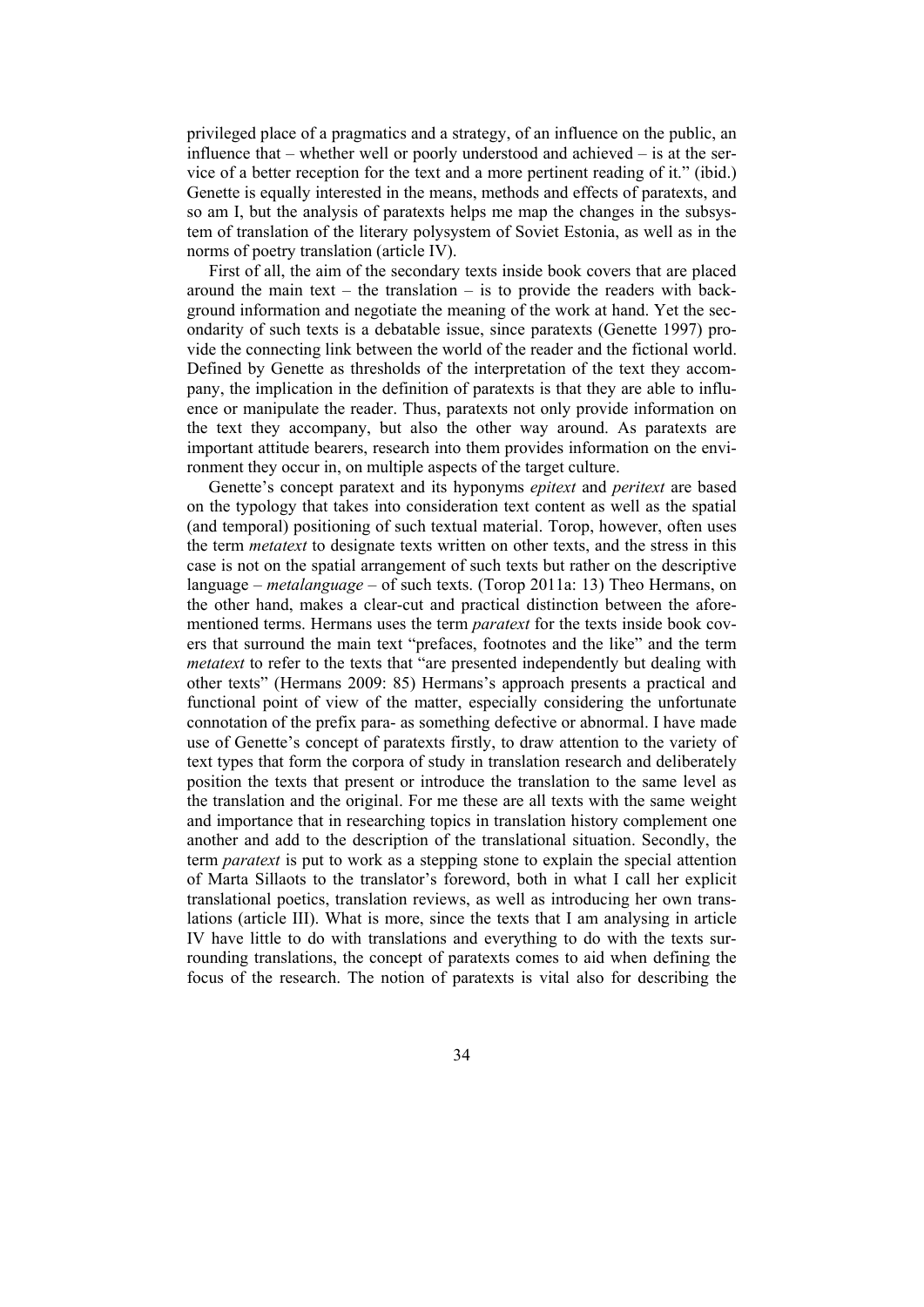privileged place of a pragmatics and a strategy, of an influence on the public, an influence that  $-$  whether well or poorly understood and achieved  $-$  is at the service of a better reception for the text and a more pertinent reading of it." (ibid.) Genette is equally interested in the means, methods and effects of paratexts, and so am I, but the analysis of paratexts helps me map the changes in the subsystem of translation of the literary polysystem of Soviet Estonia, as well as in the norms of poetry translation (article IV).

First of all, the aim of the secondary texts inside book covers that are placed around the main text – the translation – is to provide the readers with background information and negotiate the meaning of the work at hand. Yet the secondarity of such texts is a debatable issue, since paratexts (Genette 1997) provide the connecting link between the world of the reader and the fictional world. Defined by Genette as thresholds of the interpretation of the text they accompany, the implication in the definition of paratexts is that they are able to influence or manipulate the reader. Thus, paratexts not only provide information on the text they accompany, but also the other way around. As paratexts are important attitude bearers, research into them provides information on the environment they occur in, on multiple aspects of the target culture.

Genette's concept paratext and its hyponyms *epitext* and *peritext* are based on the typology that takes into consideration text content as well as the spatial (and temporal) positioning of such textual material. Torop, however, often uses the term *metatext* to designate texts written on other texts, and the stress in this case is not on the spatial arrangement of such texts but rather on the descriptive language – *metalanguage* – of such texts. (Torop 2011a: 13) Theo Hermans, on the other hand, makes a clear-cut and practical distinction between the aforementioned terms. Hermans uses the term *paratext* for the texts inside book covers that surround the main text "prefaces, footnotes and the like" and the term *metatext* to refer to the texts that "are presented independently but dealing with other texts" (Hermans 2009: 85) Hermans's approach presents a practical and functional point of view of the matter, especially considering the unfortunate connotation of the prefix para- as something defective or abnormal. I have made use of Genette's concept of paratexts firstly, to draw attention to the variety of text types that form the corpora of study in translation research and deliberately position the texts that present or introduce the translation to the same level as the translation and the original. For me these are all texts with the same weight and importance that in researching topics in translation history complement one another and add to the description of the translational situation. Secondly, the term *paratext* is put to work as a stepping stone to explain the special attention of Marta Sillaots to the translator's foreword, both in what I call her explicit translational poetics, translation reviews, as well as introducing her own translations (article III). What is more, since the texts that I am analysing in article IV have little to do with translations and everything to do with the texts surrounding translations, the concept of paratexts comes to aid when defining the focus of the research. The notion of paratexts is vital also for describing the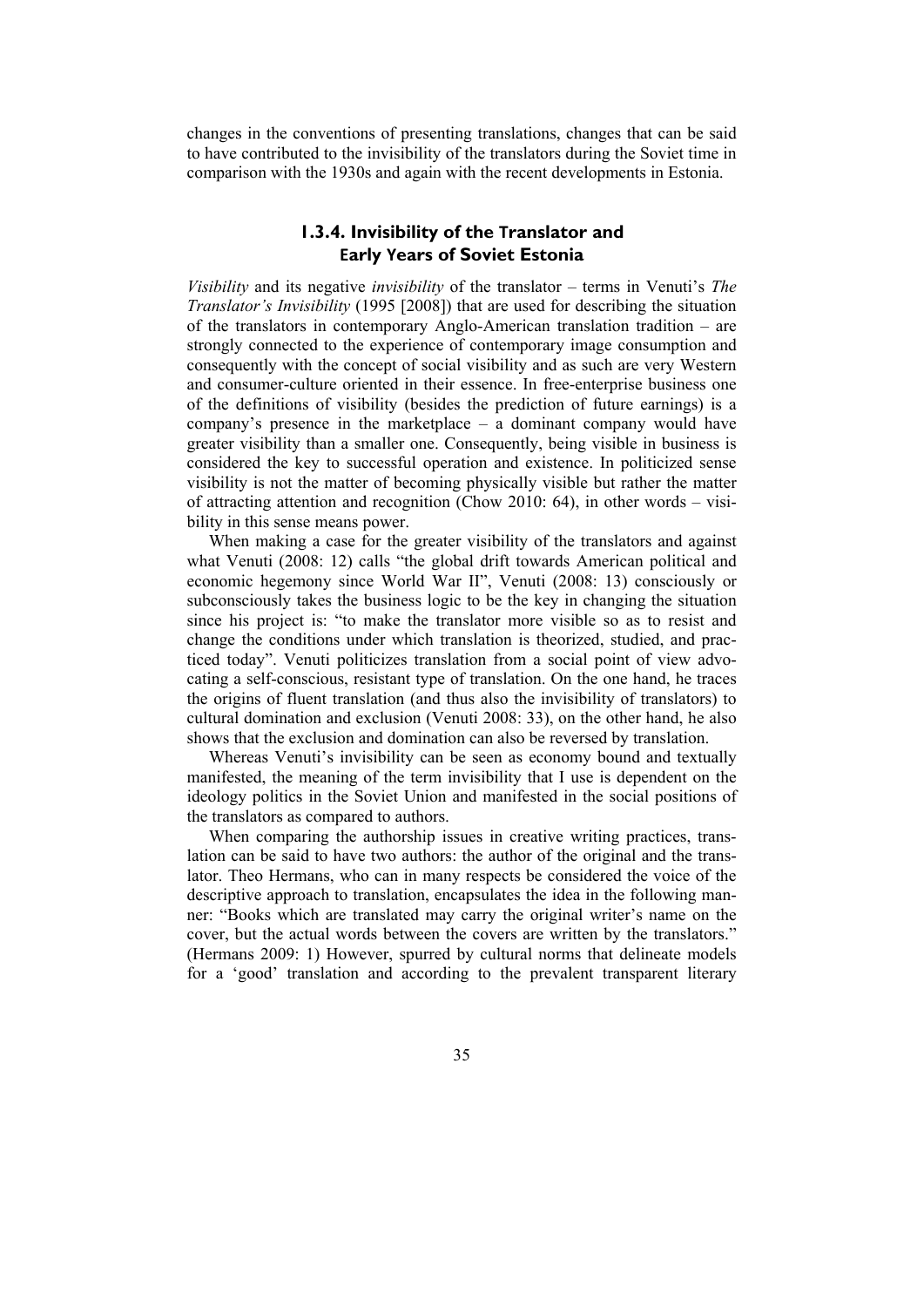changes in the conventions of presenting translations, changes that can be said to have contributed to the invisibility of the translators during the Soviet time in comparison with the 1930s and again with the recent developments in Estonia.

### **1.3.4. Invisibility of the Translator and Early Years of Soviet Estonia**

*Visibility* and its negative *invisibility* of the translator – terms in Venuti's *The Translator's Invisibility* (1995 [2008]) that are used for describing the situation of the translators in contemporary Anglo-American translation tradition – are strongly connected to the experience of contemporary image consumption and consequently with the concept of social visibility and as such are very Western and consumer-culture oriented in their essence. In free-enterprise business one of the definitions of visibility (besides the prediction of future earnings) is a company's presence in the marketplace – a dominant company would have greater visibility than a smaller one. Consequently, being visible in business is considered the key to successful operation and existence. In politicized sense visibility is not the matter of becoming physically visible but rather the matter of attracting attention and recognition (Chow 2010: 64), in other words – visibility in this sense means power.

When making a case for the greater visibility of the translators and against what Venuti (2008: 12) calls "the global drift towards American political and economic hegemony since World War II", Venuti (2008: 13) consciously or subconsciously takes the business logic to be the key in changing the situation since his project is: "to make the translator more visible so as to resist and change the conditions under which translation is theorized, studied, and practiced today". Venuti politicizes translation from a social point of view advocating a self-conscious, resistant type of translation. On the one hand, he traces the origins of fluent translation (and thus also the invisibility of translators) to cultural domination and exclusion (Venuti 2008: 33), on the other hand, he also shows that the exclusion and domination can also be reversed by translation.

Whereas Venuti's invisibility can be seen as economy bound and textually manifested, the meaning of the term invisibility that I use is dependent on the ideology politics in the Soviet Union and manifested in the social positions of the translators as compared to authors.

When comparing the authorship issues in creative writing practices, translation can be said to have two authors: the author of the original and the translator. Theo Hermans, who can in many respects be considered the voice of the descriptive approach to translation, encapsulates the idea in the following manner: "Books which are translated may carry the original writer's name on the cover, but the actual words between the covers are written by the translators." (Hermans 2009: 1) However, spurred by cultural norms that delineate models for a 'good' translation and according to the prevalent transparent literary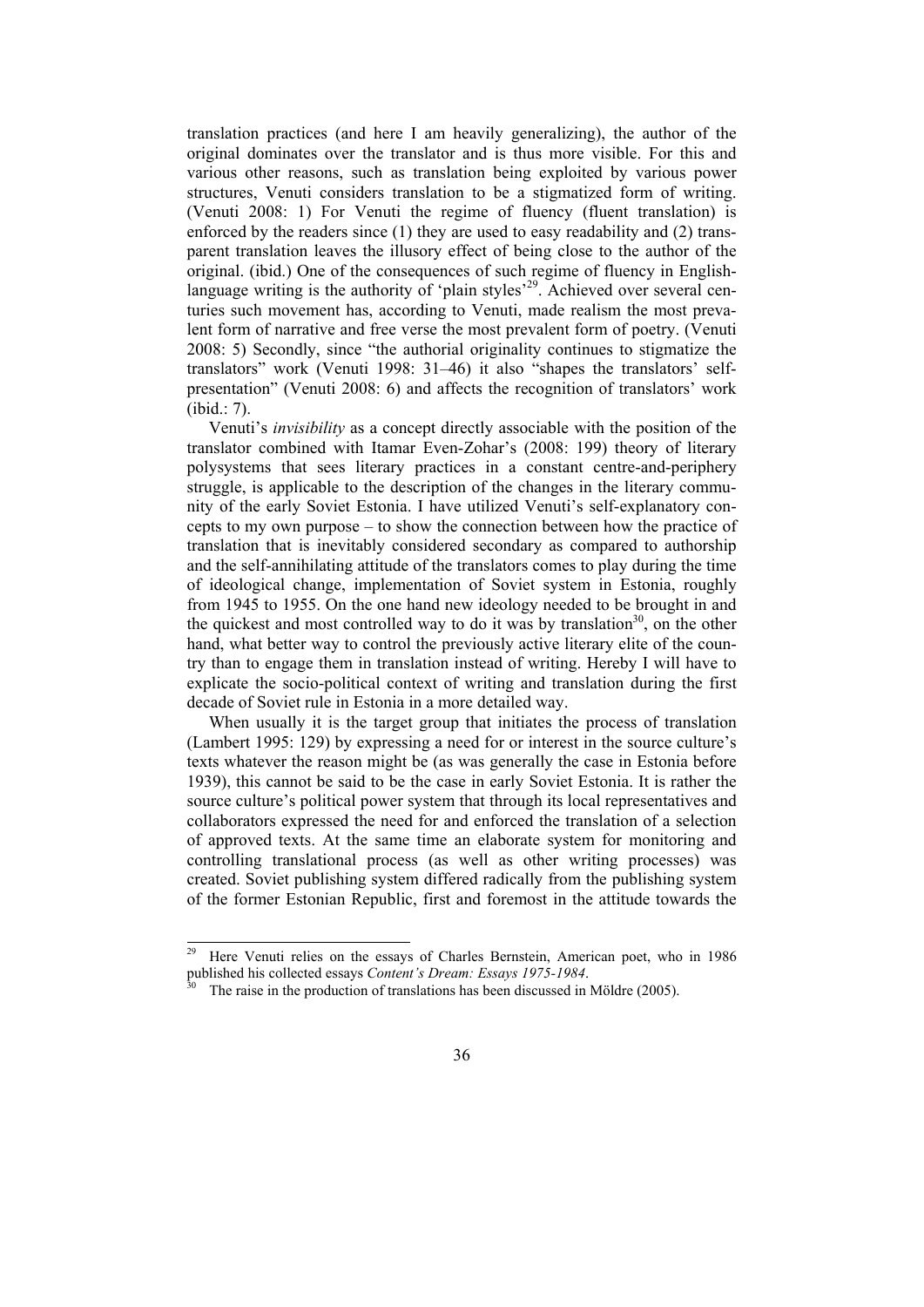translation practices (and here I am heavily generalizing), the author of the original dominates over the translator and is thus more visible. For this and various other reasons, such as translation being exploited by various power structures, Venuti considers translation to be a stigmatized form of writing. (Venuti 2008: 1) For Venuti the regime of fluency (fluent translation) is enforced by the readers since (1) they are used to easy readability and (2) transparent translation leaves the illusory effect of being close to the author of the original. (ibid.) One of the consequences of such regime of fluency in Englishlanguage writing is the authority of 'plain styles'<sup>29</sup>. Achieved over several centuries such movement has, according to Venuti, made realism the most prevalent form of narrative and free verse the most prevalent form of poetry. (Venuti 2008: 5) Secondly, since "the authorial originality continues to stigmatize the translators" work (Venuti 1998: 31–46) it also "shapes the translators' selfpresentation" (Venuti 2008: 6) and affects the recognition of translators' work (ibid.: 7).

Venuti's *invisibility* as a concept directly associable with the position of the translator combined with Itamar Even-Zohar's (2008: 199) theory of literary polysystems that sees literary practices in a constant centre-and-periphery struggle, is applicable to the description of the changes in the literary community of the early Soviet Estonia. I have utilized Venuti's self-explanatory concepts to my own purpose – to show the connection between how the practice of translation that is inevitably considered secondary as compared to authorship and the self-annihilating attitude of the translators comes to play during the time of ideological change, implementation of Soviet system in Estonia, roughly from 1945 to 1955. On the one hand new ideology needed to be brought in and the quickest and most controlled way to do it was by translation<sup>30</sup>, on the other hand, what better way to control the previously active literary elite of the country than to engage them in translation instead of writing. Hereby I will have to explicate the socio-political context of writing and translation during the first decade of Soviet rule in Estonia in a more detailed way.

When usually it is the target group that initiates the process of translation (Lambert 1995: 129) by expressing a need for or interest in the source culture's texts whatever the reason might be (as was generally the case in Estonia before 1939), this cannot be said to be the case in early Soviet Estonia. It is rather the source culture's political power system that through its local representatives and collaborators expressed the need for and enforced the translation of a selection of approved texts. At the same time an elaborate system for monitoring and controlling translational process (as well as other writing processes) was created. Soviet publishing system differed radically from the publishing system of the former Estonian Republic, first and foremost in the attitude towards the

<sup>29</sup> Here Venuti relies on the essays of Charles Bernstein, American poet, who in 1986 published his collected essays *Content's Dream: Essays 1975-1984*.<br><sup>30</sup> The raise in the production of translations has been discussed in Möldre (2005).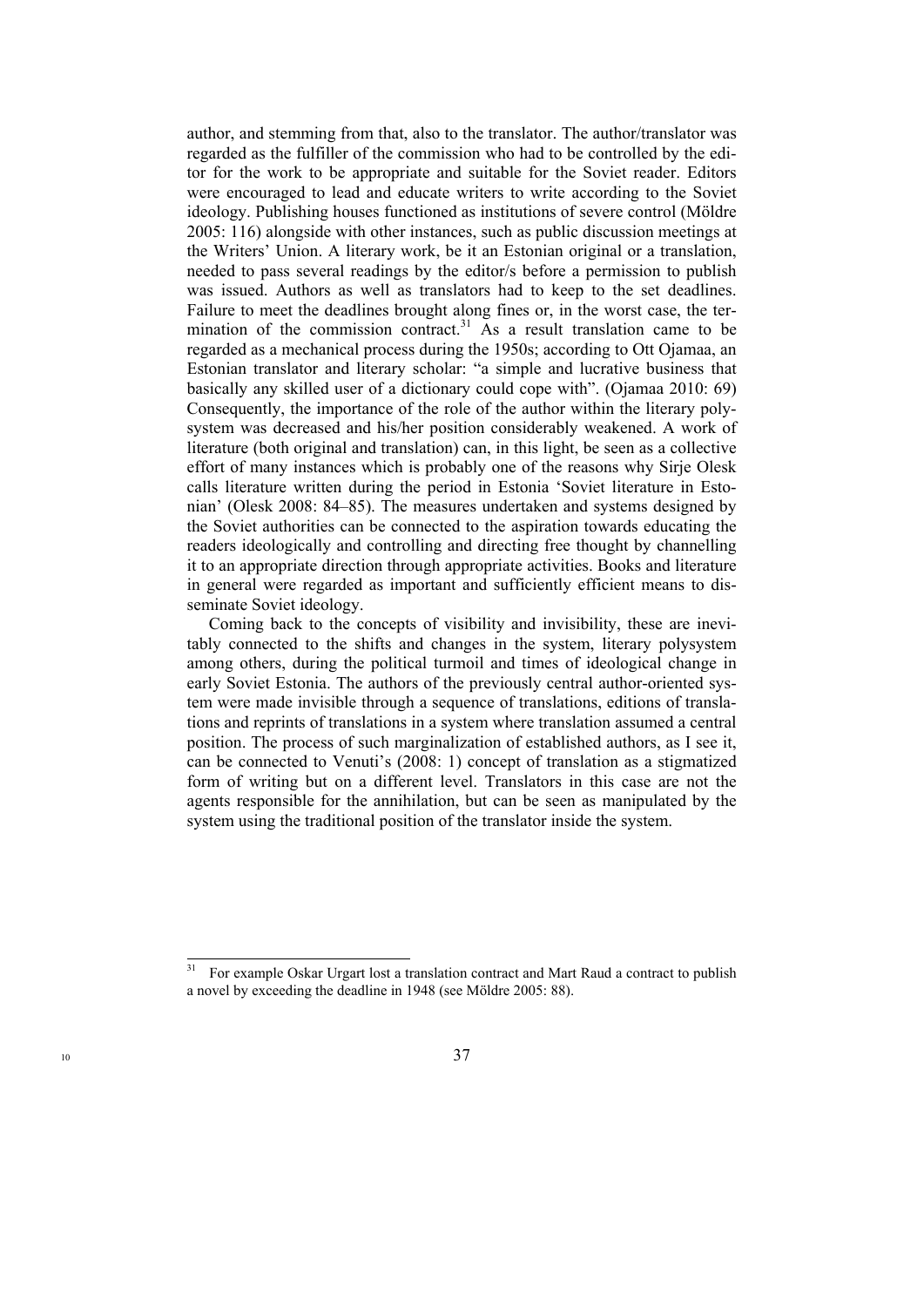author, and stemming from that, also to the translator. The author/translator was regarded as the fulfiller of the commission who had to be controlled by the editor for the work to be appropriate and suitable for the Soviet reader. Editors were encouraged to lead and educate writers to write according to the Soviet ideology. Publishing houses functioned as institutions of severe control (Möldre 2005: 116) alongside with other instances, such as public discussion meetings at the Writers' Union. A literary work, be it an Estonian original or a translation, needed to pass several readings by the editor/s before a permission to publish was issued. Authors as well as translators had to keep to the set deadlines. Failure to meet the deadlines brought along fines or, in the worst case, the termination of the commission contract.<sup>31</sup> As a result translation came to be regarded as a mechanical process during the 1950s; according to Ott Ojamaa, an Estonian translator and literary scholar: "a simple and lucrative business that basically any skilled user of a dictionary could cope with". (Ojamaa 2010: 69) Consequently, the importance of the role of the author within the literary polysystem was decreased and his/her position considerably weakened. A work of literature (both original and translation) can, in this light, be seen as a collective effort of many instances which is probably one of the reasons why Sirje Olesk calls literature written during the period in Estonia 'Soviet literature in Estonian' (Olesk 2008: 84–85). The measures undertaken and systems designed by the Soviet authorities can be connected to the aspiration towards educating the readers ideologically and controlling and directing free thought by channelling it to an appropriate direction through appropriate activities. Books and literature in general were regarded as important and sufficiently efficient means to disseminate Soviet ideology.

Coming back to the concepts of visibility and invisibility, these are inevitably connected to the shifts and changes in the system, literary polysystem among others, during the political turmoil and times of ideological change in early Soviet Estonia. The authors of the previously central author-oriented system were made invisible through a sequence of translations, editions of translations and reprints of translations in a system where translation assumed a central position. The process of such marginalization of established authors, as I see it, can be connected to Venuti's (2008: 1) concept of translation as a stigmatized form of writing but on a different level. Translators in this case are not the agents responsible for the annihilation, but can be seen as manipulated by the system using the traditional position of the translator inside the system.

<sup>31</sup> For example Oskar Urgart lost a translation contract and Mart Raud a contract to publish a novel by exceeding the deadline in 1948 (see Möldre 2005: 88).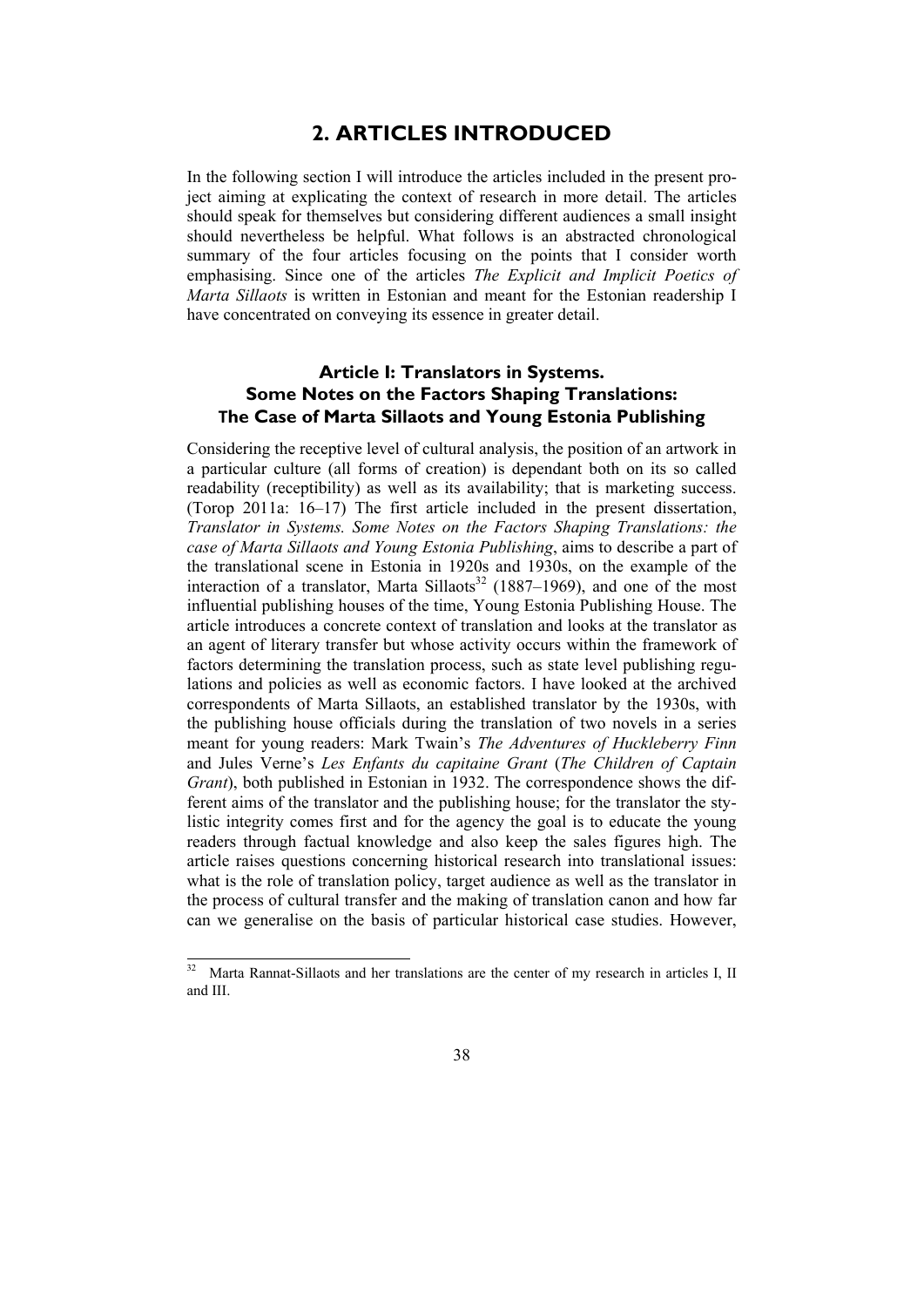### **2. ARTICLES INTRODUCED**

In the following section I will introduce the articles included in the present project aiming at explicating the context of research in more detail. The articles should speak for themselves but considering different audiences a small insight should nevertheless be helpful. What follows is an abstracted chronological summary of the four articles focusing on the points that I consider worth emphasising. Since one of the articles *The Explicit and Implicit Poetics of Marta Sillaots* is written in Estonian and meant for the Estonian readership I have concentrated on conveying its essence in greater detail.

### **Article I: Translators in Systems. Some Notes on the Factors Shaping Translations: The Case of Marta Sillaots and Young Estonia Publishing**

Considering the receptive level of cultural analysis, the position of an artwork in a particular culture (all forms of creation) is dependant both on its so called readability (receptibility) as well as its availability; that is marketing success. (Torop 2011a: 16–17) The first article included in the present dissertation, *Translator in Systems. Some Notes on the Factors Shaping Translations: the case of Marta Sillaots and Young Estonia Publishing*, aims to describe a part of the translational scene in Estonia in 1920s and 1930s, on the example of the interaction of a translator, Marta Sillaots<sup>32</sup> (1887–1969), and one of the most influential publishing houses of the time, Young Estonia Publishing House. The article introduces a concrete context of translation and looks at the translator as an agent of literary transfer but whose activity occurs within the framework of factors determining the translation process, such as state level publishing regulations and policies as well as economic factors. I have looked at the archived correspondents of Marta Sillaots, an established translator by the 1930s, with the publishing house officials during the translation of two novels in a series meant for young readers: Mark Twain's *The Adventures of Huckleberry Finn* and Jules Verne's *Les Enfants du capitaine Grant* (*The Children of Captain Grant*), both published in Estonian in 1932. The correspondence shows the different aims of the translator and the publishing house; for the translator the stylistic integrity comes first and for the agency the goal is to educate the young readers through factual knowledge and also keep the sales figures high. The article raises questions concerning historical research into translational issues: what is the role of translation policy, target audience as well as the translator in the process of cultural transfer and the making of translation canon and how far can we generalise on the basis of particular historical case studies. However,

Marta Rannat-Sillaots and her translations are the center of my research in articles I, II and III.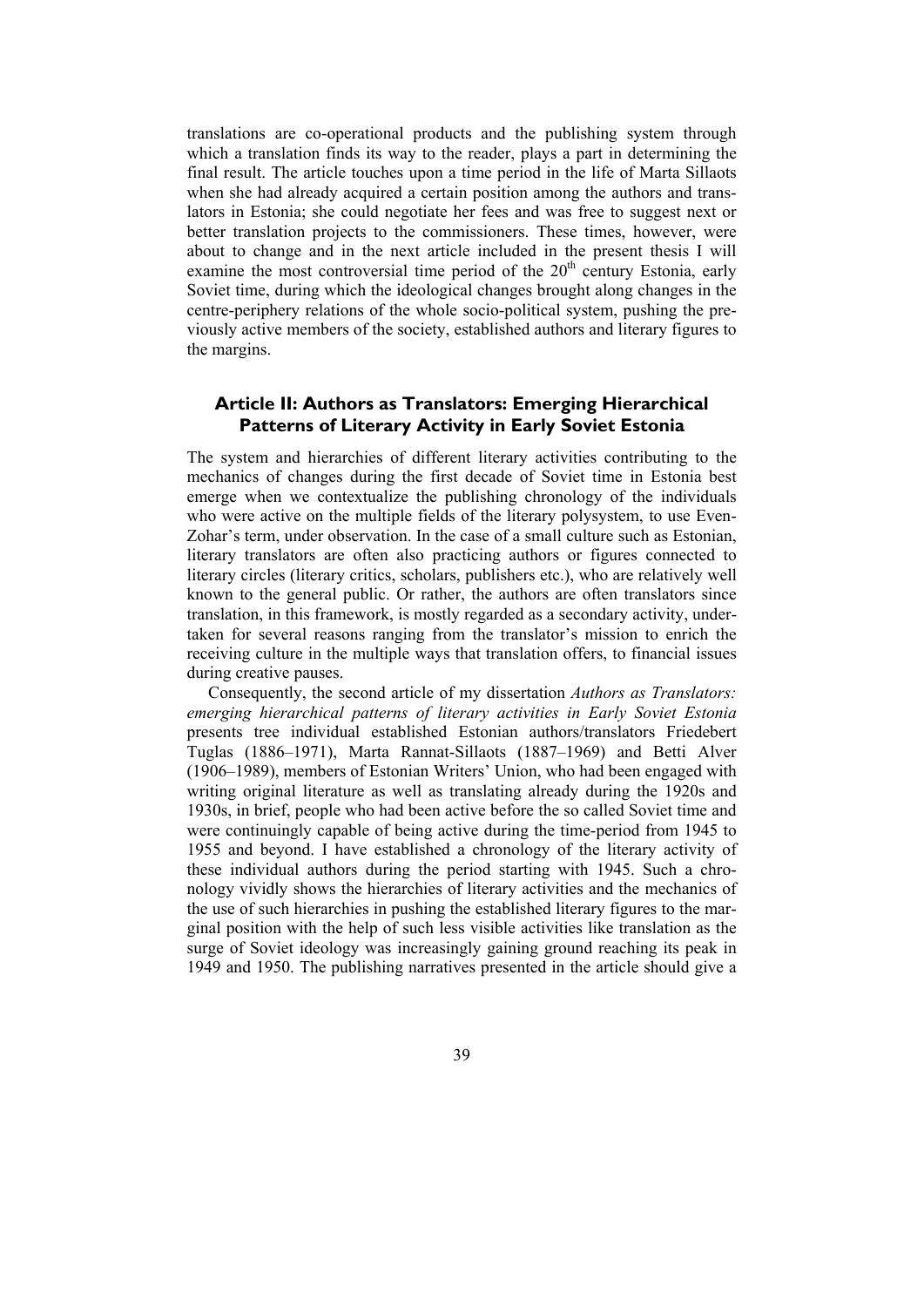translations are co-operational products and the publishing system through which a translation finds its way to the reader, plays a part in determining the final result. The article touches upon a time period in the life of Marta Sillaots when she had already acquired a certain position among the authors and translators in Estonia; she could negotiate her fees and was free to suggest next or better translation projects to the commissioners. These times, however, were about to change and in the next article included in the present thesis I will examine the most controversial time period of the  $20<sup>th</sup>$  century Estonia, early Soviet time, during which the ideological changes brought along changes in the centre-periphery relations of the whole socio-political system, pushing the previously active members of the society, established authors and literary figures to the margins.

### **Article II: Authors as Translators: Emerging Hierarchical Patterns of Literary Activity in Early Soviet Estonia**

The system and hierarchies of different literary activities contributing to the mechanics of changes during the first decade of Soviet time in Estonia best emerge when we contextualize the publishing chronology of the individuals who were active on the multiple fields of the literary polysystem, to use Even-Zohar's term, under observation. In the case of a small culture such as Estonian, literary translators are often also practicing authors or figures connected to literary circles (literary critics, scholars, publishers etc.), who are relatively well known to the general public. Or rather, the authors are often translators since translation, in this framework, is mostly regarded as a secondary activity, undertaken for several reasons ranging from the translator's mission to enrich the receiving culture in the multiple ways that translation offers, to financial issues during creative pauses.

Consequently, the second article of my dissertation *Authors as Translators: emerging hierarchical patterns of literary activities in Early Soviet Estonia* presents tree individual established Estonian authors/translators Friedebert Tuglas (1886–1971), Marta Rannat-Sillaots (1887–1969) and Betti Alver (1906–1989), members of Estonian Writers' Union, who had been engaged with writing original literature as well as translating already during the 1920s and 1930s, in brief, people who had been active before the so called Soviet time and were continuingly capable of being active during the time-period from 1945 to 1955 and beyond. I have established a chronology of the literary activity of these individual authors during the period starting with 1945. Such a chronology vividly shows the hierarchies of literary activities and the mechanics of the use of such hierarchies in pushing the established literary figures to the marginal position with the help of such less visible activities like translation as the surge of Soviet ideology was increasingly gaining ground reaching its peak in 1949 and 1950. The publishing narratives presented in the article should give a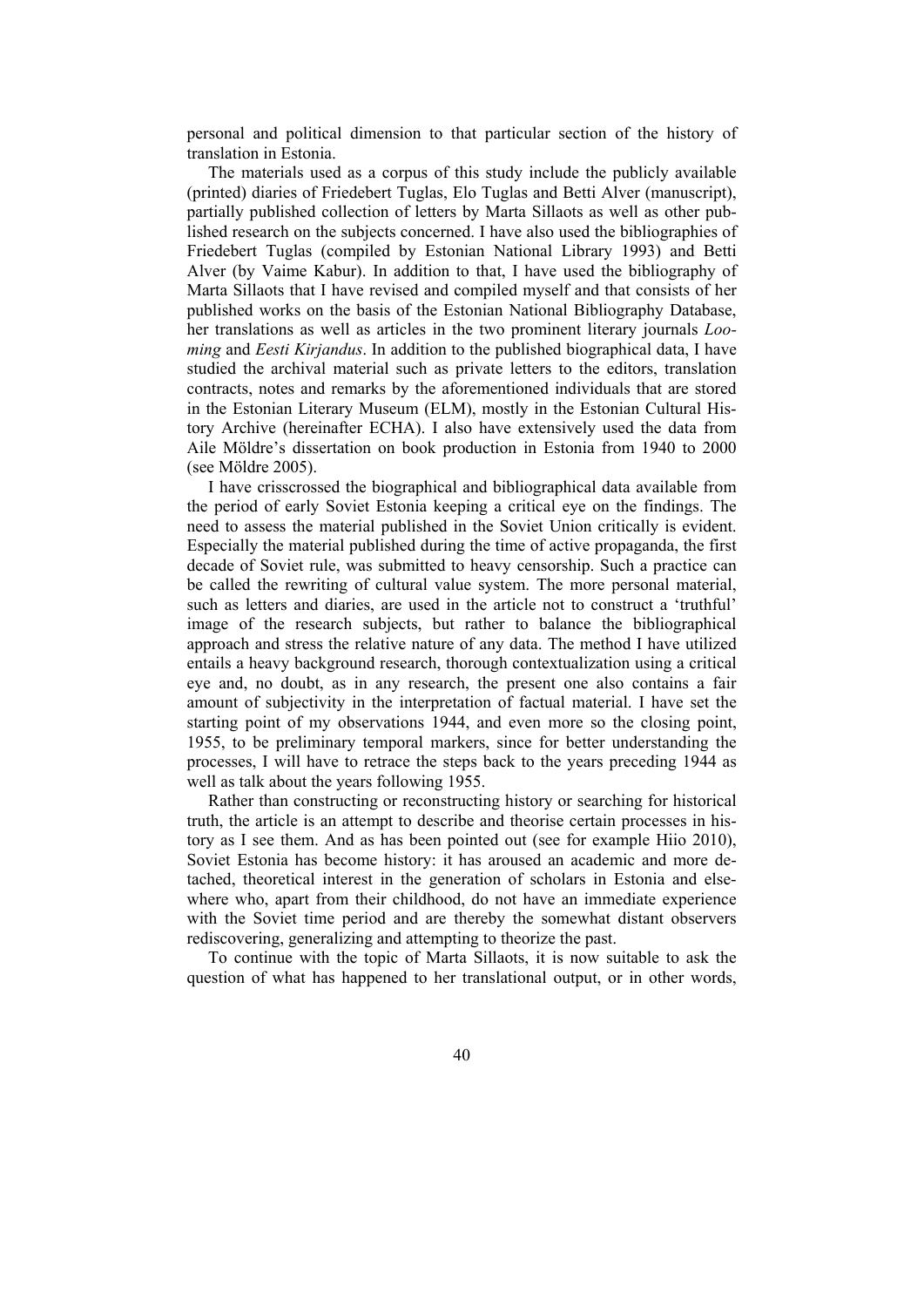personal and political dimension to that particular section of the history of translation in Estonia.

The materials used as a corpus of this study include the publicly available (printed) diaries of Friedebert Tuglas, Elo Tuglas and Betti Alver (manuscript), partially published collection of letters by Marta Sillaots as well as other published research on the subjects concerned. I have also used the bibliographies of Friedebert Tuglas (compiled by Estonian National Library 1993) and Betti Alver (by Vaime Kabur). In addition to that, I have used the bibliography of Marta Sillaots that I have revised and compiled myself and that consists of her published works on the basis of the Estonian National Bibliography Database, her translations as well as articles in the two prominent literary journals *Looming* and *Eesti Kirjandus*. In addition to the published biographical data, I have studied the archival material such as private letters to the editors, translation contracts, notes and remarks by the aforementioned individuals that are stored in the Estonian Literary Museum (ELM), mostly in the Estonian Cultural History Archive (hereinafter ECHA). I also have extensively used the data from Aile Möldre's dissertation on book production in Estonia from 1940 to 2000 (see Möldre 2005).

I have crisscrossed the biographical and bibliographical data available from the period of early Soviet Estonia keeping a critical eye on the findings. The need to assess the material published in the Soviet Union critically is evident. Especially the material published during the time of active propaganda, the first decade of Soviet rule, was submitted to heavy censorship. Such a practice can be called the rewriting of cultural value system. The more personal material, such as letters and diaries, are used in the article not to construct a 'truthful' image of the research subjects, but rather to balance the bibliographical approach and stress the relative nature of any data. The method I have utilized entails a heavy background research, thorough contextualization using a critical eye and, no doubt, as in any research, the present one also contains a fair amount of subjectivity in the interpretation of factual material. I have set the starting point of my observations 1944, and even more so the closing point, 1955, to be preliminary temporal markers, since for better understanding the processes, I will have to retrace the steps back to the years preceding 1944 as well as talk about the years following 1955.

Rather than constructing or reconstructing history or searching for historical truth, the article is an attempt to describe and theorise certain processes in history as I see them. And as has been pointed out (see for example Hiio 2010), Soviet Estonia has become history: it has aroused an academic and more detached, theoretical interest in the generation of scholars in Estonia and elsewhere who, apart from their childhood, do not have an immediate experience with the Soviet time period and are thereby the somewhat distant observers rediscovering, generalizing and attempting to theorize the past.

To continue with the topic of Marta Sillaots, it is now suitable to ask the question of what has happened to her translational output, or in other words,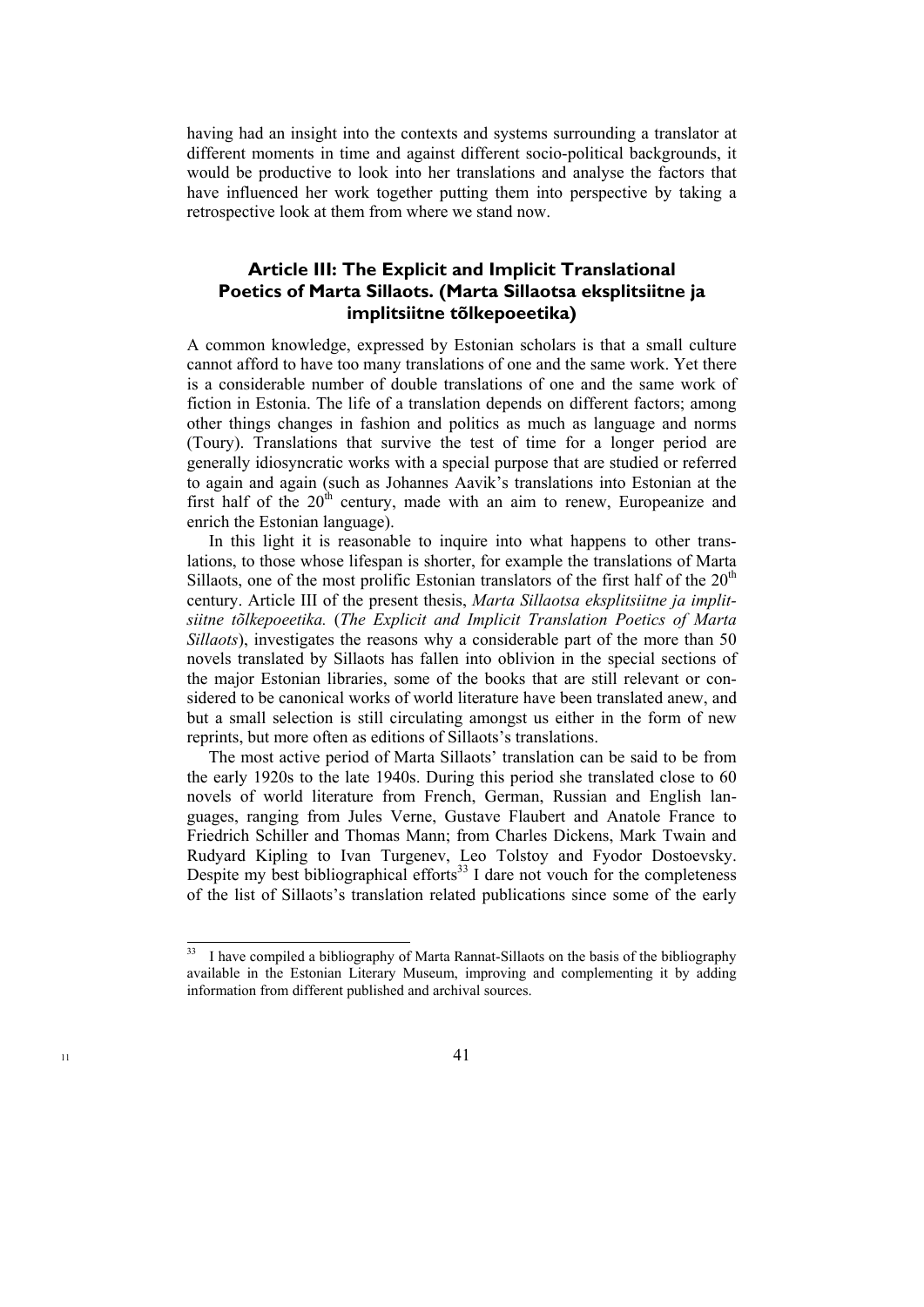having had an insight into the contexts and systems surrounding a translator at different moments in time and against different socio-political backgrounds, it would be productive to look into her translations and analyse the factors that have influenced her work together putting them into perspective by taking a retrospective look at them from where we stand now.

### **Article III: The Explicit and Implicit Translational Poetics of Marta Sillaots. (Marta Sillaotsa eksplitsiitne ja implitsiitne tõlkepoeetika)**

A common knowledge, expressed by Estonian scholars is that a small culture cannot afford to have too many translations of one and the same work. Yet there is a considerable number of double translations of one and the same work of fiction in Estonia. The life of a translation depends on different factors; among other things changes in fashion and politics as much as language and norms (Toury). Translations that survive the test of time for a longer period are generally idiosyncratic works with a special purpose that are studied or referred to again and again (such as Johannes Aavik's translations into Estonian at the first half of the  $20<sup>th</sup>$  century, made with an aim to renew, Europeanize and enrich the Estonian language).

In this light it is reasonable to inquire into what happens to other translations, to those whose lifespan is shorter, for example the translations of Marta Sillaots, one of the most prolific Estonian translators of the first half of the  $20<sup>th</sup>$ century. Article III of the present thesis, *Marta Sillaotsa eksplitsiitne ja implitsiitne tõlkepoeetika.* (*The Explicit and Implicit Translation Poetics of Marta Sillaots*), investigates the reasons why a considerable part of the more than 50 novels translated by Sillaots has fallen into oblivion in the special sections of the major Estonian libraries, some of the books that are still relevant or considered to be canonical works of world literature have been translated anew, and but a small selection is still circulating amongst us either in the form of new reprints, but more often as editions of Sillaots's translations.

The most active period of Marta Sillaots' translation can be said to be from the early 1920s to the late 1940s. During this period she translated close to 60 novels of world literature from French, German, Russian and English languages, ranging from Jules Verne, Gustave Flaubert and Anatole France to Friedrich Schiller and Thomas Mann; from Charles Dickens, Mark Twain and Rudyard Kipling to Ivan Turgenev, Leo Tolstoy and Fyodor Dostoevsky. Despite my best bibliographical efforts<sup>33</sup> I dare not vouch for the completeness of the list of Sillaots's translation related publications since some of the early

<sup>33</sup> I have compiled a bibliography of Marta Rannat-Sillaots on the basis of the bibliography available in the Estonian Literary Museum, improving and complementing it by adding information from different published and archival sources.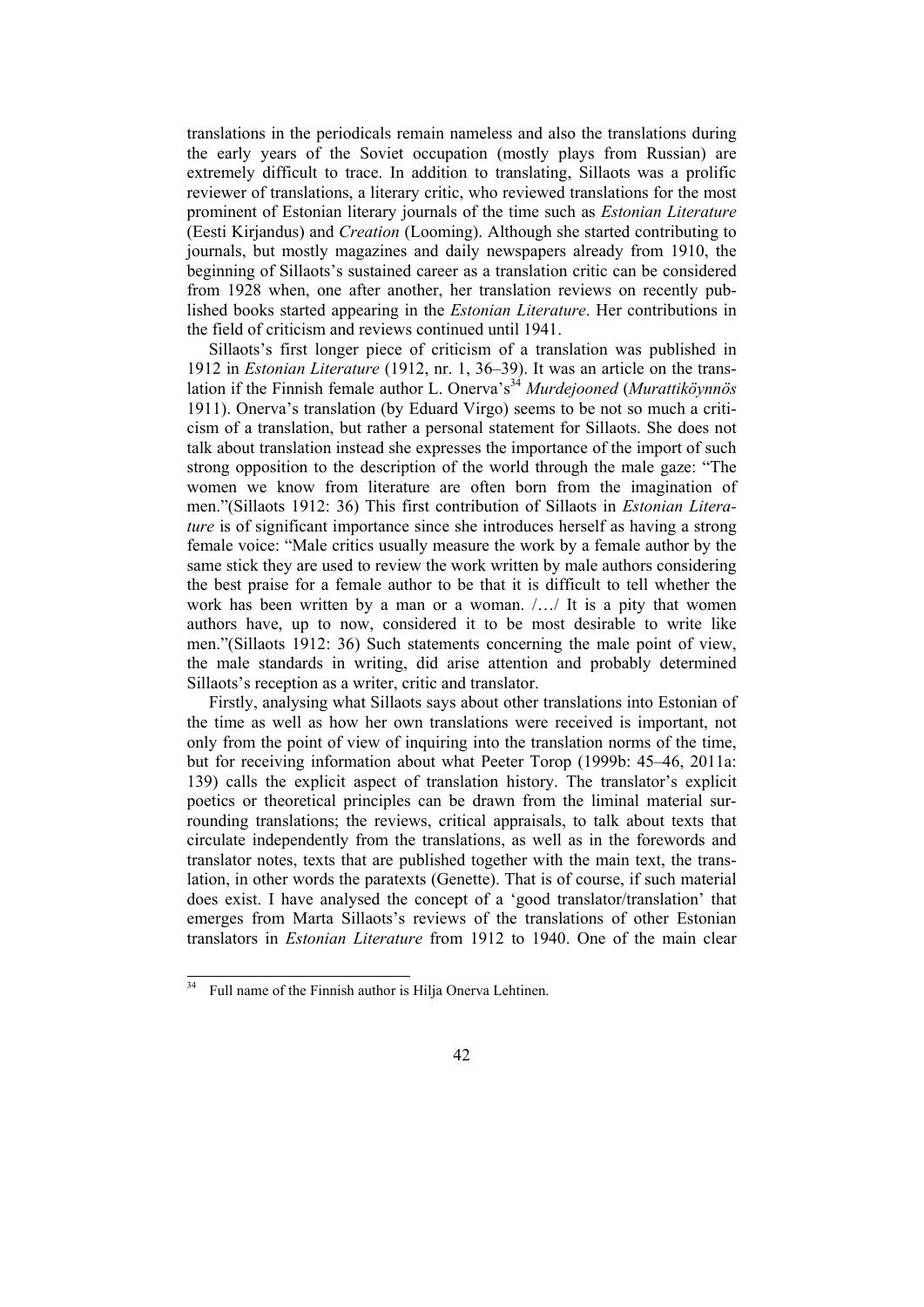translations in the periodicals remain nameless and also the translations during the early years of the Soviet occupation (mostly plays from Russian) are extremely difficult to trace. In addition to translating, Sillaots was a prolific reviewer of translations, a literary critic, who reviewed translations for the most prominent of Estonian literary journals of the time such as *Estonian Literature* (Eesti Kirjandus) and *Creation* (Looming). Although she started contributing to journals, but mostly magazines and daily newspapers already from 1910, the beginning of Sillaots's sustained career as a translation critic can be considered from 1928 when, one after another, her translation reviews on recently published books started appearing in the *Estonian Literature*. Her contributions in the field of criticism and reviews continued until 1941.

Sillaots's first longer piece of criticism of a translation was published in 1912 in *Estonian Literature* (1912, nr. 1, 36–39). It was an article on the translation if the Finnish female author L. Onerva's34 *Murdejooned* (*Murattiköynnös* 1911). Onerva's translation (by Eduard Virgo) seems to be not so much a criticism of a translation, but rather a personal statement for Sillaots. She does not talk about translation instead she expresses the importance of the import of such strong opposition to the description of the world through the male gaze: "The women we know from literature are often born from the imagination of men."(Sillaots 1912: 36) This first contribution of Sillaots in *Estonian Literature* is of significant importance since she introduces herself as having a strong female voice: "Male critics usually measure the work by a female author by the same stick they are used to review the work written by male authors considering the best praise for a female author to be that it is difficult to tell whether the work has been written by a man or a woman. /…/ It is a pity that women authors have, up to now, considered it to be most desirable to write like men."(Sillaots 1912: 36) Such statements concerning the male point of view, the male standards in writing, did arise attention and probably determined Sillaots's reception as a writer, critic and translator.

Firstly, analysing what Sillaots says about other translations into Estonian of the time as well as how her own translations were received is important, not only from the point of view of inquiring into the translation norms of the time, but for receiving information about what Peeter Torop (1999b: 45–46, 2011a: 139) calls the explicit aspect of translation history. The translator's explicit poetics or theoretical principles can be drawn from the liminal material surrounding translations; the reviews, critical appraisals, to talk about texts that circulate independently from the translations, as well as in the forewords and translator notes, texts that are published together with the main text, the translation, in other words the paratexts (Genette). That is of course, if such material does exist. I have analysed the concept of a 'good translator/translation' that emerges from Marta Sillaots's reviews of the translations of other Estonian translators in *Estonian Literature* from 1912 to 1940. One of the main clear

l

Full name of the Finnish author is Hilja Onerva Lehtinen.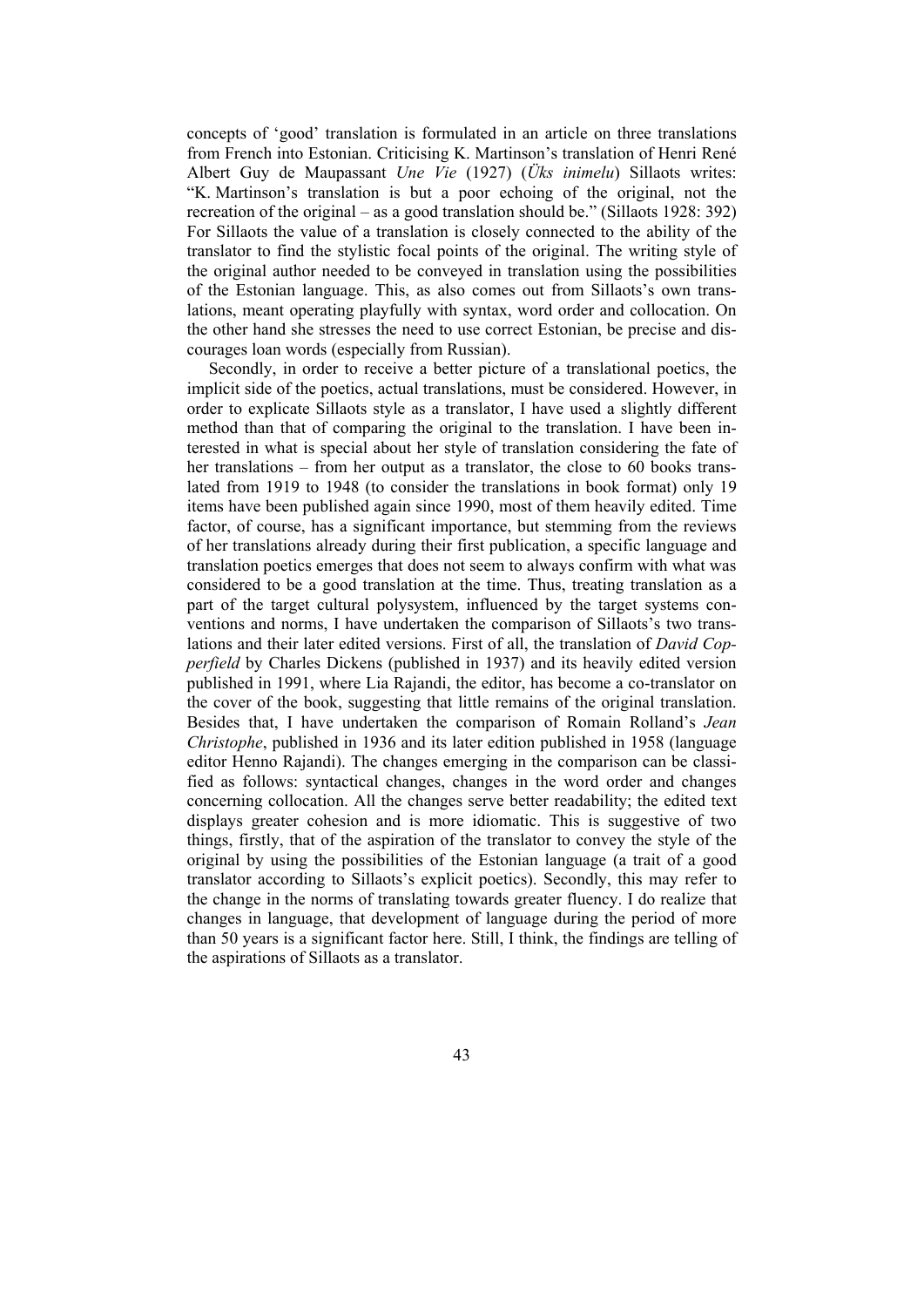concepts of 'good' translation is formulated in an article on three translations from French into Estonian. Criticising K. Martinson's translation of Henri René Albert Guy de Maupassant *Une Vie* (1927) (*Üks inimelu*) Sillaots writes: "K. Martinson's translation is but a poor echoing of the original, not the recreation of the original – as a good translation should be." (Sillaots 1928: 392) For Sillaots the value of a translation is closely connected to the ability of the translator to find the stylistic focal points of the original. The writing style of the original author needed to be conveyed in translation using the possibilities of the Estonian language. This, as also comes out from Sillaots's own translations, meant operating playfully with syntax, word order and collocation. On the other hand she stresses the need to use correct Estonian, be precise and discourages loan words (especially from Russian).

Secondly, in order to receive a better picture of a translational poetics, the implicit side of the poetics, actual translations, must be considered. However, in order to explicate Sillaots style as a translator, I have used a slightly different method than that of comparing the original to the translation. I have been interested in what is special about her style of translation considering the fate of her translations – from her output as a translator, the close to 60 books translated from 1919 to 1948 (to consider the translations in book format) only 19 items have been published again since 1990, most of them heavily edited. Time factor, of course, has a significant importance, but stemming from the reviews of her translations already during their first publication, a specific language and translation poetics emerges that does not seem to always confirm with what was considered to be a good translation at the time. Thus, treating translation as a part of the target cultural polysystem, influenced by the target systems conventions and norms, I have undertaken the comparison of Sillaots's two translations and their later edited versions. First of all, the translation of *David Copperfield* by Charles Dickens (published in 1937) and its heavily edited version published in 1991, where Lia Rajandi, the editor, has become a co-translator on the cover of the book, suggesting that little remains of the original translation. Besides that, I have undertaken the comparison of Romain Rolland's *Jean Christophe*, published in 1936 and its later edition published in 1958 (language editor Henno Rajandi). The changes emerging in the comparison can be classified as follows: syntactical changes, changes in the word order and changes concerning collocation. All the changes serve better readability; the edited text displays greater cohesion and is more idiomatic. This is suggestive of two things, firstly, that of the aspiration of the translator to convey the style of the original by using the possibilities of the Estonian language (a trait of a good translator according to Sillaots's explicit poetics). Secondly, this may refer to the change in the norms of translating towards greater fluency. I do realize that changes in language, that development of language during the period of more than 50 years is a significant factor here. Still, I think, the findings are telling of the aspirations of Sillaots as a translator.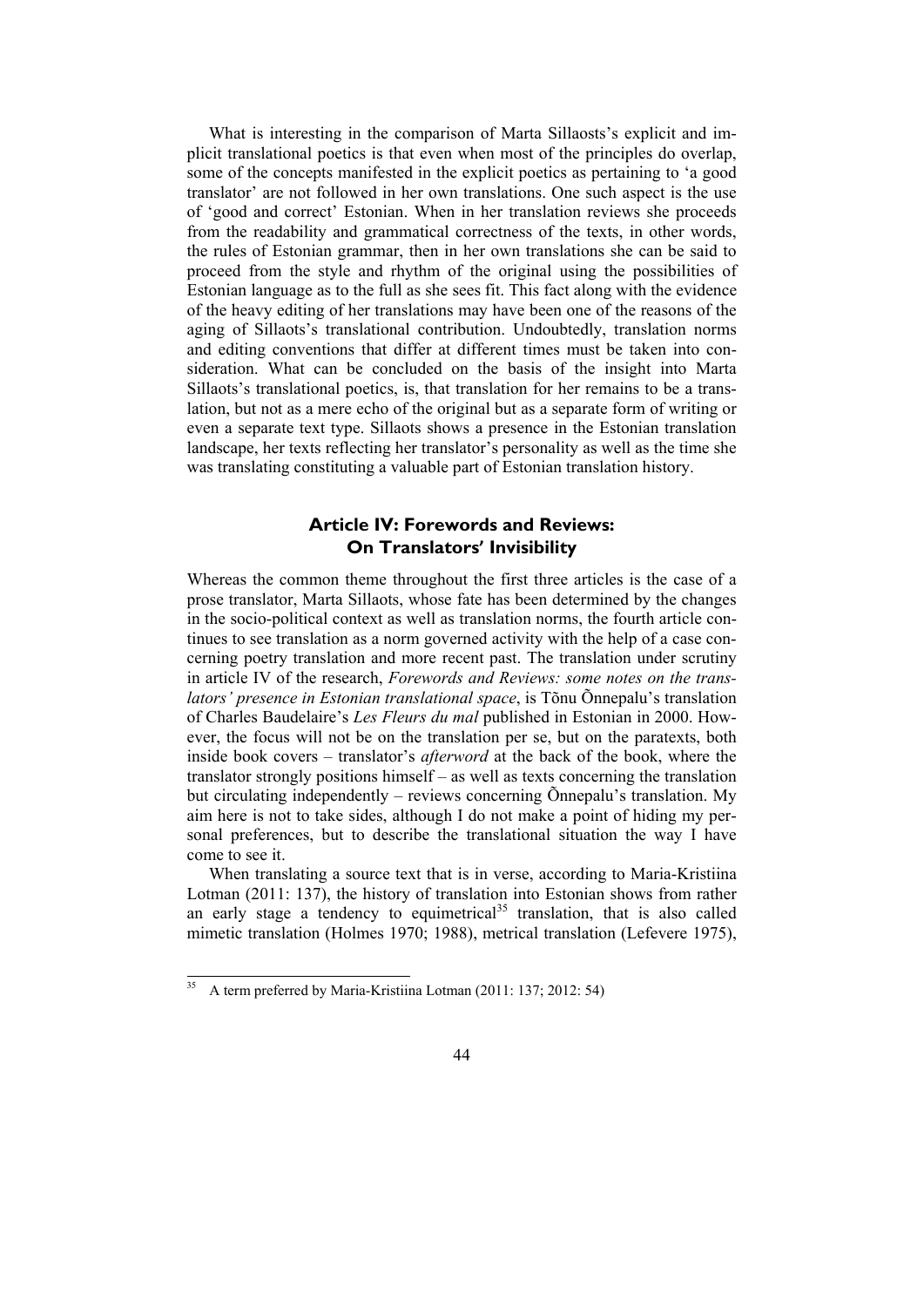What is interesting in the comparison of Marta Sillaosts's explicit and implicit translational poetics is that even when most of the principles do overlap, some of the concepts manifested in the explicit poetics as pertaining to 'a good translator' are not followed in her own translations. One such aspect is the use of 'good and correct' Estonian. When in her translation reviews she proceeds from the readability and grammatical correctness of the texts, in other words, the rules of Estonian grammar, then in her own translations she can be said to proceed from the style and rhythm of the original using the possibilities of Estonian language as to the full as she sees fit. This fact along with the evidence of the heavy editing of her translations may have been one of the reasons of the aging of Sillaots's translational contribution. Undoubtedly, translation norms and editing conventions that differ at different times must be taken into consideration. What can be concluded on the basis of the insight into Marta Sillaots's translational poetics, is, that translation for her remains to be a translation, but not as a mere echo of the original but as a separate form of writing or even a separate text type. Sillaots shows a presence in the Estonian translation landscape, her texts reflecting her translator's personality as well as the time she was translating constituting a valuable part of Estonian translation history.

### **Article IV: Forewords and Reviews: On Translators' Invisibility**

Whereas the common theme throughout the first three articles is the case of a prose translator, Marta Sillaots, whose fate has been determined by the changes in the socio-political context as well as translation norms, the fourth article continues to see translation as a norm governed activity with the help of a case concerning poetry translation and more recent past. The translation under scrutiny in article IV of the research, *Forewords and Reviews: some notes on the translators' presence in Estonian translational space*, is Tõnu Õnnepalu's translation of Charles Baudelaire's *Les Fleurs du mal* published in Estonian in 2000. However, the focus will not be on the translation per se, but on the paratexts, both inside book covers – translator's *afterword* at the back of the book, where the translator strongly positions himself – as well as texts concerning the translation but circulating independently – reviews concerning Õnnepalu's translation. My aim here is not to take sides, although I do not make a point of hiding my personal preferences, but to describe the translational situation the way I have come to see it.

When translating a source text that is in verse, according to Maria-Kristiina Lotman (2011: 137), the history of translation into Estonian shows from rather an early stage a tendency to equimetrical<sup>35</sup> translation, that is also called mimetic translation (Holmes 1970; 1988), metrical translation (Lefevere 1975),

l

<sup>35</sup> A term preferred by Maria-Kristiina Lotman (2011: 137; 2012: 54)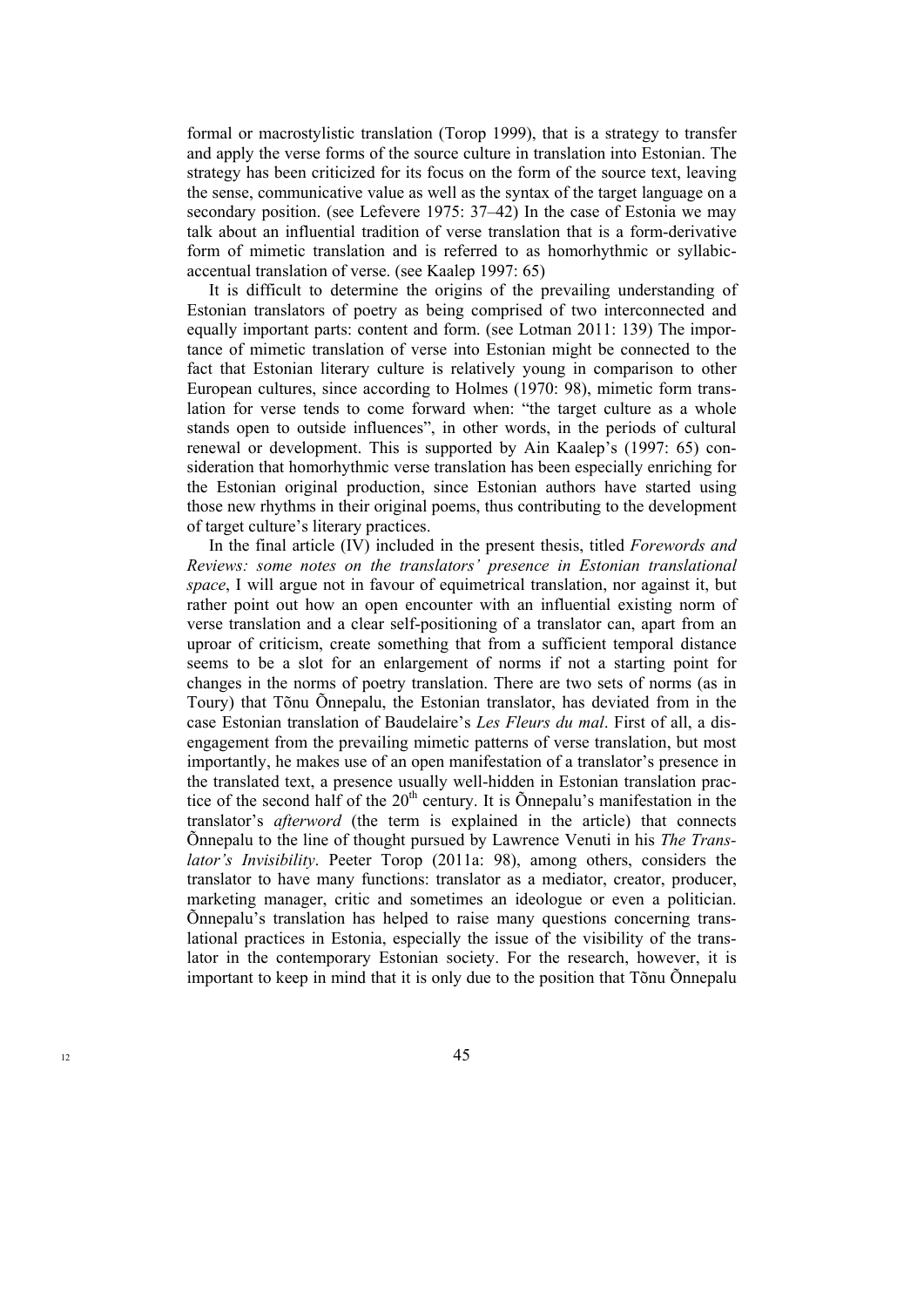formal or macrostylistic translation (Torop 1999), that is a strategy to transfer and apply the verse forms of the source culture in translation into Estonian. The strategy has been criticized for its focus on the form of the source text, leaving the sense, communicative value as well as the syntax of the target language on a secondary position. (see Lefevere 1975: 37–42) In the case of Estonia we may talk about an influential tradition of verse translation that is a form-derivative form of mimetic translation and is referred to as homorhythmic or syllabicaccentual translation of verse. (see Kaalep 1997: 65)

It is difficult to determine the origins of the prevailing understanding of Estonian translators of poetry as being comprised of two interconnected and equally important parts: content and form. (see Lotman 2011: 139) The importance of mimetic translation of verse into Estonian might be connected to the fact that Estonian literary culture is relatively young in comparison to other European cultures, since according to Holmes (1970: 98), mimetic form translation for verse tends to come forward when: "the target culture as a whole stands open to outside influences", in other words, in the periods of cultural renewal or development. This is supported by Ain Kaalep's (1997: 65) consideration that homorhythmic verse translation has been especially enriching for the Estonian original production, since Estonian authors have started using those new rhythms in their original poems, thus contributing to the development of target culture's literary practices.

In the final article (IV) included in the present thesis, titled *Forewords and Reviews: some notes on the translators' presence in Estonian translational space*, I will argue not in favour of equimetrical translation, nor against it, but rather point out how an open encounter with an influential existing norm of verse translation and a clear self-positioning of a translator can, apart from an uproar of criticism, create something that from a sufficient temporal distance seems to be a slot for an enlargement of norms if not a starting point for changes in the norms of poetry translation. There are two sets of norms (as in Toury) that Tõnu Õnnepalu, the Estonian translator, has deviated from in the case Estonian translation of Baudelaire's *Les Fleurs du mal*. First of all, a disengagement from the prevailing mimetic patterns of verse translation, but most importantly, he makes use of an open manifestation of a translator's presence in the translated text, a presence usually well-hidden in Estonian translation practice of the second half of the  $20<sup>th</sup>$  century. It is Õnnepalu's manifestation in the translator's *afterword* (the term is explained in the article) that connects Õnnepalu to the line of thought pursued by Lawrence Venuti in his *The Translator's Invisibility*. Peeter Torop (2011a: 98), among others, considers the translator to have many functions: translator as a mediator, creator, producer, marketing manager, critic and sometimes an ideologue or even a politician. Õnnepalu's translation has helped to raise many questions concerning translational practices in Estonia, especially the issue of the visibility of the translator in the contemporary Estonian society. For the research, however, it is important to keep in mind that it is only due to the position that Tõnu Õnnepalu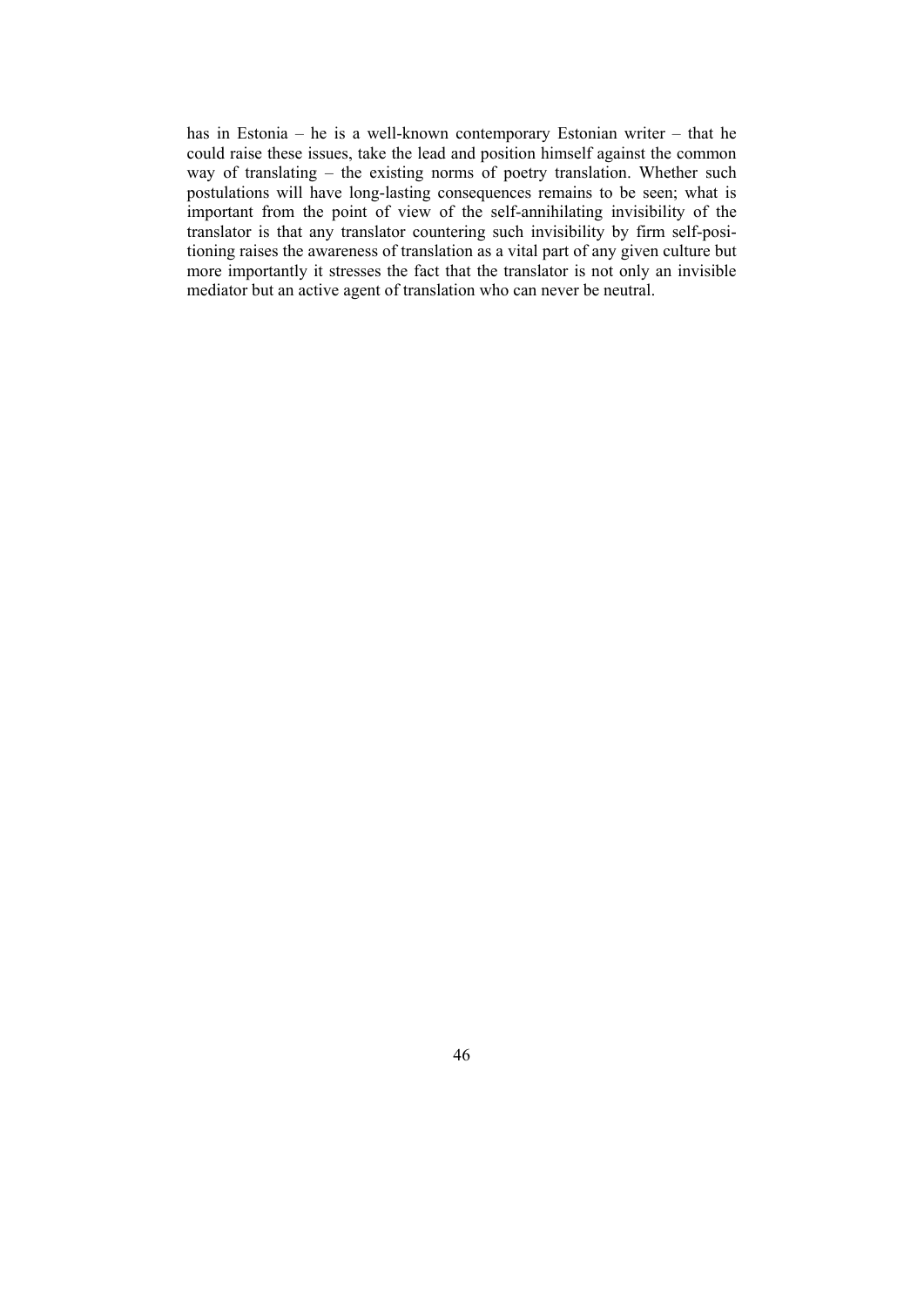has in Estonia – he is a well-known contemporary Estonian writer – that he could raise these issues, take the lead and position himself against the common way of translating – the existing norms of poetry translation. Whether such postulations will have long-lasting consequences remains to be seen; what is important from the point of view of the self-annihilating invisibility of the translator is that any translator countering such invisibility by firm self-positioning raises the awareness of translation as a vital part of any given culture but more importantly it stresses the fact that the translator is not only an invisible mediator but an active agent of translation who can never be neutral.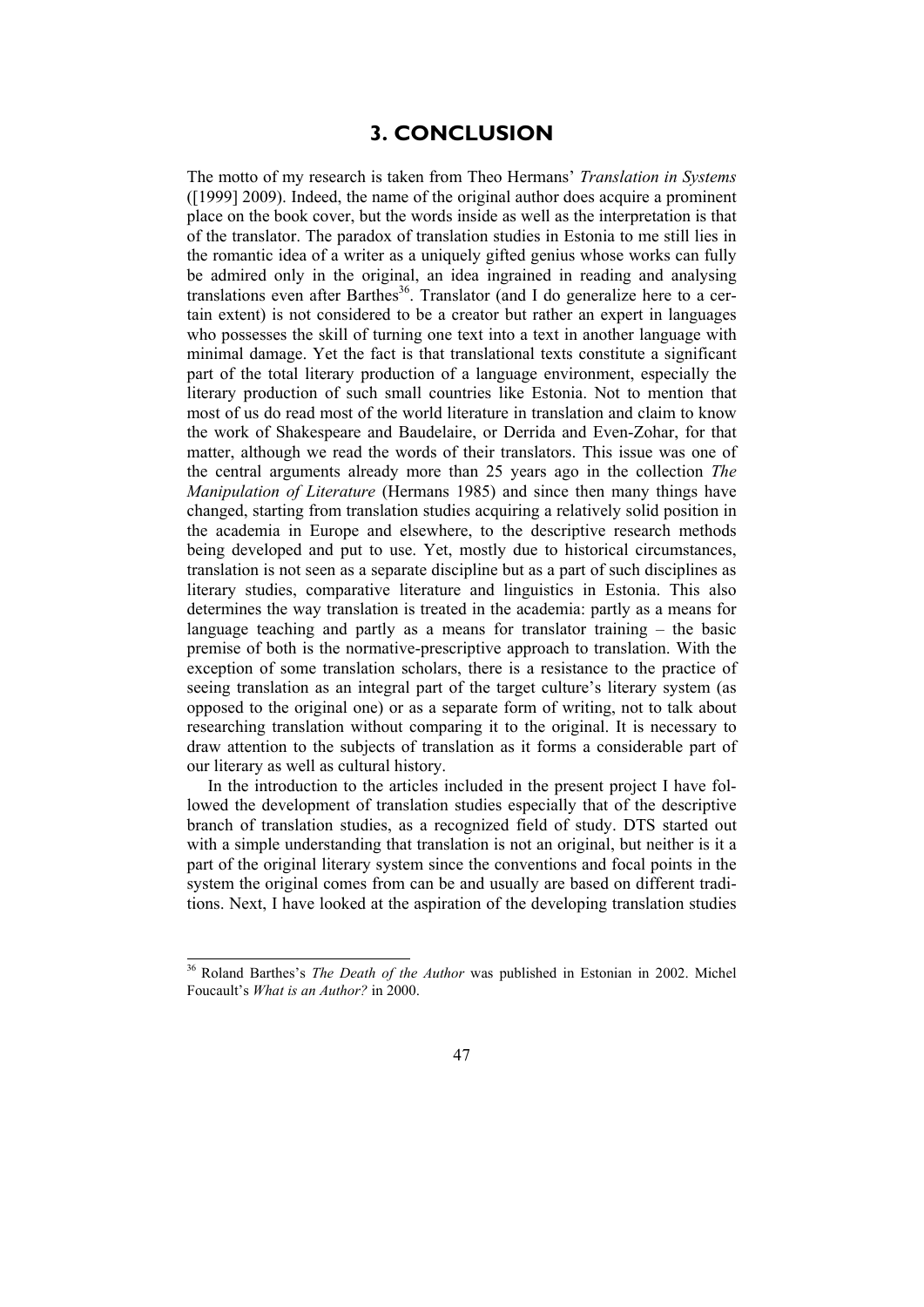### **3. CONCLUSION**

The motto of my research is taken from Theo Hermans' *Translation in Systems* ([1999] 2009). Indeed, the name of the original author does acquire a prominent place on the book cover, but the words inside as well as the interpretation is that of the translator. The paradox of translation studies in Estonia to me still lies in the romantic idea of a writer as a uniquely gifted genius whose works can fully be admired only in the original, an idea ingrained in reading and analysing translations even after Barthes<sup>36</sup>. Translator (and I do generalize here to a certain extent) is not considered to be a creator but rather an expert in languages who possesses the skill of turning one text into a text in another language with minimal damage. Yet the fact is that translational texts constitute a significant part of the total literary production of a language environment, especially the literary production of such small countries like Estonia. Not to mention that most of us do read most of the world literature in translation and claim to know the work of Shakespeare and Baudelaire, or Derrida and Even-Zohar, for that matter, although we read the words of their translators. This issue was one of the central arguments already more than 25 years ago in the collection *The Manipulation of Literature* (Hermans 1985) and since then many things have changed, starting from translation studies acquiring a relatively solid position in the academia in Europe and elsewhere, to the descriptive research methods being developed and put to use. Yet, mostly due to historical circumstances, translation is not seen as a separate discipline but as a part of such disciplines as literary studies, comparative literature and linguistics in Estonia. This also determines the way translation is treated in the academia: partly as a means for language teaching and partly as a means for translator training – the basic premise of both is the normative-prescriptive approach to translation. With the exception of some translation scholars, there is a resistance to the practice of seeing translation as an integral part of the target culture's literary system (as opposed to the original one) or as a separate form of writing, not to talk about researching translation without comparing it to the original. It is necessary to draw attention to the subjects of translation as it forms a considerable part of our literary as well as cultural history.

In the introduction to the articles included in the present project I have followed the development of translation studies especially that of the descriptive branch of translation studies, as a recognized field of study. DTS started out with a simple understanding that translation is not an original, but neither is it a part of the original literary system since the conventions and focal points in the system the original comes from can be and usually are based on different traditions. Next, I have looked at the aspiration of the developing translation studies

<sup>36</sup> Roland Barthes's *The Death of the Author* was published in Estonian in 2002. Michel Foucault's *What is an Author?* in 2000.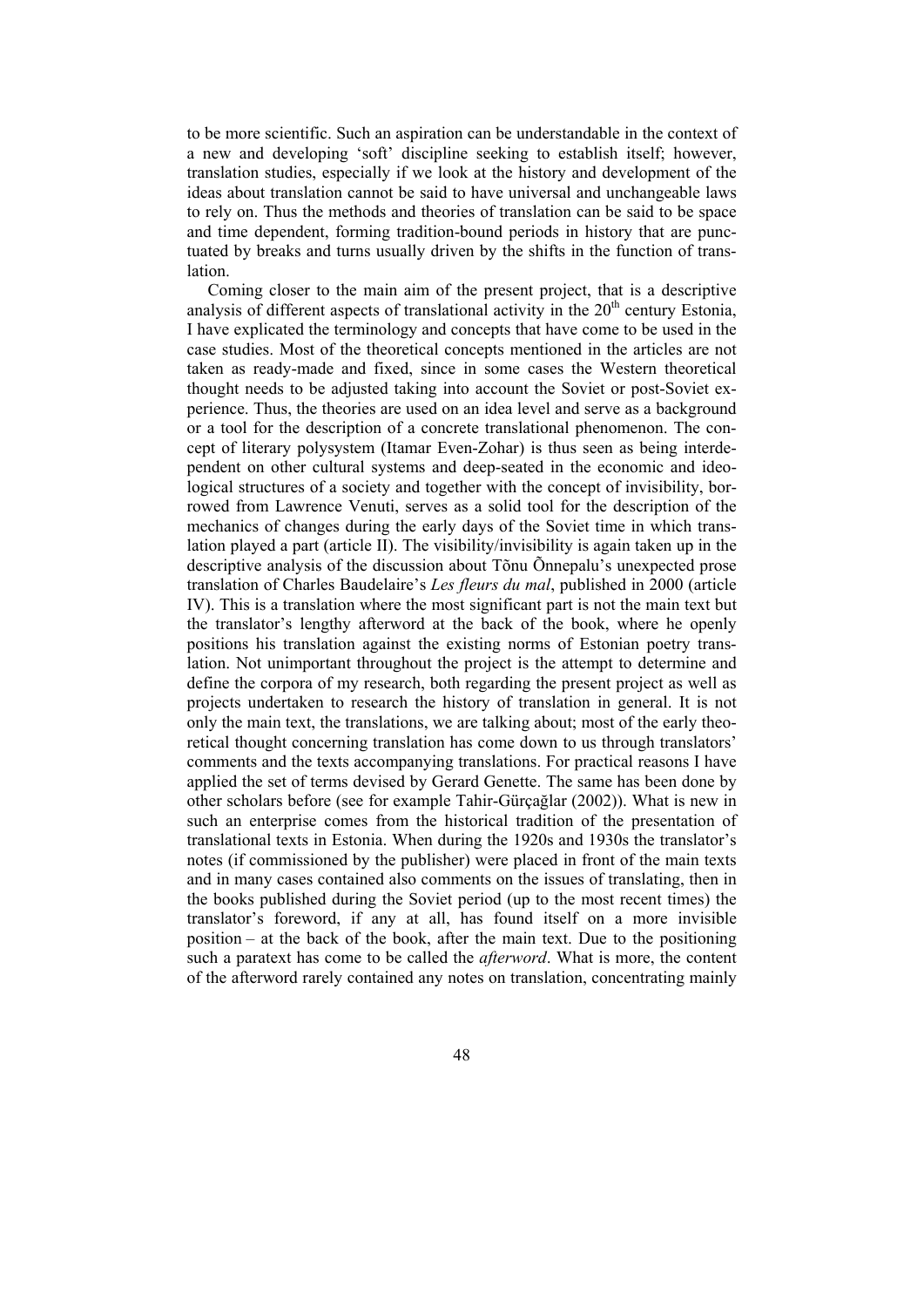to be more scientific. Such an aspiration can be understandable in the context of a new and developing 'soft' discipline seeking to establish itself; however, translation studies, especially if we look at the history and development of the ideas about translation cannot be said to have universal and unchangeable laws to rely on. Thus the methods and theories of translation can be said to be space and time dependent, forming tradition-bound periods in history that are punctuated by breaks and turns usually driven by the shifts in the function of translation.

Coming closer to the main aim of the present project, that is a descriptive analysis of different aspects of translational activity in the  $20<sup>th</sup>$  century Estonia, I have explicated the terminology and concepts that have come to be used in the case studies. Most of the theoretical concepts mentioned in the articles are not taken as ready-made and fixed, since in some cases the Western theoretical thought needs to be adjusted taking into account the Soviet or post-Soviet experience. Thus, the theories are used on an idea level and serve as a background or a tool for the description of a concrete translational phenomenon. The concept of literary polysystem (Itamar Even-Zohar) is thus seen as being interdependent on other cultural systems and deep-seated in the economic and ideological structures of a society and together with the concept of invisibility, borrowed from Lawrence Venuti, serves as a solid tool for the description of the mechanics of changes during the early days of the Soviet time in which translation played a part (article II). The visibility/invisibility is again taken up in the descriptive analysis of the discussion about Tõnu Õnnepalu's unexpected prose translation of Charles Baudelaire's *Les fleurs du mal*, published in 2000 (article IV). This is a translation where the most significant part is not the main text but the translator's lengthy afterword at the back of the book, where he openly positions his translation against the existing norms of Estonian poetry translation. Not unimportant throughout the project is the attempt to determine and define the corpora of my research, both regarding the present project as well as projects undertaken to research the history of translation in general. It is not only the main text, the translations, we are talking about; most of the early theoretical thought concerning translation has come down to us through translators' comments and the texts accompanying translations. For practical reasons I have applied the set of terms devised by Gerard Genette. The same has been done by other scholars before (see for example Tahir-Gürçağlar (2002)). What is new in such an enterprise comes from the historical tradition of the presentation of translational texts in Estonia. When during the 1920s and 1930s the translator's notes (if commissioned by the publisher) were placed in front of the main texts and in many cases contained also comments on the issues of translating, then in the books published during the Soviet period (up to the most recent times) the translator's foreword, if any at all, has found itself on a more invisible position – at the back of the book, after the main text. Due to the positioning such a paratext has come to be called the *afterword*. What is more, the content of the afterword rarely contained any notes on translation, concentrating mainly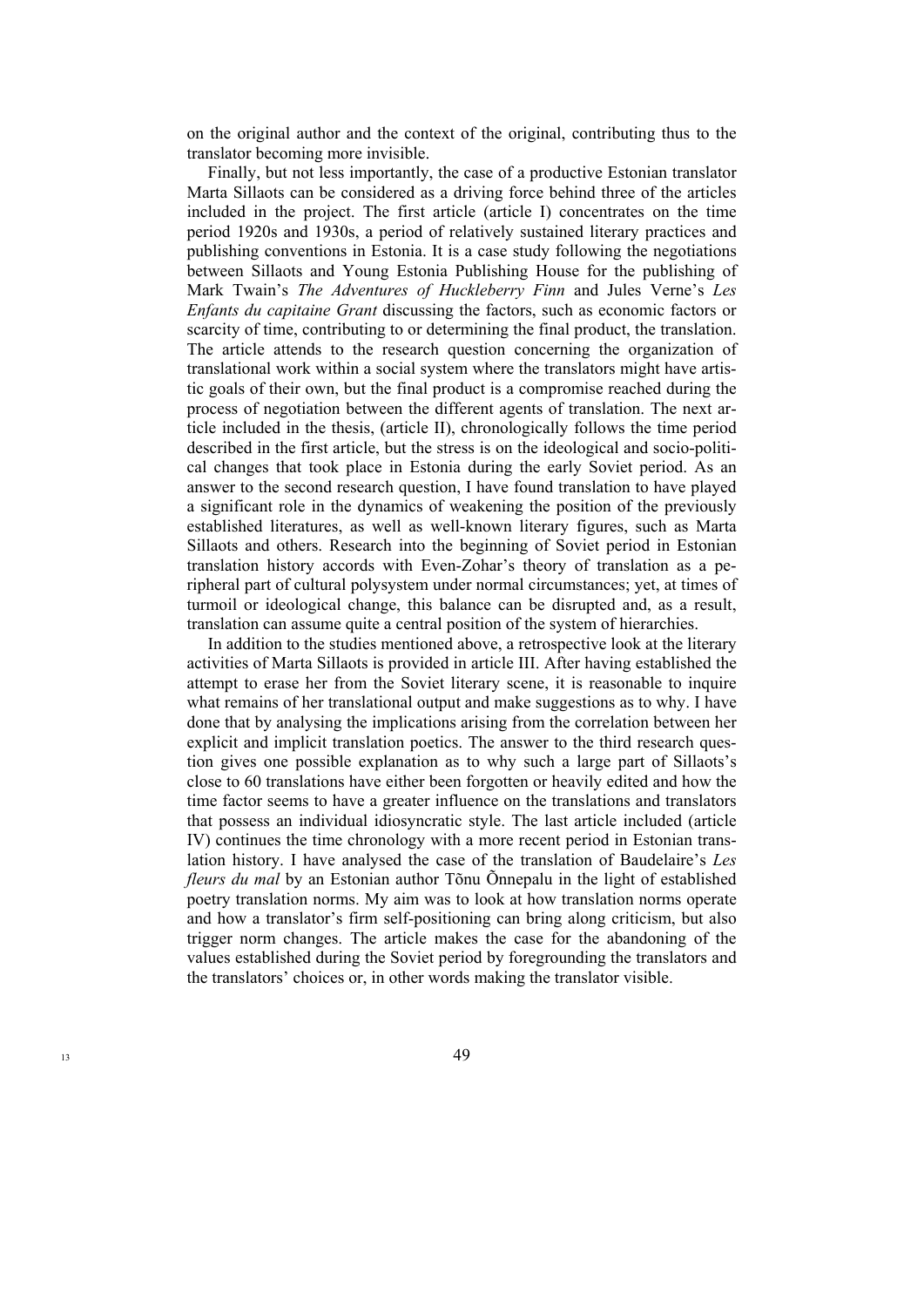on the original author and the context of the original, contributing thus to the translator becoming more invisible.

Finally, but not less importantly, the case of a productive Estonian translator Marta Sillaots can be considered as a driving force behind three of the articles included in the project. The first article (article I) concentrates on the time period 1920s and 1930s, a period of relatively sustained literary practices and publishing conventions in Estonia. It is a case study following the negotiations between Sillaots and Young Estonia Publishing House for the publishing of Mark Twain's *The Adventures of Huckleberry Finn* and Jules Verne's *Les Enfants du capitaine Grant* discussing the factors, such as economic factors or scarcity of time, contributing to or determining the final product, the translation. The article attends to the research question concerning the organization of translational work within a social system where the translators might have artistic goals of their own, but the final product is a compromise reached during the process of negotiation between the different agents of translation. The next article included in the thesis, (article II), chronologically follows the time period described in the first article, but the stress is on the ideological and socio-political changes that took place in Estonia during the early Soviet period. As an answer to the second research question, I have found translation to have played a significant role in the dynamics of weakening the position of the previously established literatures, as well as well-known literary figures, such as Marta Sillaots and others. Research into the beginning of Soviet period in Estonian translation history accords with Even-Zohar's theory of translation as a peripheral part of cultural polysystem under normal circumstances; yet, at times of turmoil or ideological change, this balance can be disrupted and, as a result, translation can assume quite a central position of the system of hierarchies.

In addition to the studies mentioned above, a retrospective look at the literary activities of Marta Sillaots is provided in article III. After having established the attempt to erase her from the Soviet literary scene, it is reasonable to inquire what remains of her translational output and make suggestions as to why. I have done that by analysing the implications arising from the correlation between her explicit and implicit translation poetics. The answer to the third research question gives one possible explanation as to why such a large part of Sillaots's close to 60 translations have either been forgotten or heavily edited and how the time factor seems to have a greater influence on the translations and translators that possess an individual idiosyncratic style. The last article included (article IV) continues the time chronology with a more recent period in Estonian translation history. I have analysed the case of the translation of Baudelaire's *Les fleurs du mal* by an Estonian author Tõnu Õnnepalu in the light of established poetry translation norms. My aim was to look at how translation norms operate and how a translator's firm self-positioning can bring along criticism, but also trigger norm changes. The article makes the case for the abandoning of the values established during the Soviet period by foregrounding the translators and the translators' choices or, in other words making the translator visible.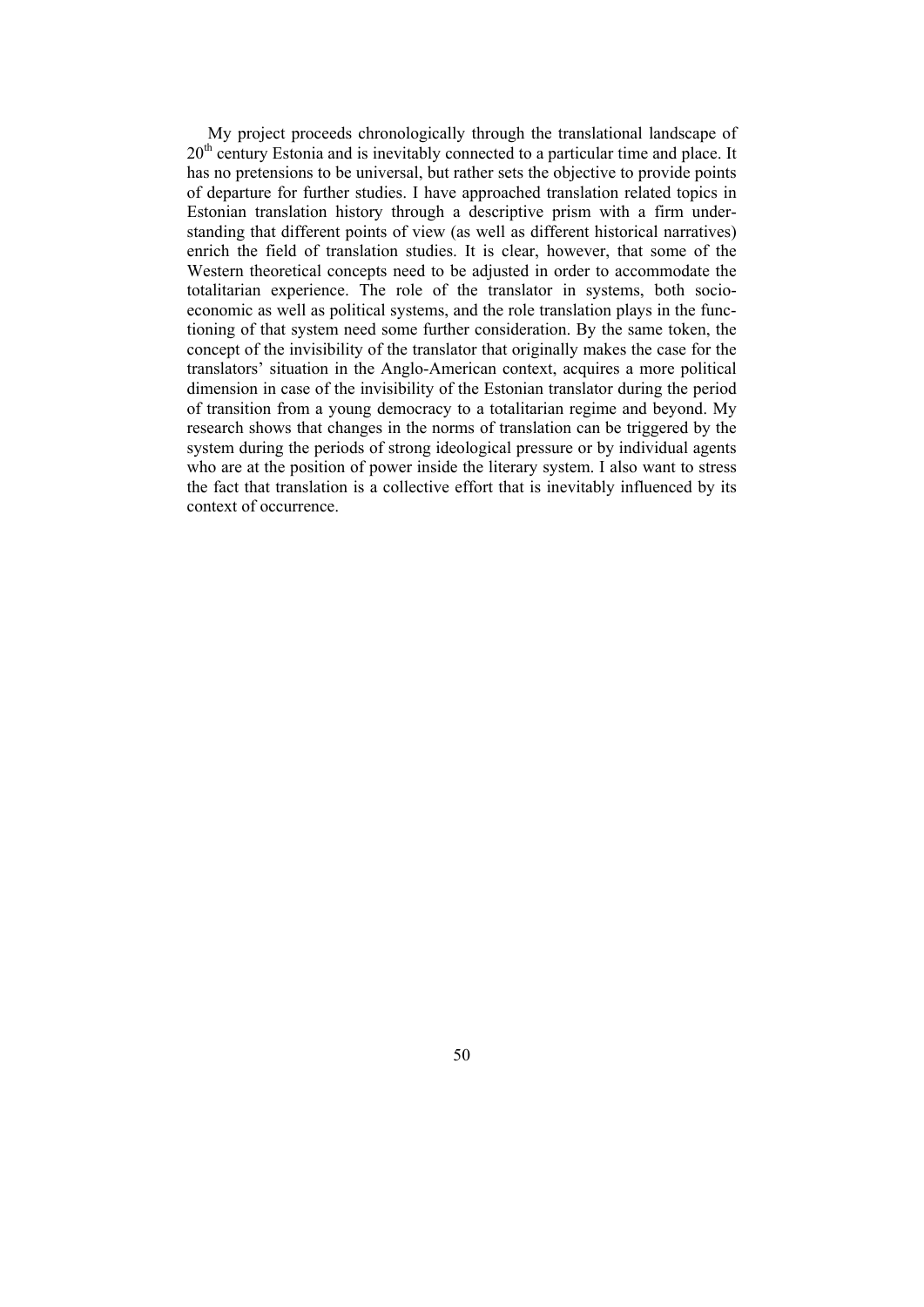My project proceeds chronologically through the translational landscape of  $20<sup>th</sup>$  century Estonia and is inevitably connected to a particular time and place. It has no pretensions to be universal, but rather sets the objective to provide points of departure for further studies. I have approached translation related topics in Estonian translation history through a descriptive prism with a firm understanding that different points of view (as well as different historical narratives) enrich the field of translation studies. It is clear, however, that some of the Western theoretical concepts need to be adjusted in order to accommodate the totalitarian experience. The role of the translator in systems, both socioeconomic as well as political systems, and the role translation plays in the functioning of that system need some further consideration. By the same token, the concept of the invisibility of the translator that originally makes the case for the translators' situation in the Anglo-American context, acquires a more political dimension in case of the invisibility of the Estonian translator during the period of transition from a young democracy to a totalitarian regime and beyond. My research shows that changes in the norms of translation can be triggered by the system during the periods of strong ideological pressure or by individual agents who are at the position of power inside the literary system. I also want to stress the fact that translation is a collective effort that is inevitably influenced by its context of occurrence.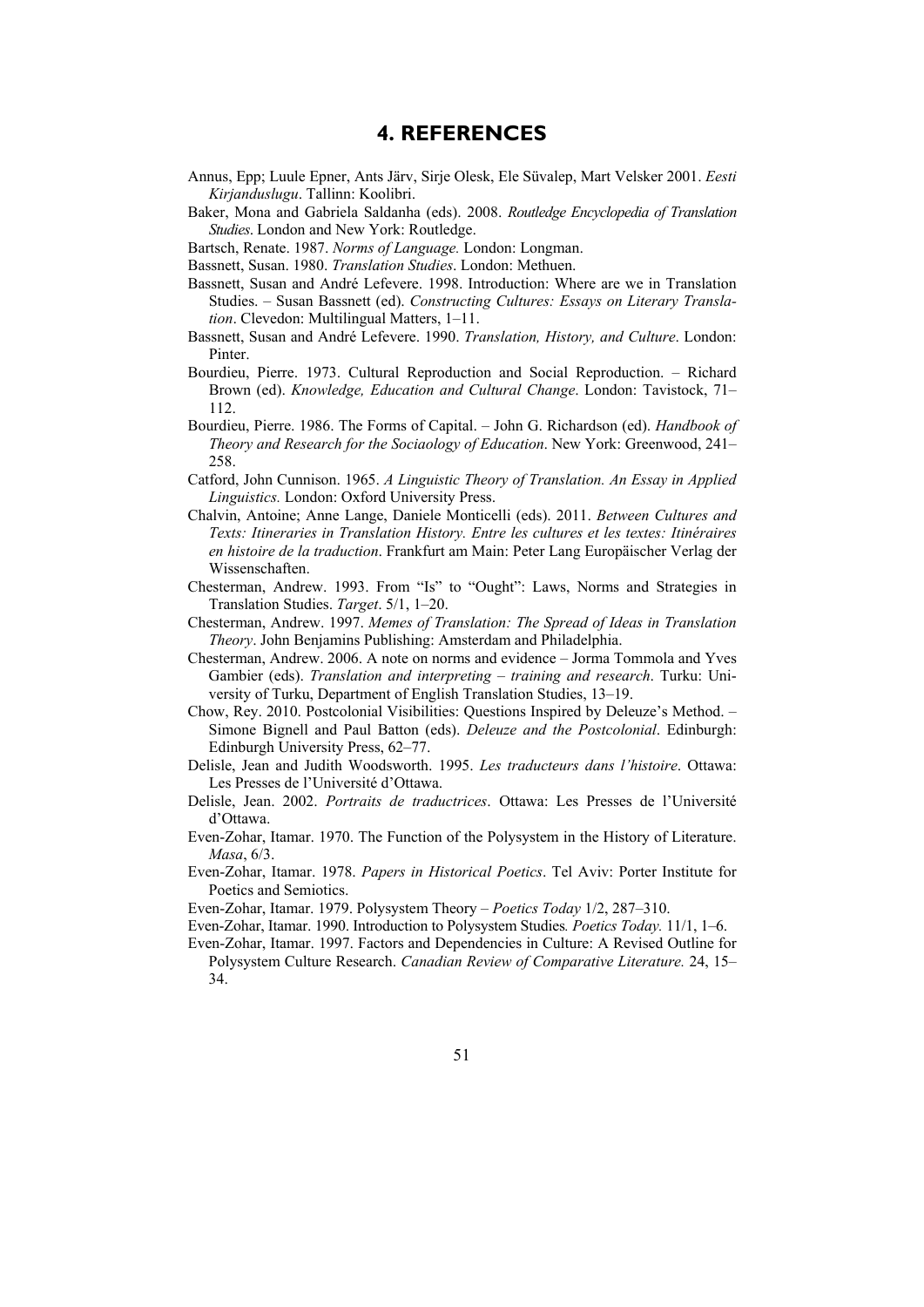### **4. REFERENCES**

- Annus, Epp; Luule Epner, Ants Järv, Sirje Olesk, Ele Süvalep, Mart Velsker 2001. *Eesti Kirjanduslugu*. Tallinn: Koolibri.
- Baker, Mona and Gabriela Saldanha (eds). 2008. *Routledge Encyclopedia of Translation Studies*. London and New York: Routledge.
- Bartsch, Renate. 1987. *Norms of Language.* London: Longman.
- Bassnett, Susan. 1980. *Translation Studies*. London: Methuen.
- Bassnett, Susan and André Lefevere. 1998. Introduction: Where are we in Translation Studies. – Susan Bassnett (ed). *Constructing Cultures: Essays on Literary Translation*. Clevedon: Multilingual Matters, 1–11.
- Bassnett, Susan and André Lefevere. 1990. *Translation, History, and Culture*. London: Pinter.
- Bourdieu, Pierre. 1973. Cultural Reproduction and Social Reproduction. Richard Brown (ed). *Knowledge, Education and Cultural Change*. London: Tavistock, 71– 112.
- Bourdieu, Pierre. 1986. The Forms of Capital. John G. Richardson (ed). *Handbook of Theory and Research for the Sociaology of Education*. New York: Greenwood, 241– 258.
- Catford, John Cunnison. 1965. *A Linguistic Theory of Translation. An Essay in Applied Linguistics.* London: Oxford University Press.
- Chalvin, Antoine; Anne Lange, Daniele Monticelli (eds). 2011. *Between Cultures and Texts: Itineraries in Translation History. Entre les cultures et les textes: Itinéraires en histoire de la traduction*. Frankfurt am Main: Peter Lang Europäischer Verlag der Wissenschaften.
- Chesterman, Andrew. 1993. From "Is" to "Ought": Laws, Norms and Strategies in Translation Studies. *Target*. 5/1, 1–20.
- Chesterman, Andrew. 1997. *Memes of Translation: The Spread of Ideas in Translation Theory*. John Benjamins Publishing: Amsterdam and Philadelphia.
- Chesterman, Andrew. 2006. A note on norms and evidence Jorma Tommola and Yves Gambier (eds). *Translation and interpreting – training and research*. Turku: University of Turku, Department of English Translation Studies, 13–19.
- Chow, Rey. 2010. Postcolonial Visibilities: Questions Inspired by Deleuze's Method. Simone Bignell and Paul Batton (eds). *Deleuze and the Postcolonial*. Edinburgh: Edinburgh University Press, 62–77.
- Delisle, Jean and Judith Woodsworth. 1995. *Les traducteurs dans l'histoire*. Ottawa: Les Presses de l'Université d'Ottawa.
- Delisle, Jean. 2002. *Portraits de traductrices*. Ottawa: Les Presses de l'Université d'Ottawa.
- Even-Zohar, Itamar. 1970. The Function of the Polysystem in the History of Literature. *Masa*, 6/3.
- Even-Zohar, Itamar. 1978. *Papers in Historical Poetics*. Tel Aviv: Porter Institute for Poetics and Semiotics.
- Even-Zohar, Itamar. 1979. Polysystem Theory *Poetics Today* 1/2, 287–310.
- Even-Zohar, Itamar. 1990. Introduction to Polysystem Studies*. Poetics Today.* 11/1, 1–6.
- Even-Zohar, Itamar. 1997. Factors and Dependencies in Culture: A Revised Outline for
	- Polysystem Culture Research. *Canadian Review of Comparative Literature.* 24, 15– 34.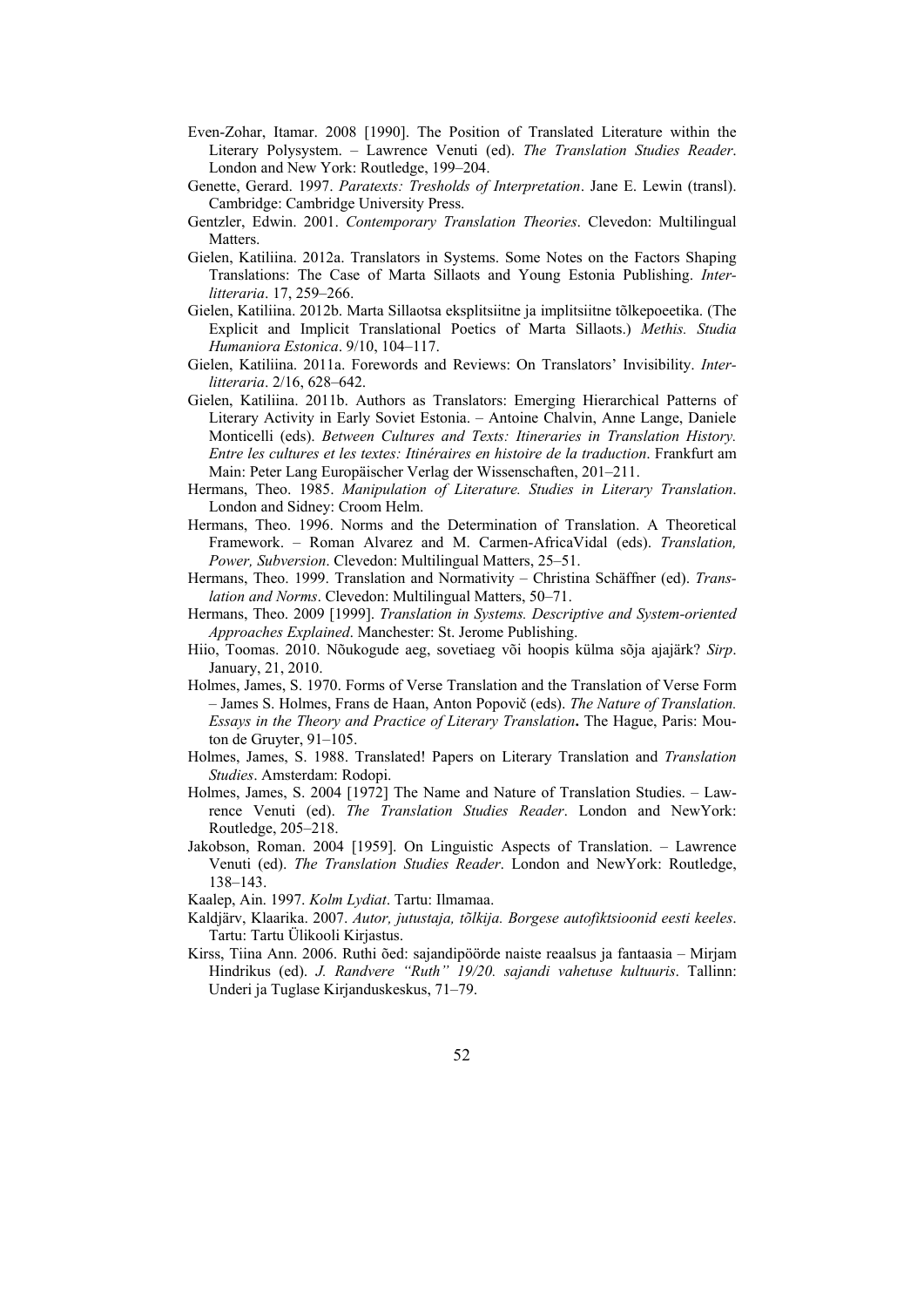- Even-Zohar, Itamar. 2008 [1990]. The Position of Translated Literature within the Literary Polysystem. – Lawrence Venuti (ed). *The Translation Studies Reader*. London and New York: Routledge, 199–204.
- Genette, Gerard. 1997. *Paratexts: Tresholds of Interpretation*. Jane E. Lewin (transl). Cambridge: Cambridge University Press.
- Gentzler, Edwin. 2001. *Contemporary Translation Theories*. Clevedon: Multilingual **Matters**
- Gielen, Katiliina. 2012a. Translators in Systems. Some Notes on the Factors Shaping Translations: The Case of Marta Sillaots and Young Estonia Publishing. *Interlitteraria*. 17, 259–266.
- Gielen, Katiliina. 2012b. Marta Sillaotsa eksplitsiitne ja implitsiitne tõlkepoeetika. (The Explicit and Implicit Translational Poetics of Marta Sillaots.) *Methis. Studia Humaniora Estonica*. 9/10, 104–117.
- Gielen, Katiliina. 2011a. Forewords and Reviews: On Translators' Invisibility. *Interlitteraria*. 2/16, 628–642.
- Gielen, Katiliina. 2011b. Authors as Translators: Emerging Hierarchical Patterns of Literary Activity in Early Soviet Estonia. – Antoine Chalvin, Anne Lange, Daniele Monticelli (eds). *Between Cultures and Texts: Itineraries in Translation History. Entre les cultures et les textes: Itinéraires en histoire de la traduction*. Frankfurt am Main: Peter Lang Europäischer Verlag der Wissenschaften, 201–211.
- Hermans, Theo. 1985. *Manipulation of Literature. Studies in Literary Translation*. London and Sidney: Croom Helm.
- Hermans, Theo. 1996. Norms and the Determination of Translation. A Theoretical Framework. – Roman Alvarez and M. Carmen-AfricaVidal (eds). *Translation, Power, Subversion*. Clevedon: Multilingual Matters, 25–51.
- Hermans, Theo. 1999. Translation and Normativity Christina Schäffner (ed). *Translation and Norms*. Clevedon: Multilingual Matters, 50–71.
- Hermans, Theo. 2009 [1999]. *Translation in Systems. Descriptive and System-oriented Approaches Explained*. Manchester: St. Jerome Publishing.
- Hiio, Toomas. 2010. Nõukogude aeg, sovetiaeg või hoopis külma sõja ajajärk? *Sirp*. January, 21, 2010.
- Holmes, James, S. 1970. Forms of Verse Translation and the Translation of Verse Form – James S. Holmes, Frans de Haan, Anton Popovič (eds). *The Nature of Translation. Essays in the Theory and Practice of Literary Translation***.** The Hague, Paris: Mouton de Gruyter, 91–105.
- Holmes, James, S. 1988. Translated! Papers on Literary Translation and *Translation Studies*. Amsterdam: Rodopi.
- Holmes, James, S. 2004 [1972] The Name and Nature of Translation Studies. Lawrence Venuti (ed). *The Translation Studies Reader*. London and NewYork: Routledge, 205–218.
- Jakobson, Roman. 2004 [1959]. On Linguistic Aspects of Translation. Lawrence Venuti (ed). *The Translation Studies Reader*. London and NewYork: Routledge, 138–143.
- Kaalep, Ain. 1997. *Kolm Lydiat*. Tartu: Ilmamaa.
- Kaldjärv, Klaarika. 2007. *Autor, jutustaja, tõlkija. Borgese autofiktsioonid eesti keeles*. Tartu: Tartu Ülikooli Kirjastus.
- Kirss, Tiina Ann. 2006. Ruthi õed: sajandipöörde naiste reaalsus ja fantaasia Mirjam Hindrikus (ed). *J. Randvere "Ruth" 19/20. sajandi vahetuse kultuuris*. Tallinn: Underi ja Tuglase Kirjanduskeskus, 71–79.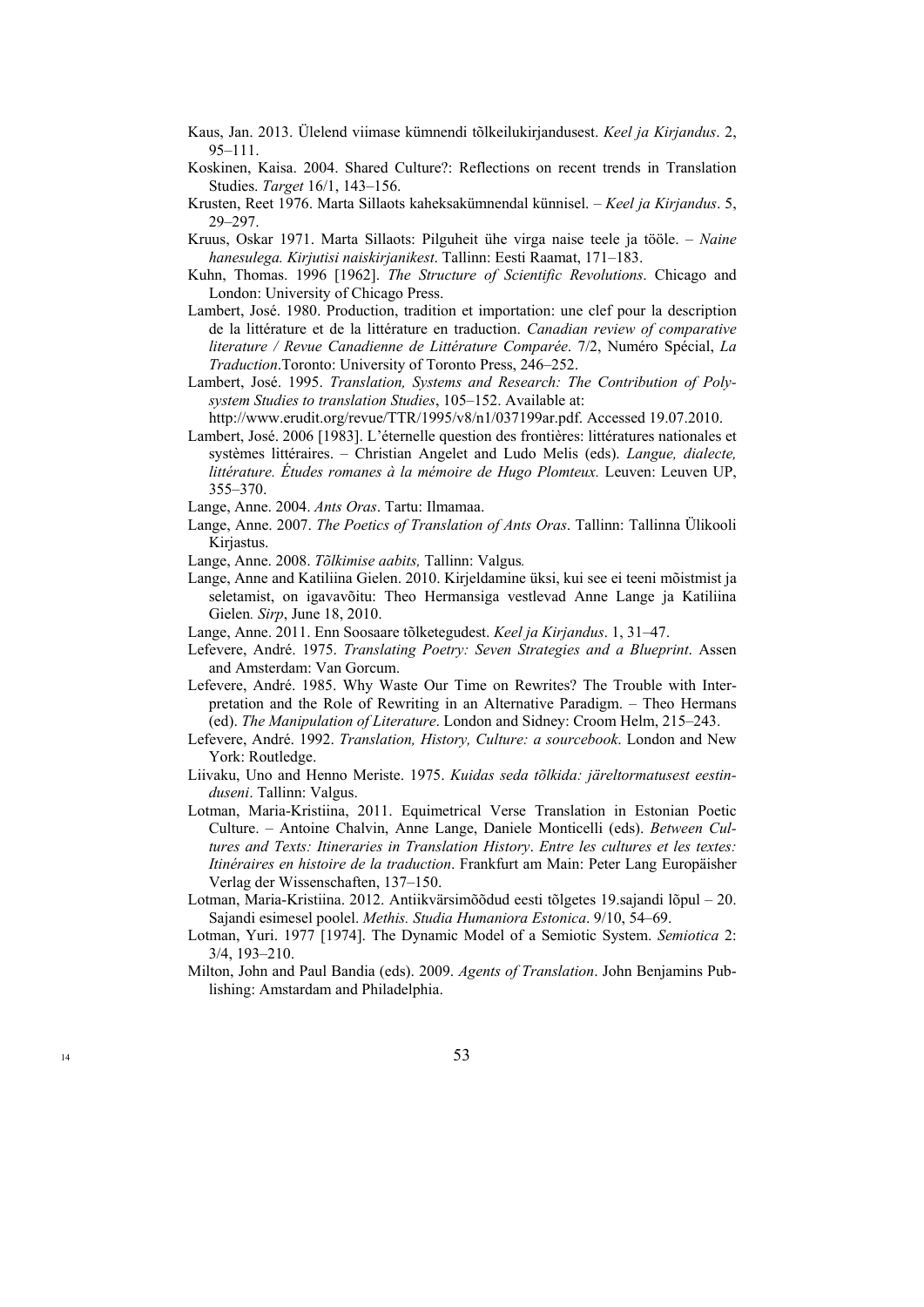- Kaus, Jan. 2013. Ülelend viimase kümnendi tõlkeilukirjandusest. *Keel ja Kirjandus*. 2, 95–111.
- Koskinen, Kaisa. 2004. Shared Culture?: Reflections on recent trends in Translation Studies. *Target* 16/1, 143–156.
- Krusten, Reet 1976. Marta Sillaots kaheksakümnendal künnisel. *Keel ja Kirjandus*. 5, 29–297.
- Kruus, Oskar 1971. Marta Sillaots: Pilguheit ühe virga naise teele ja tööle. *Naine hanesulega. Kirjutisi naiskirjanikest*. Tallinn: Eesti Raamat, 171–183.
- Kuhn, Thomas. 1996 [1962]. *The Structure of Scientific Revolutions*. Chicago and London: University of Chicago Press.
- Lambert, José. 1980. Production, tradition et importation: une clef pour la description de la littérature et de la littérature en traduction. *Canadian review of comparative literature / Revue Canadienne de Littérature Comparée*. 7/2, Numéro Spécial, *La Traduction*.Toronto: University of Toronto Press, 246–252.
- Lambert, José. 1995. *Translation, Systems and Research: The Contribution of Polysystem Studies to translation Studies*, 105–152. Available at:

http://www.erudit.org/revue/TTR/1995/v8/n1/037199ar.pdf. Accessed 19.07.2010.

Lambert, José. 2006 [1983]. L'éternelle question des frontières: littératures nationales et systèmes littéraires. – Christian Angelet and Ludo Melis (eds). *Langue, dialecte, littérature. Études romanes à la mémoire de Hugo Plomteux.* Leuven: Leuven UP, 355–370.

Lange, Anne. 2004. *Ants Oras*. Tartu: Ilmamaa.

- Lange, Anne. 2007. *The Poetics of Translation of Ants Oras*. Tallinn: Tallinna Ülikooli Kirjastus.
- Lange, Anne. 2008. *Tõlkimise aabits,* Tallinn: Valgus*.*
- Lange, Anne and Katiliina Gielen. 2010. Kirjeldamine üksi, kui see ei teeni mõistmist ja seletamist, on igavavõitu: Theo Hermansiga vestlevad Anne Lange ja Katiliina Gielen*. Sirp*, June 18, 2010.
- Lange, Anne. 2011. Enn Soosaare tõlketegudest. *Keel ja Kirjandus*. 1, 31–47.
- Lefevere, André. 1975. *Translating Poetry: Seven Strategies and a Blueprint*. Assen and Amsterdam: Van Gorcum.
- Lefevere, André. 1985. Why Waste Our Time on Rewrites? The Trouble with Interpretation and the Role of Rewriting in an Alternative Paradigm. – Theo Hermans (ed). *The Manipulation of Literature*. London and Sidney: Croom Helm, 215–243.
- Lefevere, André. 1992. *Translation, History, Culture: a sourcebook*. London and New York: Routledge.
- Liivaku, Uno and Henno Meriste. 1975. *Kuidas seda tõlkida: järeltormatusest eestinduseni*. Tallinn: Valgus.
- Lotman, Maria-Kristiina, 2011. Equimetrical Verse Translation in Estonian Poetic Culture. – Antoine Chalvin, Anne Lange, Daniele Monticelli (eds). *Between Cultures and Texts: Itineraries in Translation History*. *Entre les cultures et les textes: Itinéraires en histoire de la traduction*. Frankfurt am Main: Peter Lang Europäisher Verlag der Wissenschaften, 137–150.
- Lotman, Maria-Kristiina. 2012. Antiikvärsimõõdud eesti tõlgetes 19.sajandi lõpul 20. Sajandi esimesel poolel. *Methis. Studia Humaniora Estonica*. 9/10, 54–69.
- Lotman, Yuri. 1977 [1974]. The Dynamic Model of a Semiotic System. *Semiotica* 2: 3/4, 193–210.
- Milton, John and Paul Bandia (eds). 2009. *Agents of Translation*. John Benjamins Publishing: Amstardam and Philadelphia.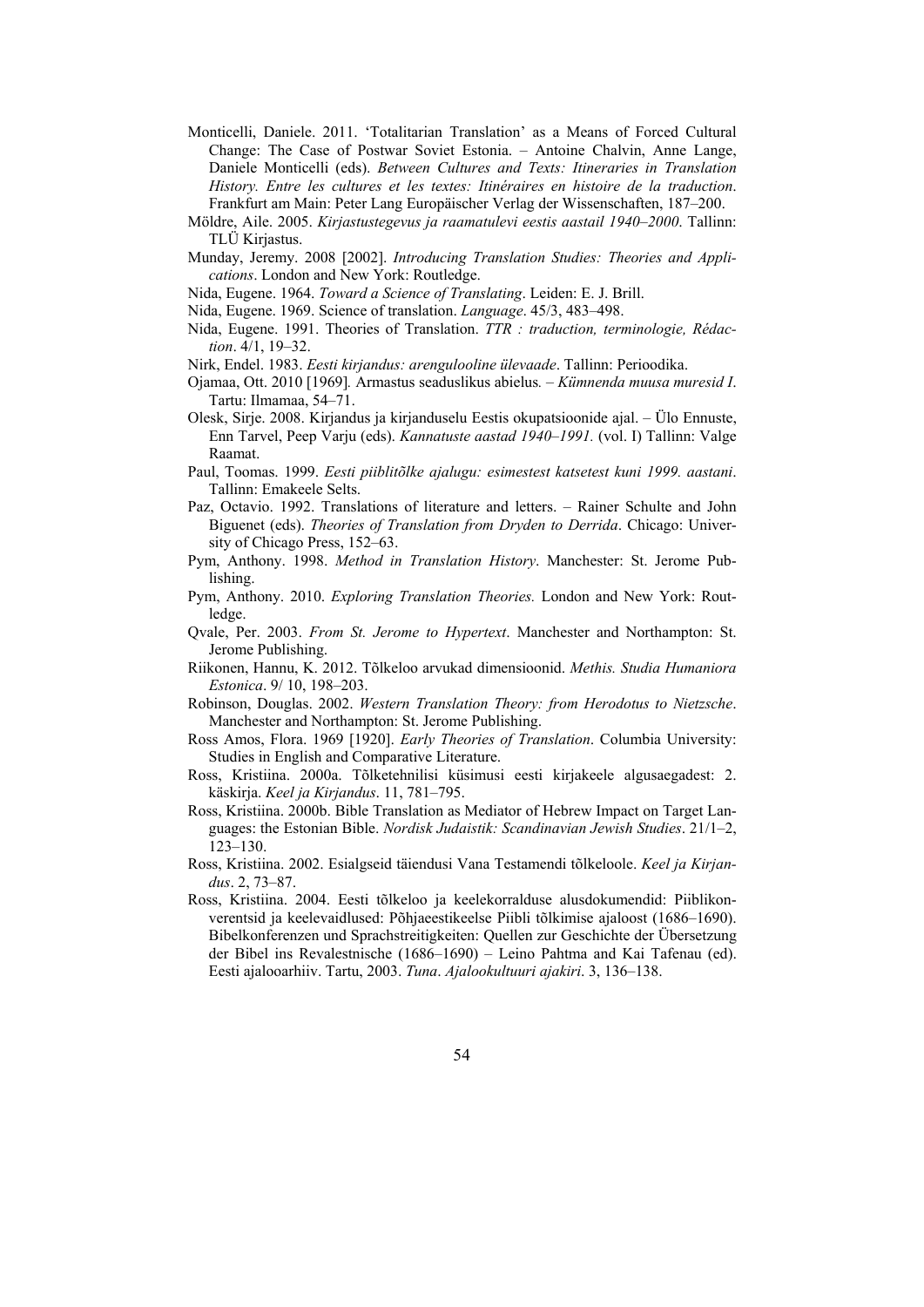- Monticelli, Daniele. 2011. 'Totalitarian Translation' as a Means of Forced Cultural Change: The Case of Postwar Soviet Estonia. – Antoine Chalvin, Anne Lange, Daniele Monticelli (eds). *Between Cultures and Texts: Itineraries in Translation History. Entre les cultures et les textes: Itinéraires en histoire de la traduction*. Frankfurt am Main: Peter Lang Europäischer Verlag der Wissenschaften, 187–200.
- Möldre, Aile. 2005. *Kirjastustegevus ja raamatulevi eestis aastail 1940–2000*. Tallinn: TLÜ Kirjastus.
- Munday, Jeremy. 2008 [2002]. *Introducing Translation Studies: Theories and Applications*. London and New York: Routledge.
- Nida, Eugene. 1964. *Toward a Science of Translating*. Leiden: E. J. Brill.
- Nida, Eugene. 1969. Science of translation. *Language*. 45/3, 483–498.
- Nida, Eugene. 1991. Theories of Translation. *TTR : traduction, terminologie, Rédaction*. 4/1, 19–32.
- Nirk, Endel. 1983. *Eesti kirjandus: arengulooline ülevaade*. Tallinn: Perioodika.
- Ojamaa, Ott. 2010 [1969]*.* Armastus seaduslikus abielus*. Kümnenda muusa muresid I*. Tartu: Ilmamaa, 54–71.
- Olesk, Sirje. 2008. Kirjandus ja kirjanduselu Eestis okupatsioonide ajal. Ülo Ennuste, Enn Tarvel, Peep Varju (eds). *Kannatuste aastad 1940–1991.* (vol. I) Tallinn: Valge Raamat.
- Paul, Toomas. 1999. *Eesti piiblitõlke ajalugu: esimestest katsetest kuni 1999. aastani*. Tallinn: Emakeele Selts.
- Paz, Octavio. 1992. Translations of literature and letters. Rainer Schulte and John Biguenet (eds). *Theories of Translation from Dryden to Derrida*. Chicago: University of Chicago Press, 152–63.
- Pym, Anthony. 1998. *Method in Translation History*. Manchester: St. Jerome Publishing.
- Pym, Anthony. 2010. *Exploring Translation Theories.* London and New York: Routledge.
- Qvale, Per. 2003. *From St. Jerome to Hypertext*. Manchester and Northampton: St. Jerome Publishing.
- Riikonen, Hannu, K. 2012. Tõlkeloo arvukad dimensioonid. *Methis. Studia Humaniora Estonica*. 9/ 10, 198–203.
- Robinson, Douglas. 2002. *Western Translation Theory: from Herodotus to Nietzsche*. Manchester and Northampton: St. Jerome Publishing.
- Ross Amos, Flora. 1969 [1920]. *Early Theories of Translation*. Columbia University: Studies in English and Comparative Literature.
- Ross, Kristiina. 2000a. Tõlketehnilisi küsimusi eesti kirjakeele algusaegadest: 2. käskirja. *Keel ja Kirjandus*. 11, 781–795.
- Ross, Kristiina. 2000b. Bible Translation as Mediator of Hebrew Impact on Target Languages: the Estonian Bible. *Nordisk Judaistik: Scandinavian Jewish Studies*. 21/1–2, 123–130.
- Ross, Kristiina. 2002. Esialgseid täiendusi Vana Testamendi tõlkeloole. *Keel ja Kirjandus*. 2, 73–87.
- Ross, Kristiina. 2004. Eesti tõlkeloo ja keelekorralduse alusdokumendid: Piiblikonverentsid ja keelevaidlused: Põhjaeestikeelse Piibli tõlkimise ajaloost (1686–1690). Bibelkonferenzen und Sprachstreitigkeiten: Quellen zur Geschichte der Übersetzung der Bibel ins Revalestnische (1686–1690) – Leino Pahtma and Kai Tafenau (ed). Eesti ajalooarhiiv. Tartu, 2003. *Tuna*. *Ajalookultuuri ajakiri*. 3, 136–138.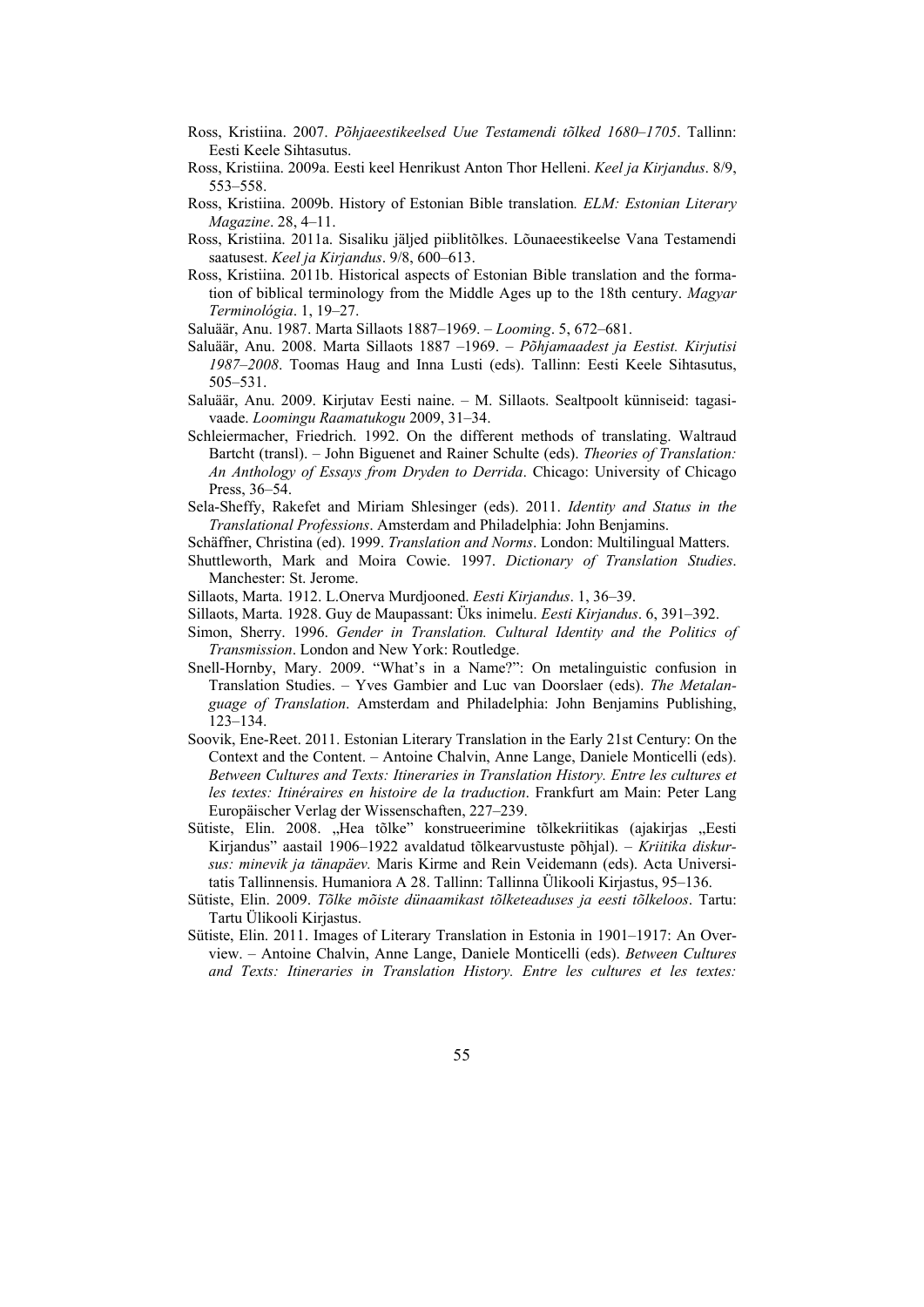- Ross, Kristiina. 2007. *Põhjaeestikeelsed Uue Testamendi tõlked 1680–1705*. Tallinn: Eesti Keele Sihtasutus.
- Ross, Kristiina. 2009a. Eesti keel Henrikust Anton Thor Helleni. *Keel ja Kirjandus*. 8/9, 553–558.
- Ross, Kristiina. 2009b. History of Estonian Bible translation*. ELM: Estonian Literary Magazine*. 28, 4–11.
- Ross, Kristiina. 2011a. Sisaliku jäljed piiblitõlkes. Lõunaeestikeelse Vana Testamendi saatusest. *Keel ja Kirjandus*. 9/8, 600–613.
- Ross, Kristiina. 2011b. Historical aspects of Estonian Bible translation and the formation of biblical terminology from the Middle Ages up to the 18th century. *Magyar Terminológia*. 1, 19–27.
- Saluäär, Anu. 1987. Marta Sillaots 1887–1969. *Looming*. 5, 672–681.
- Saluäär, Anu. 2008. Marta Sillaots 1887 –1969. *Põhjamaadest ja Eestist. Kirjutisi 1987–2008*. Toomas Haug and Inna Lusti (eds). Tallinn: Eesti Keele Sihtasutus, 505–531.
- Saluäär, Anu. 2009. Kirjutav Eesti naine. M. Sillaots. Sealtpoolt künniseid: tagasivaade. *Loomingu Raamatukogu* 2009, 31–34.
- Schleiermacher, Friedrich. 1992. On the different methods of translating. Waltraud Bartcht (transl). – John Biguenet and Rainer Schulte (eds). *Theories of Translation: An Anthology of Essays from Dryden to Derrida*. Chicago: University of Chicago Press, 36–54.
- Sela-Sheffy, Rakefet and Miriam Shlesinger (eds). 2011. *Identity and Status in the Translational Professions*. Amsterdam and Philadelphia: John Benjamins.
- Schäffner, Christina (ed). 1999. *Translation and Norms*. London: Multilingual Matters.
- Shuttleworth, Mark and Moira Cowie. 1997. *Dictionary of Translation Studies*. Manchester: St. Jerome.
- Sillaots, Marta. 1912. L.Onerva Murdjooned. *Eesti Kirjandus*. 1, 36–39.
- Sillaots, Marta. 1928. Guy de Maupassant: Üks inimelu. *Eesti Kirjandus*. 6, 391–392.
- Simon, Sherry. 1996. *Gender in Translation. Cultural Identity and the Politics of Transmission*. London and New York: Routledge.
- Snell-Hornby, Mary. 2009. "What's in a Name?": On metalinguistic confusion in Translation Studies. – Yves Gambier and Luc van Doorslaer (eds). *The Metalanguage of Translation*. Amsterdam and Philadelphia: John Benjamins Publishing, 123–134.
- Soovik, Ene-Reet. 2011. Estonian Literary Translation in the Early 21st Century: On the Context and the Content. – Antoine Chalvin, Anne Lange, Daniele Monticelli (eds). *Between Cultures and Texts: Itineraries in Translation History. Entre les cultures et les textes: Itinéraires en histoire de la traduction*. Frankfurt am Main: Peter Lang Europäischer Verlag der Wissenschaften, 227–239.
- Sütiste, Elin. 2008. "Hea tõlke" konstrueerimine tõlkekriitikas (ajakirjas "Eesti Kirjandus" aastail 1906–1922 avaldatud tõlkearvustuste põhjal). – *Kriitika diskursus: minevik ja tänapäev.* Maris Kirme and Rein Veidemann (eds). Acta Universitatis Tallinnensis. Humaniora A 28. Tallinn: Tallinna Ülikooli Kirjastus, 95–136.
- Sütiste, Elin. 2009. *Tõlke mõiste dünaamikast tõlketeaduses ja eesti tõlkeloos*. Tartu: Tartu Ülikooli Kirjastus.
- Sütiste, Elin. 2011. Images of Literary Translation in Estonia in 1901–1917: An Overview. – Antoine Chalvin, Anne Lange, Daniele Monticelli (eds). *Between Cultures and Texts: Itineraries in Translation History. Entre les cultures et les textes:*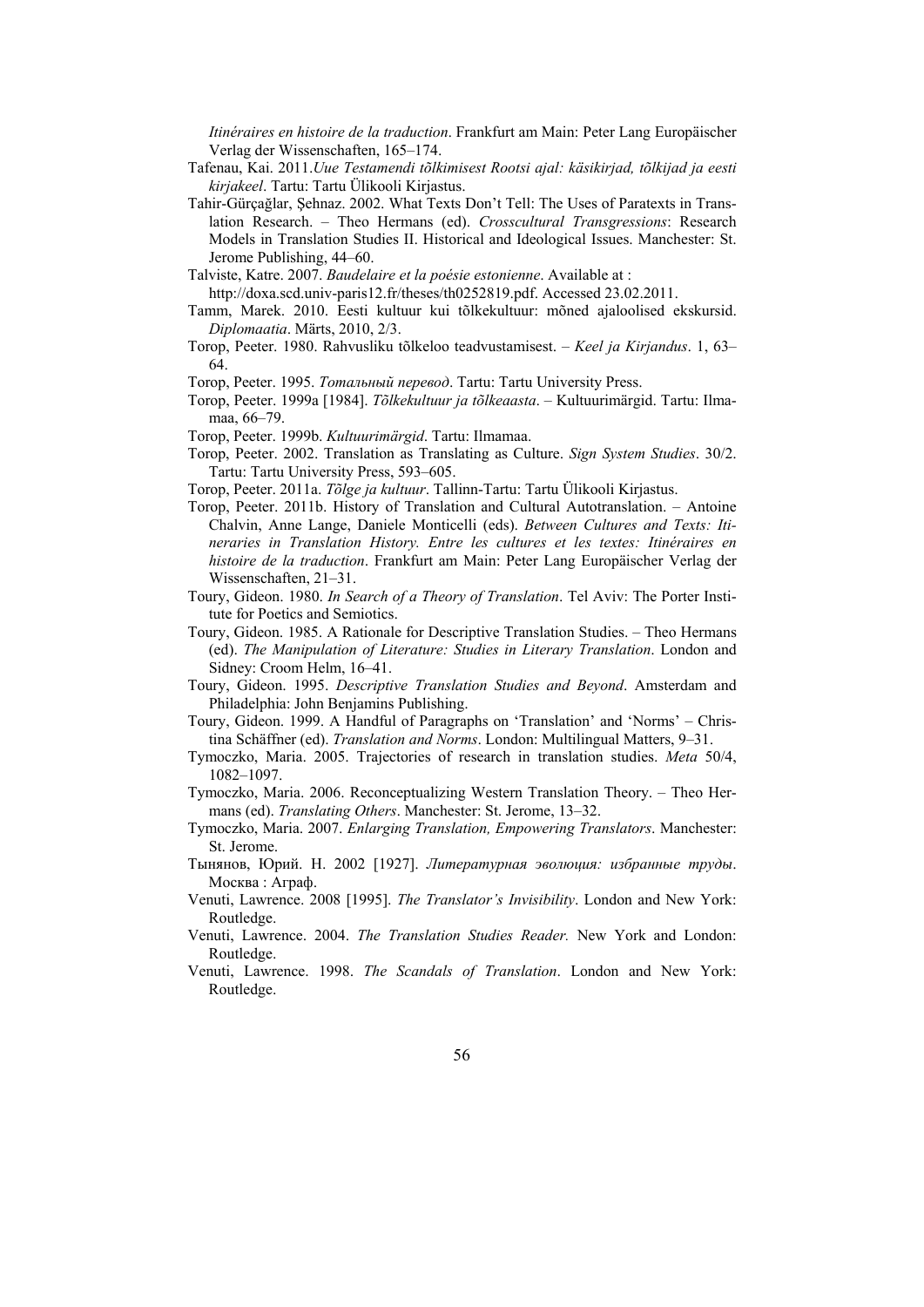*Itinéraires en histoire de la traduction*. Frankfurt am Main: Peter Lang Europäischer Verlag der Wissenschaften, 165–174.

- Tafenau, Kai. 2011.*Uue Testamendi tõlkimisest Rootsi ajal: käsikirjad, tõlkijad ja eesti kirjakeel*. Tartu: Tartu Ülikooli Kirjastus.
- Tahir-Gürçağlar, Şehnaz. 2002. What Texts Don't Tell: The Uses of Paratexts in Translation Research. – Theo Hermans (ed). *Crosscultural Transgressions*: Research Models in Translation Studies II. Historical and Ideological Issues. Manchester: St. Jerome Publishing, 44–60.
- Talviste, Katre. 2007. *Baudelaire et la poésie estonienne*. Available at : http://doxa.scd.univ-paris12.fr/theses/th0252819.pdf. Accessed 23.02.2011.
- Tamm, Marek. 2010. Eesti kultuur kui tõlkekultuur: mõned ajaloolised ekskursid. *Diplomaatia*. Märts, 2010, 2/3.
- Torop, Peeter. 1980. Rahvusliku tõlkeloo teadvustamisest. *Keel ja Kirjandus*. 1, 63– 64.
- Torop, Peeter. 1995. *Τотальный перевод*. Tartu: Tartu University Press.
- Torop, Peeter. 1999a [1984]. *Tõlkekultuur ja tõlkeaasta*. Kultuurimärgid. Tartu: Ilmamaa, 66–79.
- Torop, Peeter. 1999b. *Kultuurimärgid*. Tartu: Ilmamaa.
- Torop, Peeter. 2002. Translation as Translating as Culture. *Sign System Studies*. 30/2. Tartu: Tartu University Press, 593–605.
- Torop, Peeter. 2011a. *Tõlge ja kultuur*. Tallinn-Tartu: Tartu Ülikooli Kirjastus.
- Torop, Peeter. 2011b. History of Translation and Cultural Autotranslation. Antoine Chalvin, Anne Lange, Daniele Monticelli (eds). *Between Cultures and Texts: Itineraries in Translation History. Entre les cultures et les textes: Itinéraires en histoire de la traduction*. Frankfurt am Main: Peter Lang Europäischer Verlag der Wissenschaften, 21–31.
- Toury, Gideon. 1980. *In Search of a Theory of Translation*. Tel Aviv: The Porter Institute for Poetics and Semiotics.
- Toury, Gideon. 1985. A Rationale for Descriptive Translation Studies. Theo Hermans (ed). *The Manipulation of Literature: Studies in Literary Translation*. London and Sidney: Croom Helm, 16–41.
- Toury, Gideon. 1995. *Descriptive Translation Studies and Beyond*. Amsterdam and Philadelphia: John Benjamins Publishing.
- Toury, Gideon. 1999. A Handful of Paragraphs on 'Translation' and 'Norms' Christina Schäffner (ed). *Translation and Norms*. London: Multilingual Matters, 9–31.
- Tymoczko, Maria. 2005. Trajectories of research in translation studies. *Meta* 50/4, 1082–1097.
- Tymoczko, Maria. 2006. Reconceptualizing Western Translation Theory. Theo Hermans (ed). *Translating Others*. Manchester: St. Jerome, 13–32.
- Tymoczko, Maria. 2007. *Enlarging Translation, Empowering Translators*. Manchester: St. Jerome.
- Тынянов, Юрий. Н. 2002 [1927]. *Литературная эволюция: избранные труды*. Москва : Аграф.
- Venuti, Lawrence. 2008 [1995]. *The Translator's Invisibility*. London and New York: Routledge.
- Venuti, Lawrence. 2004. *The Translation Studies Reader.* New York and London: Routledge.
- Venuti, Lawrence. 1998. *The Scandals of Translation*. London and New York: Routledge.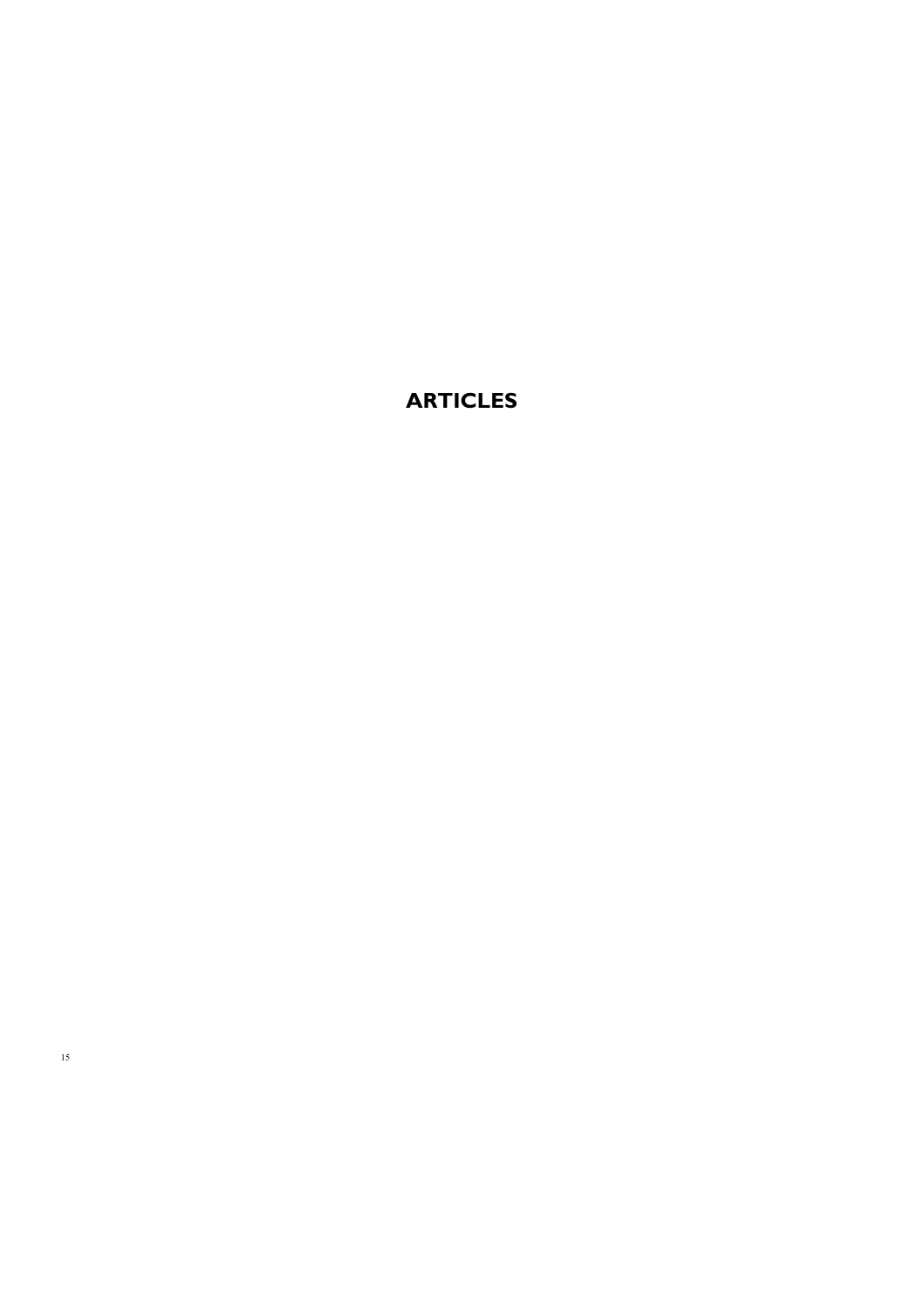### **ARTICLES**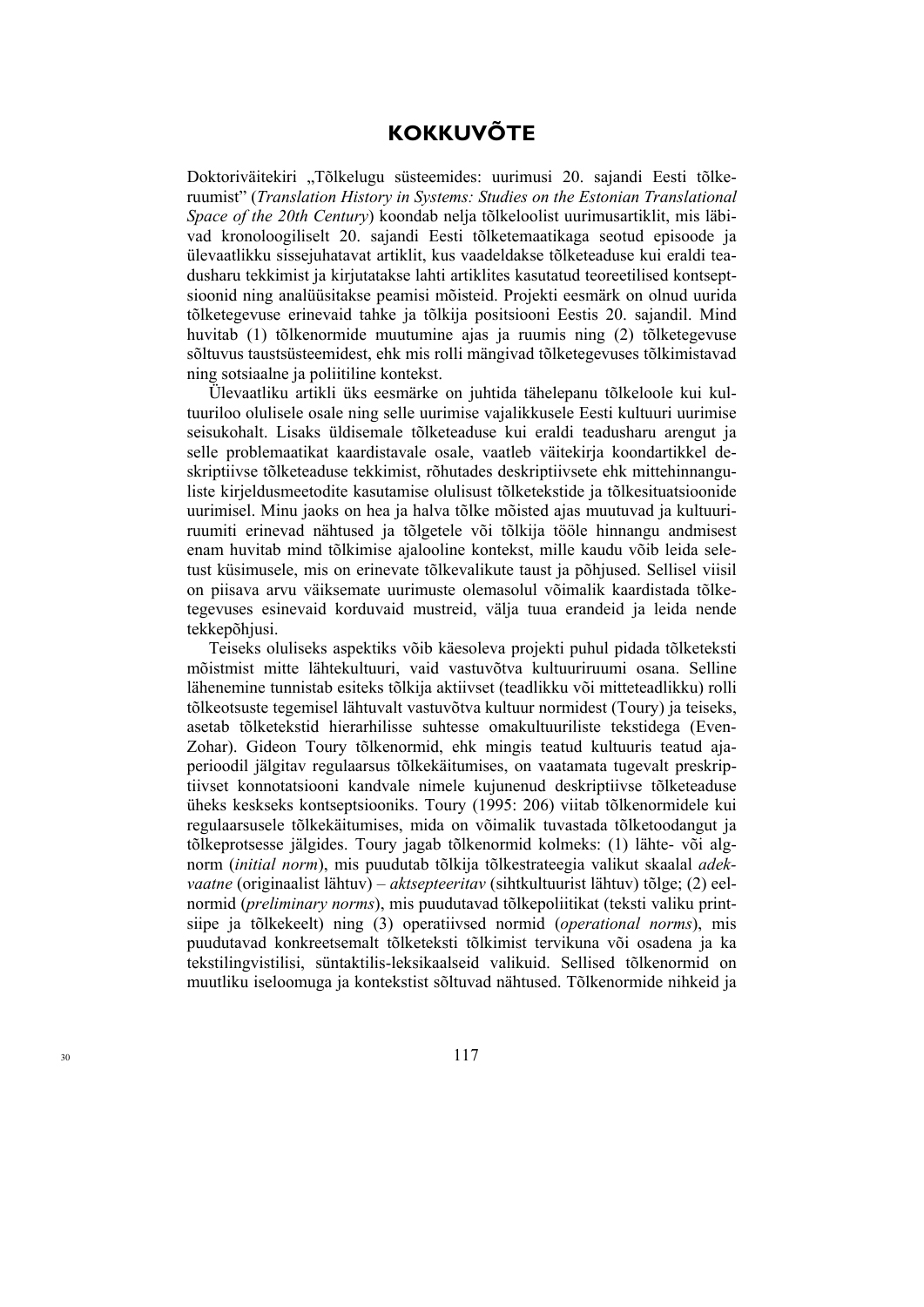### **KOKKUVÕTE**

Doktoriväitekiri "Tõlkelugu süsteemides: uurimusi 20. sajandi Eesti tõlkeruumist" (*Translation History in Systems: Studies on the Estonian Translational Space of the 20th Century*) koondab nelja tõlkeloolist uurimusartiklit, mis läbivad kronoloogiliselt 20. sajandi Eesti tõlketemaatikaga seotud episoode ja ülevaatlikku sissejuhatavat artiklit, kus vaadeldakse tõlketeaduse kui eraldi teadusharu tekkimist ja kirjutatakse lahti artiklites kasutatud teoreetilised kontseptsioonid ning analüüsitakse peamisi mõisteid. Projekti eesmärk on olnud uurida tõlketegevuse erinevaid tahke ja tõlkija positsiooni Eestis 20. sajandil. Mind huvitab (1) tõlkenormide muutumine ajas ja ruumis ning (2) tõlketegevuse sõltuvus taustsüsteemidest, ehk mis rolli mängivad tõlketegevuses tõlkimistavad ning sotsiaalne ja poliitiline kontekst.

Ülevaatliku artikli üks eesmärke on juhtida tähelepanu tõlkeloole kui kultuuriloo olulisele osale ning selle uurimise vajalikkusele Eesti kultuuri uurimise seisukohalt. Lisaks üldisemale tõlketeaduse kui eraldi teadusharu arengut ja selle problemaatikat kaardistavale osale, vaatleb väitekirja koondartikkel deskriptiivse tõlketeaduse tekkimist, rõhutades deskriptiivsete ehk mittehinnanguliste kirjeldusmeetodite kasutamise olulisust tõlketekstide ja tõlkesituatsioonide uurimisel. Minu jaoks on hea ja halva tõlke mõisted ajas muutuvad ja kultuuriruumiti erinevad nähtused ja tõlgetele või tõlkija tööle hinnangu andmisest enam huvitab mind tõlkimise ajalooline kontekst, mille kaudu võib leida seletust küsimusele, mis on erinevate tõlkevalikute taust ja põhjused. Sellisel viisil on piisava arvu väiksemate uurimuste olemasolul võimalik kaardistada tõlketegevuses esinevaid korduvaid mustreid, välja tuua erandeid ja leida nende tekkepõhjusi.

Teiseks oluliseks aspektiks võib käesoleva projekti puhul pidada tõlketeksti mõistmist mitte lähtekultuuri, vaid vastuvõtva kultuuriruumi osana. Selline lähenemine tunnistab esiteks tõlkija aktiivset (teadlikku või mitteteadlikku) rolli tõlkeotsuste tegemisel lähtuvalt vastuvõtva kultuur normidest (Toury) ja teiseks, asetab tõlketekstid hierarhilisse suhtesse omakultuuriliste tekstidega (Even-Zohar). Gideon Toury tõlkenormid, ehk mingis teatud kultuuris teatud ajaperioodil jälgitav regulaarsus tõlkekäitumises, on vaatamata tugevalt preskriptiivset konnotatsiooni kandvale nimele kujunenud deskriptiivse tõlketeaduse üheks keskseks kontseptsiooniks. Toury (1995: 206) viitab tõlkenormidele kui regulaarsusele tõlkekäitumises, mida on võimalik tuvastada tõlketoodangut ja tõlkeprotsesse jälgides. Toury jagab tõlkenormid kolmeks: (1) lähte- või algnorm (*initial norm*), mis puudutab tõlkija tõlkestrateegia valikut skaalal *adekvaatne* (originaalist lähtuv) – *aktsepteeritav* (sihtkultuurist lähtuv) tõlge; (2) eelnormid (*preliminary norms*), mis puudutavad tõlkepoliitikat (teksti valiku printsiipe ja tõlkekeelt) ning (3) operatiivsed normid (*operational norms*), mis puudutavad konkreetsemalt tõlketeksti tõlkimist tervikuna või osadena ja ka tekstilingvistilisi, süntaktilis-leksikaalseid valikuid. Sellised tõlkenormid on muutliku iseloomuga ja kontekstist sõltuvad nähtused. Tõlkenormide nihkeid ja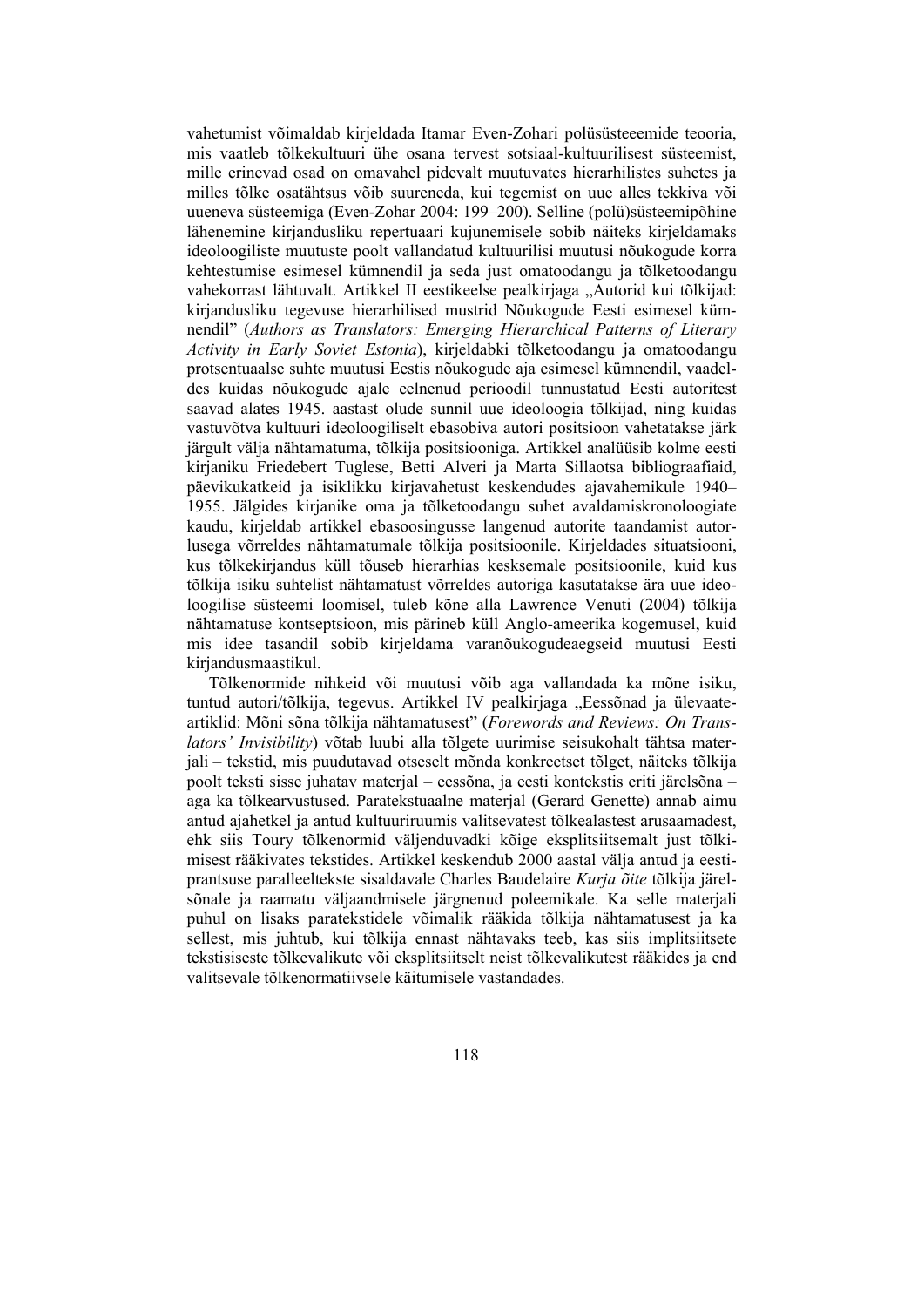vahetumist võimaldab kirjeldada Itamar Even-Zohari polüsüsteeemide teooria, mis vaatleb tõlkekultuuri ühe osana tervest sotsiaal-kultuurilisest süsteemist, mille erinevad osad on omavahel pidevalt muutuvates hierarhilistes suhetes ja milles tõlke osatähtsus võib suureneda, kui tegemist on uue alles tekkiva või uueneva süsteemiga (Even-Zohar 2004: 199–200). Selline (polü)süsteemipõhine lähenemine kirjandusliku repertuaari kujunemisele sobib näiteks kirjeldamaks ideoloogiliste muutuste poolt vallandatud kultuurilisi muutusi nõukogude korra kehtestumise esimesel kümnendil ja seda just omatoodangu ja tõlketoodangu vahekorrast lähtuvalt. Artikkel II eestikeelse pealkirjaga "Autorid kui tõlkijad: kirjandusliku tegevuse hierarhilised mustrid Nõukogude Eesti esimesel kümnendil" (*Authors as Translators: Emerging Hierarchical Patterns of Literary Activity in Early Soviet Estonia*), kirjeldabki tõlketoodangu ja omatoodangu protsentuaalse suhte muutusi Eestis nõukogude aja esimesel kümnendil, vaadeldes kuidas nõukogude ajale eelnenud perioodil tunnustatud Eesti autoritest saavad alates 1945. aastast olude sunnil uue ideoloogia tõlkijad, ning kuidas vastuvõtva kultuuri ideoloogiliselt ebasobiva autori positsioon vahetatakse järk järgult välja nähtamatuma, tõlkija positsiooniga. Artikkel analüüsib kolme eesti kirjaniku Friedebert Tuglese, Betti Alveri ja Marta Sillaotsa bibliograafiaid, päevikukatkeid ja isiklikku kirjavahetust keskendudes ajavahemikule 1940– 1955. Jälgides kirjanike oma ja tõlketoodangu suhet avaldamiskronoloogiate kaudu, kirjeldab artikkel ebasoosingusse langenud autorite taandamist autorlusega võrreldes nähtamatumale tõlkija positsioonile. Kirjeldades situatsiooni, kus tõlkekirjandus küll tõuseb hierarhias kesksemale positsioonile, kuid kus tõlkija isiku suhtelist nähtamatust võrreldes autoriga kasutatakse ära uue ideoloogilise süsteemi loomisel, tuleb kõne alla Lawrence Venuti (2004) tõlkija nähtamatuse kontseptsioon, mis pärineb küll Anglo-ameerika kogemusel, kuid mis idee tasandil sobib kirjeldama varanõukogudeaegseid muutusi Eesti kirjandusmaastikul.

Tõlkenormide nihkeid või muutusi võib aga vallandada ka mõne isiku, tuntud autori/tõlkija, tegevus. Artikkel IV pealkirjaga "Eessõnad ja ülevaateartiklid: Mõni sõna tõlkija nähtamatusest" (*Forewords and Reviews: On Translators' Invisibility*) võtab luubi alla tõlgete uurimise seisukohalt tähtsa materjali – tekstid, mis puudutavad otseselt mõnda konkreetset tõlget, näiteks tõlkija poolt teksti sisse juhatav materjal – eessõna, ja eesti kontekstis eriti järelsõna – aga ka tõlkearvustused. Paratekstuaalne materjal (Gerard Genette) annab aimu antud ajahetkel ja antud kultuuriruumis valitsevatest tõlkealastest arusaamadest, ehk siis Toury tõlkenormid väljenduvadki kõige eksplitsiitsemalt just tõlkimisest rääkivates tekstides. Artikkel keskendub 2000 aastal välja antud ja eestiprantsuse paralleeltekste sisaldavale Charles Baudelaire *Kurja õite* tõlkija järelsõnale ja raamatu väljaandmisele järgnenud poleemikale. Ka selle materjali puhul on lisaks paratekstidele võimalik rääkida tõlkija nähtamatusest ja ka sellest, mis juhtub, kui tõlkija ennast nähtavaks teeb, kas siis implitsiitsete tekstisiseste tõlkevalikute või eksplitsiitselt neist tõlkevalikutest rääkides ja end valitsevale tõlkenormatiivsele käitumisele vastandades.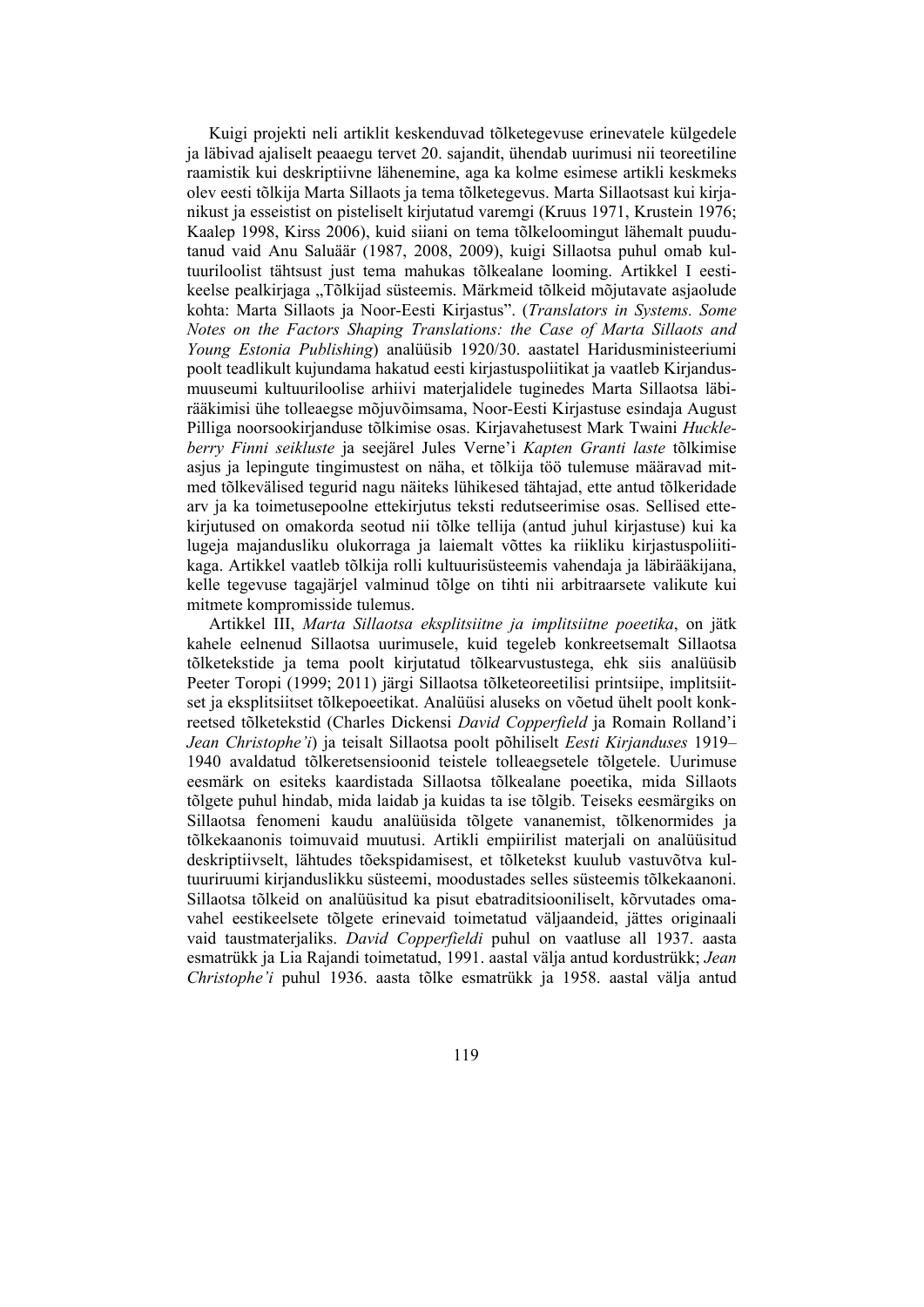Kuigi projekti neli artiklit keskenduvad tõlketegevuse erinevatele külgedele ja läbivad ajaliselt peaaegu tervet 20. sajandit, ühendab uurimusi nii teoreetiline raamistik kui deskriptiivne lähenemine, aga ka kolme esimese artikli keskmeks olev eesti tõlkija Marta Sillaots ja tema tõlketegevus. Marta Sillaotsast kui kirjanikust ja esseistist on pisteliselt kirjutatud varemgi (Kruus 1971, Krustein 1976; Kaalep 1998, Kirss 2006), kuid siiani on tema tõlkeloomingut lähemalt puudutanud vaid Anu Saluäär (1987, 2008, 2009), kuigi Sillaotsa puhul omab kultuuriloolist tähtsust just tema mahukas tõlkealane looming. Artikkel I eestikeelse pealkirjaga "Tõlkijad süsteemis. Märkmeid tõlkeid mõjutavate asjaolude kohta: Marta Sillaots ja Noor-Eesti Kirjastus". (*Translators in Systems. Some Notes on the Factors Shaping Translations: the Case of Marta Sillaots and Young Estonia Publishing*) analüüsib 1920/30. aastatel Haridusministeeriumi poolt teadlikult kujundama hakatud eesti kirjastuspoliitikat ja vaatleb Kirjandusmuuseumi kultuuriloolise arhiivi materjalidele tuginedes Marta Sillaotsa läbirääkimisi ühe tolleaegse mõjuvõimsama, Noor-Eesti Kirjastuse esindaja August Pilliga noorsookirjanduse tõlkimise osas. Kirjavahetusest Mark Twaini *Huckleberry Finni seikluste* ja seejärel Jules Verne'i *Kapten Granti laste* tõlkimise asjus ja lepingute tingimustest on näha, et tõlkija töö tulemuse määravad mitmed tõlkevälised tegurid nagu näiteks lühikesed tähtajad, ette antud tõlkeridade arv ja ka toimetusepoolne ettekirjutus teksti redutseerimise osas. Sellised ettekirjutused on omakorda seotud nii tõlke tellija (antud juhul kirjastuse) kui ka lugeja majandusliku olukorraga ja laiemalt võttes ka riikliku kirjastuspoliitikaga. Artikkel vaatleb tõlkija rolli kultuurisüsteemis vahendaja ja läbirääkijana, kelle tegevuse tagajärjel valminud tõlge on tihti nii arbitraarsete valikute kui mitmete kompromisside tulemus.

Artikkel III, *Marta Sillaotsa eksplitsiitne ja implitsiitne poeetika*, on jätk kahele eelnenud Sillaotsa uurimusele, kuid tegeleb konkreetsemalt Sillaotsa tõlketekstide ja tema poolt kirjutatud tõlkearvustustega, ehk siis analüüsib Peeter Toropi (1999; 2011) järgi Sillaotsa tõlketeoreetilisi printsiipe, implitsiitset ja eksplitsiitset tõlkepoeetikat. Analüüsi aluseks on võetud ühelt poolt konkreetsed tõlketekstid (Charles Dickensi *David Copperfield* ja Romain Rolland'i *Jean Christophe'i*) ja teisalt Sillaotsa poolt põhiliselt *Eesti Kirjanduses* 1919– 1940 avaldatud tõlkeretsensioonid teistele tolleaegsetele tõlgetele. Uurimuse eesmärk on esiteks kaardistada Sillaotsa tõlkealane poeetika, mida Sillaots tõlgete puhul hindab, mida laidab ja kuidas ta ise tõlgib. Teiseks eesmärgiks on Sillaotsa fenomeni kaudu analüüsida tõlgete vananemist, tõlkenormides ja tõlkekaanonis toimuvaid muutusi. Artikli empiirilist materjali on analüüsitud deskriptiivselt, lähtudes tõekspidamisest, et tõlketekst kuulub vastuvõtva kultuuriruumi kirjanduslikku süsteemi, moodustades selles süsteemis tõlkekaanoni. Sillaotsa tõlkeid on analüüsitud ka pisut ebatraditsiooniliselt, kõrvutades omavahel eestikeelsete tõlgete erinevaid toimetatud väljaandeid, jättes originaali vaid taustmaterjaliks. *David Copperfieldi* puhul on vaatluse all 1937. aasta esmatrükk ja Lia Rajandi toimetatud, 1991. aastal välja antud kordustrükk; *Jean Christophe'i* puhul 1936. aasta tõlke esmatrükk ja 1958. aastal välja antud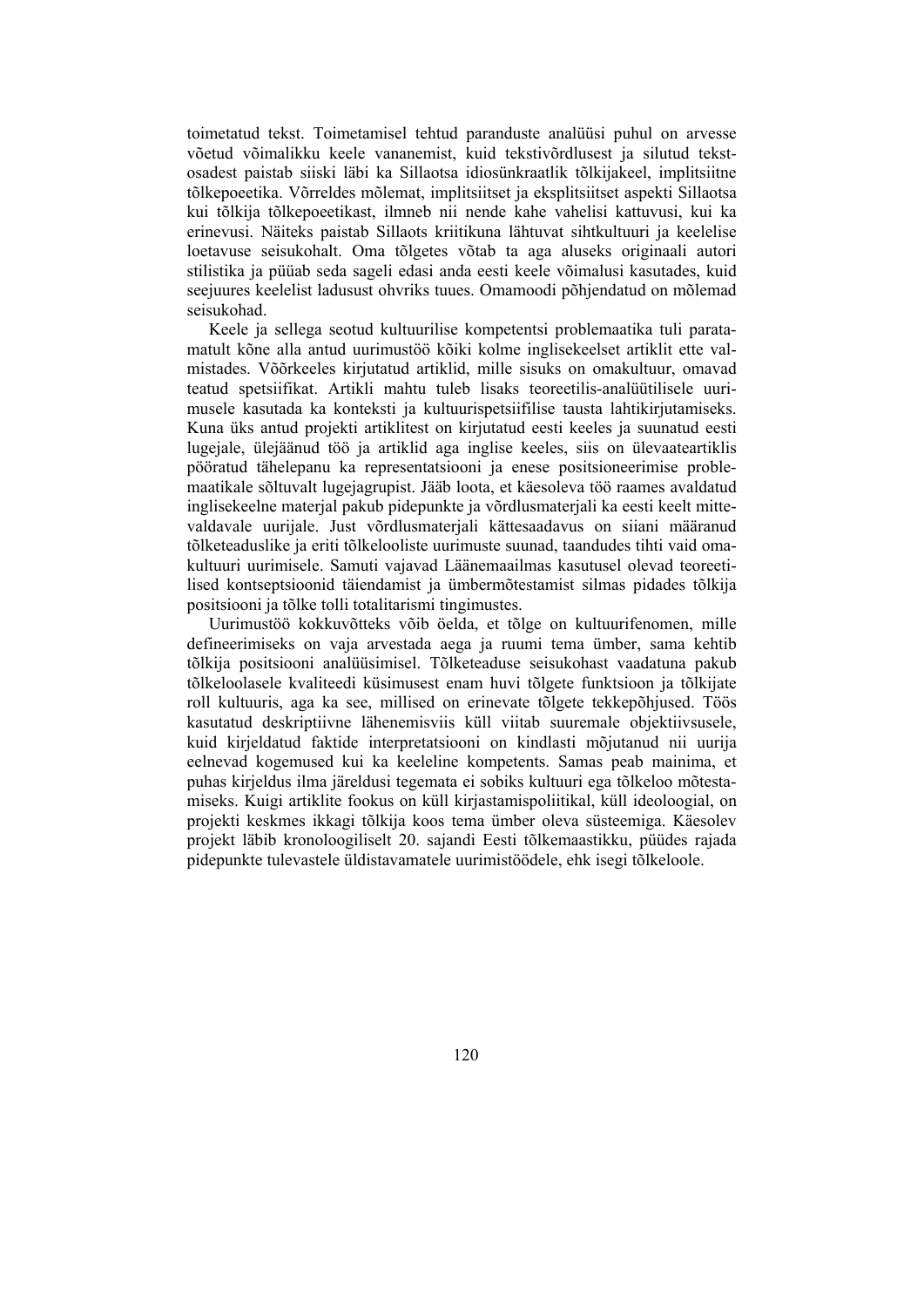toimetatud tekst. Toimetamisel tehtud paranduste analüüsi puhul on arvesse võetud võimalikku keele vananemist, kuid tekstivõrdlusest ja silutud tekstosadest paistab siiski läbi ka Sillaotsa idiosünkraatlik tõlkijakeel, implitsiitne tõlkepoeetika. Võrreldes mõlemat, implitsiitset ja eksplitsiitset aspekti Sillaotsa kui tõlkija tõlkepoeetikast, ilmneb nii nende kahe vahelisi kattuvusi, kui ka erinevusi. Näiteks paistab Sillaots kriitikuna lähtuvat sihtkultuuri ja keelelise loetavuse seisukohalt. Oma tõlgetes võtab ta aga aluseks originaali autori stilistika ja püüab seda sageli edasi anda eesti keele võimalusi kasutades, kuid seejuures keelelist ladusust ohvriks tuues. Omamoodi põhjendatud on mõlemad seisukohad.

Keele ja sellega seotud kultuurilise kompetentsi problemaatika tuli paratamatult kõne alla antud uurimustöö kõiki kolme inglisekeelset artiklit ette valmistades. Võõrkeeles kirjutatud artiklid, mille sisuks on omakultuur, omavad teatud spetsiifikat. Artikli mahtu tuleb lisaks teoreetilis-analüütilisele uurimusele kasutada ka konteksti ja kultuurispetsiifilise tausta lahtikirjutamiseks. Kuna üks antud projekti artiklitest on kirjutatud eesti keeles ja suunatud eesti lugejale, ülejäänud töö ja artiklid aga inglise keeles, siis on ülevaateartiklis pööratud tähelepanu ka representatsiooni ja enese positsioneerimise problemaatikale sõltuvalt lugejagrupist. Jääb loota, et käesoleva töö raames avaldatud inglisekeelne materjal pakub pidepunkte ja võrdlusmaterjali ka eesti keelt mittevaldavale uurijale. Just võrdlusmaterjali kättesaadavus on siiani määranud tõlketeaduslike ja eriti tõlkelooliste uurimuste suunad, taandudes tihti vaid omakultuuri uurimisele. Samuti vajavad Läänemaailmas kasutusel olevad teoreetilised kontseptsioonid täiendamist ja ümbermõtestamist silmas pidades tõlkija positsiooni ja tõlke tolli totalitarismi tingimustes.

Uurimustöö kokkuvõtteks võib öelda, et tõlge on kultuurifenomen, mille defineerimiseks on vaja arvestada aega ja ruumi tema ümber, sama kehtib tõlkija positsiooni analüüsimisel. Tõlketeaduse seisukohast vaadatuna pakub tõlkeloolasele kvaliteedi küsimusest enam huvi tõlgete funktsioon ja tõlkijate roll kultuuris, aga ka see, millised on erinevate tõlgete tekkepõhjused. Töös kasutatud deskriptiivne lähenemisviis küll viitab suuremale objektiivsusele, kuid kirjeldatud faktide interpretatsiooni on kindlasti mõjutanud nii uurija eelnevad kogemused kui ka keeleline kompetents. Samas peab mainima, et puhas kirjeldus ilma järeldusi tegemata ei sobiks kultuuri ega tõlkeloo mõtestamiseks. Kuigi artiklite fookus on küll kirjastamispoliitikal, küll ideoloogial, on projekti keskmes ikkagi tõlkija koos tema ümber oleva süsteemiga. Käesolev projekt läbib kronoloogiliselt 20. sajandi Eesti tõlkemaastikku, püüdes rajada pidepunkte tulevastele üldistavamatele uurimistöödele, ehk isegi tõlkeloole.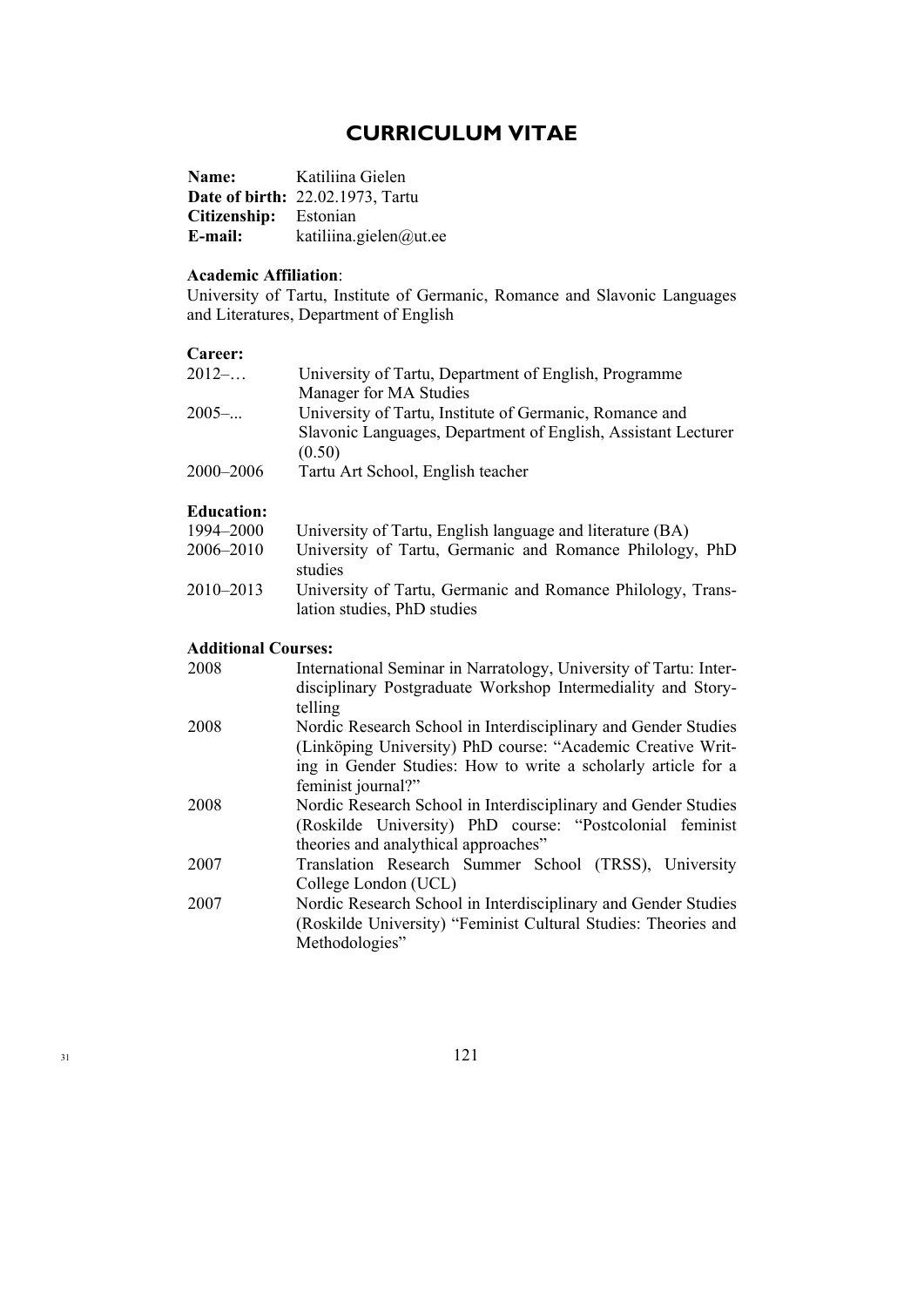### **CURRICULUM VITAE**

| Name:                 | Katiliina Gielen                        |
|-----------------------|-----------------------------------------|
|                       | <b>Date of birth: 22.02.1973, Tartu</b> |
| Citizenship: Estonian |                                         |
| E-mail:               | katiliina.gielen@ut.ee                  |

### **Academic Affiliation**:

University of Tartu, Institute of Germanic, Romance and Slavonic Languages and Literatures, Department of English

#### **Career:**

| $2012-$   | University of Tartu, Department of English, Programme         |
|-----------|---------------------------------------------------------------|
|           | Manager for MA Studies                                        |
| $2005$ -  | University of Tartu, Institute of Germanic, Romance and       |
|           | Slavonic Languages, Department of English, Assistant Lecturer |
|           | (0.50)                                                        |
| 2000–2006 | Tartu Art School, English teacher                             |

### **Education:**

| 1994–2000 | University of Tartu, English language and literature (BA)   |
|-----------|-------------------------------------------------------------|
| 2006–2010 | University of Tartu, Germanic and Romance Philology, PhD    |
|           | studies                                                     |
| 2010–2013 | University of Tartu, Germanic and Romance Philology, Trans- |
|           | lation studies, PhD studies                                 |

### **Additional Courses:**

| 2008 | International Seminar in Narratology, University of Tartu: Inter- |
|------|-------------------------------------------------------------------|
|      | disciplinary Postgraduate Workshop Intermediality and Story-      |
|      | telling                                                           |
| 2008 | Nordic Research School in Interdisciplinary and Gender Studies    |
|      | (Linköping University) PhD course: "Academic Creative Writ-       |
|      | ing in Gender Studies: How to write a scholarly article for a     |
|      | feminist journal?"                                                |
| 2008 | Nordic Research School in Interdisciplinary and Gender Studies    |
|      | (Roskilde University) PhD course: "Postcolonial feminist          |
|      | theories and analythical approaches"                              |
| 2007 | Translation Research Summer School (TRSS), University             |
|      | College London (UCL)                                              |
| 2007 | Nordic Research School in Interdisciplinary and Gender Studies    |
|      | (Roskilde University) "Feminist Cultural Studies: Theories and    |
|      | Methodologies"                                                    |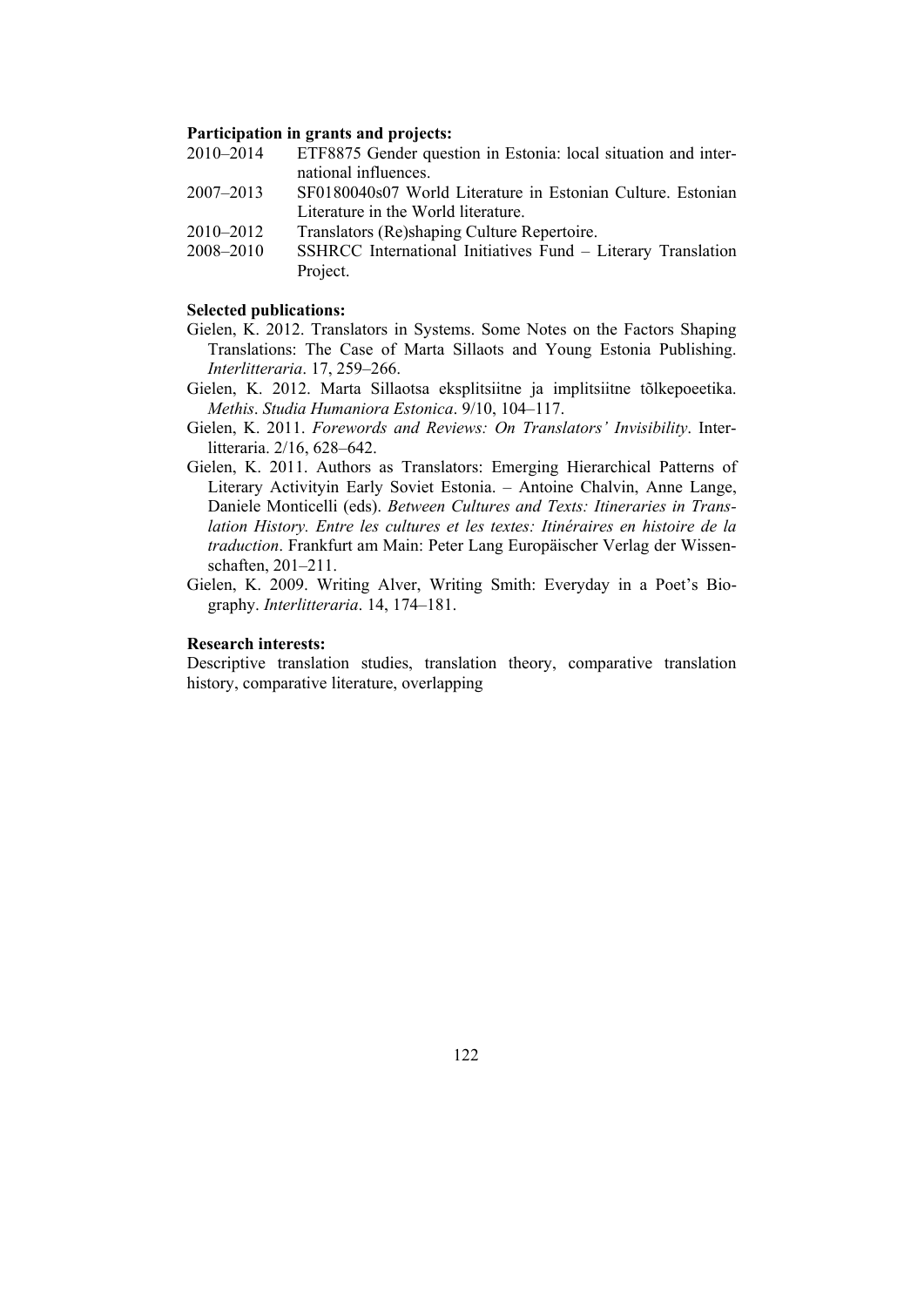#### **Participation in grants and projects:**

- 2010–2014 ETF8875 Gender question in Estonia: local situation and international influences.
- 2007–2013 SF0180040s07 World Literature in Estonian Culture. Estonian Literature in the World literature.
- 2010–2012 Translators (Re)shaping Culture Repertoire.
- 2008–2010 SSHRCC International Initiatives Fund Literary Translation Project.

#### **Selected publications:**

- Gielen, K. 2012. Translators in Systems. Some Notes on the Factors Shaping Translations: The Case of Marta Sillaots and Young Estonia Publishing. *Interlitteraria*. 17, 259–266.
- Gielen, K. 2012. Marta Sillaotsa eksplitsiitne ja implitsiitne tõlkepoeetika. *Methis*. *Studia Humaniora Estonica*. 9/10, 104–117.
- Gielen, K. 2011. *Forewords and Reviews: On Translators' Invisibility*. Interlitteraria. 2/16, 628–642.
- Gielen, K. 2011. Authors as Translators: Emerging Hierarchical Patterns of Literary Activityin Early Soviet Estonia. – Antoine Chalvin, Anne Lange, Daniele Monticelli (eds). *Between Cultures and Texts: Itineraries in Translation History. Entre les cultures et les textes: Itinéraires en histoire de la traduction*. Frankfurt am Main: Peter Lang Europäischer Verlag der Wissenschaften, 201–211.
- Gielen, K. 2009. Writing Alver, Writing Smith: Everyday in a Poet's Biography. *Interlitteraria*. 14, 174–181.

#### **Research interests:**

Descriptive translation studies, translation theory, comparative translation history, comparative literature, overlapping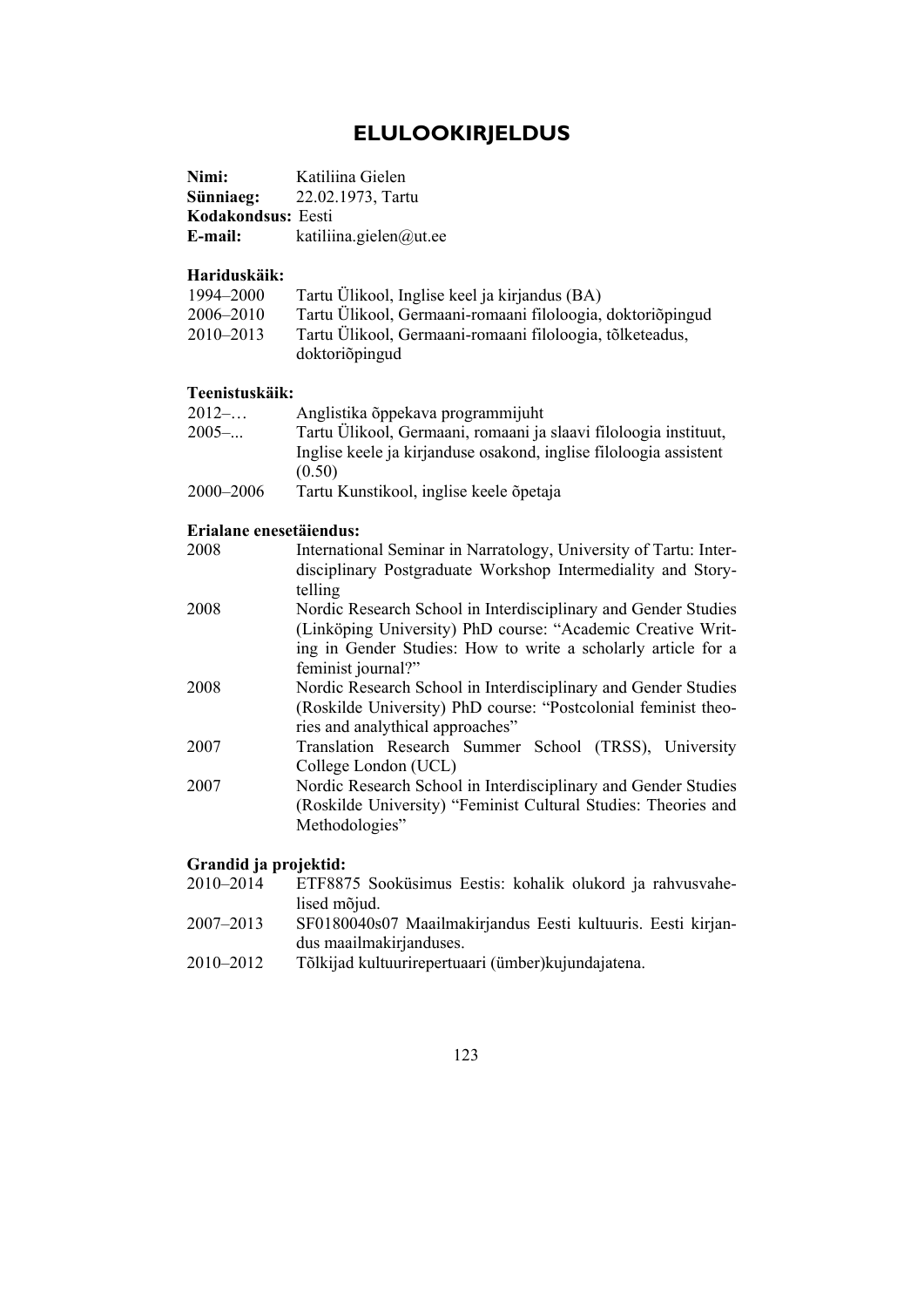### **ELULOOKIRJELDUS**

| Nimi:              | Katiliina Gielen       |
|--------------------|------------------------|
| Sünniaeg:          | 22.02.1973, Tartu      |
| Kodakondsus: Eesti |                        |
| E-mail:            | katiliina.gielen@ut.ee |

### **Hariduskäik:**

| 1994–2000     | Tartu Ülikool, Inglise keel ja kirjandus (BA)              |
|---------------|------------------------------------------------------------|
| 2006–2010     | Tartu Ülikool, Germaani-romaani filoloogia, doktoriõpingud |
| $2010 - 2013$ | Tartu Ülikool, Germaani-romaani filoloogia, tõlketeadus,   |
|               | doktoriõpingud                                             |

### **Teenistuskäik:**

| $2012-$   | Anglistika õppekava programmijuht                                 |
|-----------|-------------------------------------------------------------------|
| $2005$ -  | Tartu Ülikool, Germaani, romaani ja slaavi filoloogia instituut,  |
|           | Inglise keele ja kirjanduse osakond, inglise filoloogia assistent |
|           | (0.50)                                                            |
| 2000–2006 | Tartu Kunstikool, inglise keele õpetaja                           |

#### **Erialane enesetäiendus:**

| 2008 | International Seminar in Narratology, University of Tartu: Inter- |
|------|-------------------------------------------------------------------|
|      | disciplinary Postgraduate Workshop Intermediality and Story-      |
|      | telling                                                           |
| 2008 | Nordic Research School in Interdisciplinary and Gender Studies    |
|      | (Linköping University) PhD course: "Academic Creative Writ-       |
|      | ing in Gender Studies: How to write a scholarly article for a     |
|      | feminist journal?"                                                |
| 2008 | Nordic Research School in Interdisciplinary and Gender Studies    |
|      | (Roskilde University) PhD course: "Postcolonial feminist theo-    |
|      | ries and analythical approaches"                                  |
| 2007 | Translation Research Summer School (TRSS), University             |
|      | College London (UCL)                                              |
| 2007 | Nordic Research School in Interdisciplinary and Gender Studies    |
|      | (Roskilde University) "Feminist Cultural Studies: Theories and    |
|      | Methodologies"                                                    |
|      |                                                                   |

### **Grandid ja projektid:**

- 2010–2014 ETF8875 Sooküsimus Eestis: kohalik olukord ja rahvusvahelised mõjud.
- 2007–2013 SF0180040s07 Maailmakirjandus Eesti kultuuris. Eesti kirjandus maailmakirjanduses.
- 2010–2012 Tõlkijad kultuurirepertuaari (ümber)kujundajatena.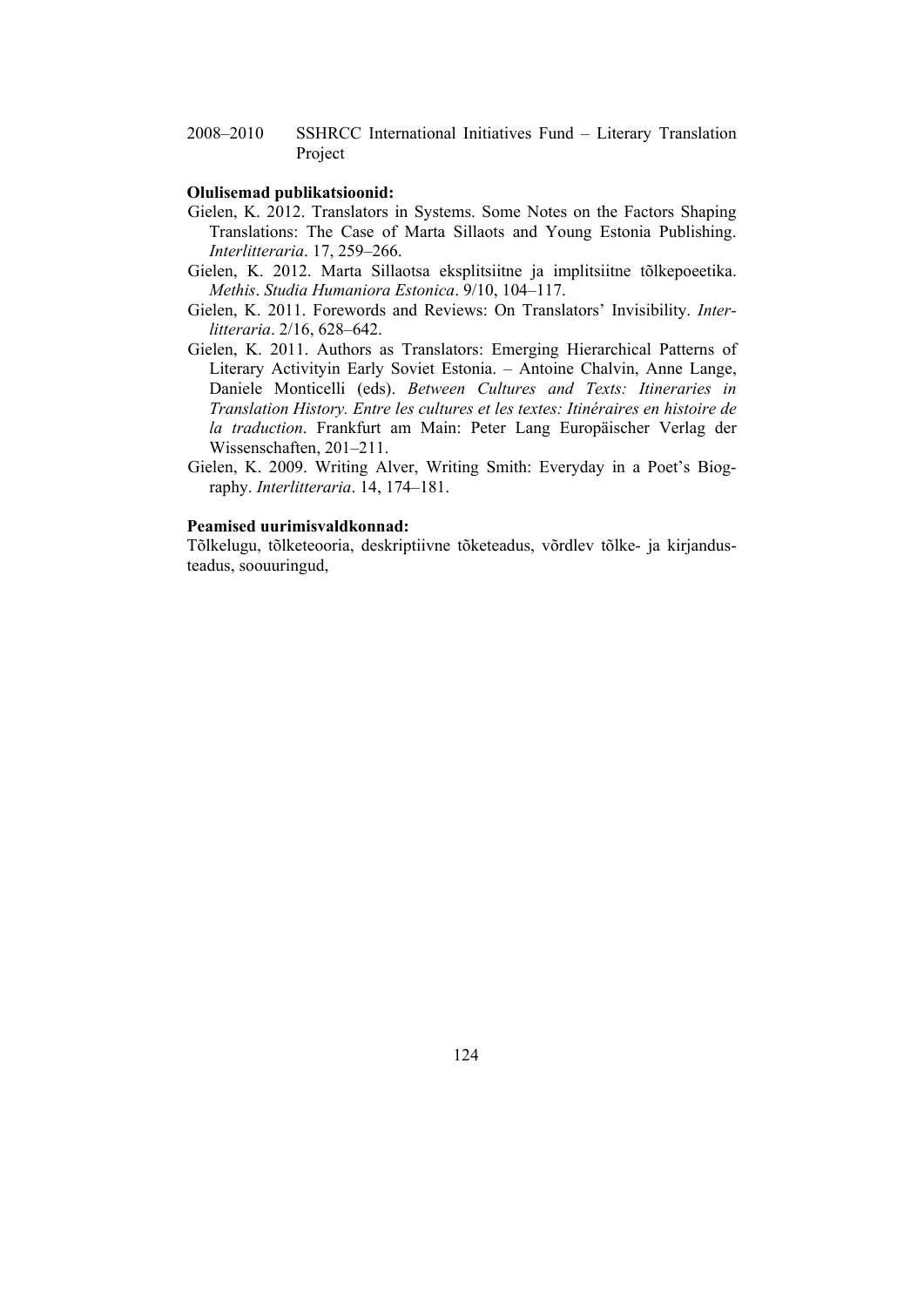2008–2010 SSHRCC International Initiatives Fund – Literary Translation Project

#### **Olulisemad publikatsioonid:**

- Gielen, K. 2012. Translators in Systems. Some Notes on the Factors Shaping Translations: The Case of Marta Sillaots and Young Estonia Publishing. *Interlitteraria*. 17, 259–266.
- Gielen, K. 2012. Marta Sillaotsa eksplitsiitne ja implitsiitne tõlkepoeetika. *Methis*. *Studia Humaniora Estonica*. 9/10, 104–117.
- Gielen, K. 2011. Forewords and Reviews: On Translators' Invisibility. *Interlitteraria*. 2/16, 628–642.
- Gielen, K. 2011. Authors as Translators: Emerging Hierarchical Patterns of Literary Activityin Early Soviet Estonia. – Antoine Chalvin, Anne Lange, Daniele Monticelli (eds). *Between Cultures and Texts: Itineraries in Translation History. Entre les cultures et les textes: Itinéraires en histoire de la traduction*. Frankfurt am Main: Peter Lang Europäischer Verlag der Wissenschaften, 201–211.
- Gielen, K. 2009. Writing Alver, Writing Smith: Everyday in a Poet's Biography. *Interlitteraria*. 14, 174–181.

#### **Peamised uurimisvaldkonnad:**

Tõlkelugu, tõlketeooria, deskriptiivne tõketeadus, võrdlev tõlke- ja kirjandusteadus, soouuringud,